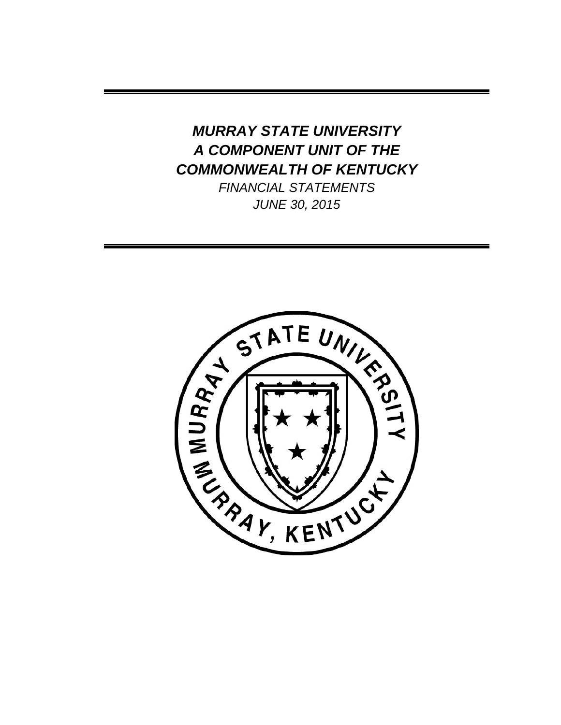# *MURRAY STATE UNIVERSITY A COMPONENT UNIT OF THE COMMONWEALTH OF KENTUCKY*

*FINANCIAL STATEMENTS JUNE 30, 2015* 

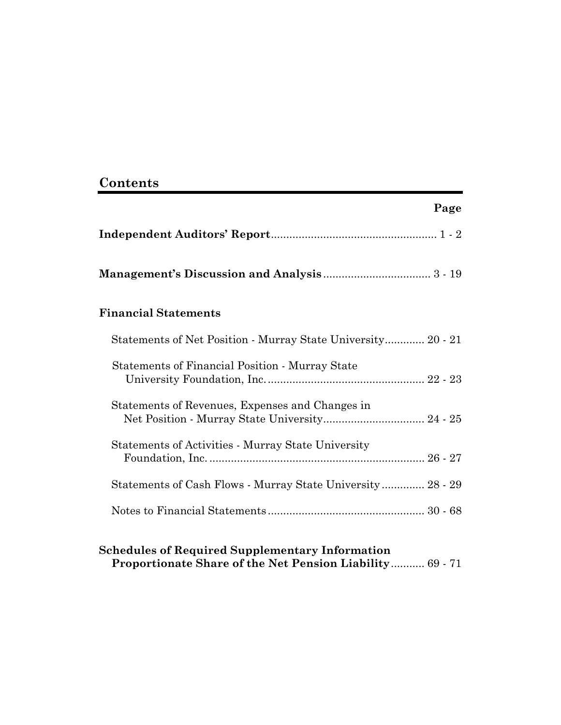# **Contents**

| Page                                                         |  |
|--------------------------------------------------------------|--|
|                                                              |  |
|                                                              |  |
| <b>Financial Statements</b>                                  |  |
| Statements of Net Position - Murray State University 20 - 21 |  |
| <b>Statements of Financial Position - Murray State</b>       |  |
| Statements of Revenues, Expenses and Changes in              |  |
| Statements of Activities - Murray State University           |  |
| Statements of Cash Flows - Murray State University 28 - 29   |  |
|                                                              |  |
|                                                              |  |

# **Schedules of Required Supplementary Information Proportionate Share of the Net Pension Liability** ........... 69 - 71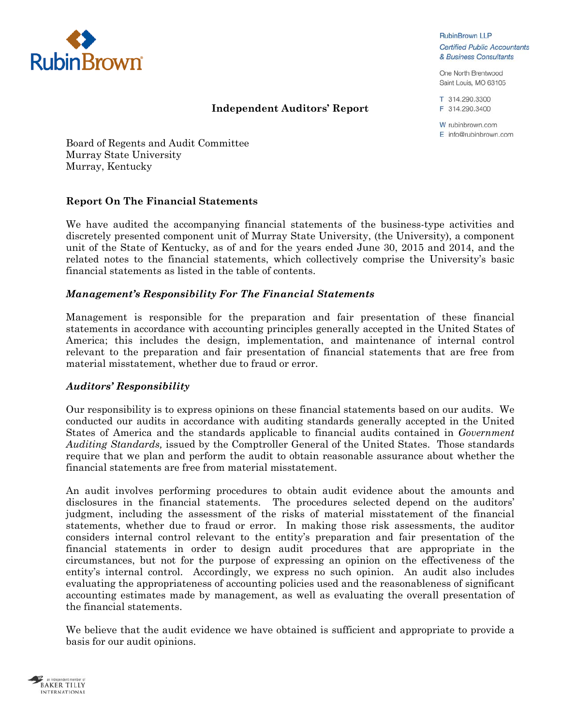

Murray, Kentucky

**RubinBrown LLP Certified Public Accountants** & Business Consultants

One North Brentwood Saint Louis, MO 63105

T 314.290.3300 F 314.290.3400

W rubinbrown.com  $E$  info@rubinbrown.com

Board of Regents and Audit Committee Murray State University

### **Report On The Financial Statements**

We have audited the accompanying financial statements of the business-type activities and discretely presented component unit of Murray State University, (the University), a component unit of the State of Kentucky, as of and for the years ended June 30, 2015 and 2014, and the related notes to the financial statements, which collectively comprise the University's basic financial statements as listed in the table of contents.

**Independent Auditors' Report** 

### *Management's Responsibility For The Financial Statements*

Management is responsible for the preparation and fair presentation of these financial statements in accordance with accounting principles generally accepted in the United States of America; this includes the design, implementation, and maintenance of internal control relevant to the preparation and fair presentation of financial statements that are free from material misstatement, whether due to fraud or error.

#### *Auditors' Responsibility*

Our responsibility is to express opinions on these financial statements based on our audits. We conducted our audits in accordance with auditing standards generally accepted in the United States of America and the standards applicable to financial audits contained in *Government Auditing Standards,* issued by the Comptroller General of the United States. Those standards require that we plan and perform the audit to obtain reasonable assurance about whether the financial statements are free from material misstatement.

An audit involves performing procedures to obtain audit evidence about the amounts and disclosures in the financial statements. The procedures selected depend on the auditors' judgment, including the assessment of the risks of material misstatement of the financial statements, whether due to fraud or error. In making those risk assessments, the auditor considers internal control relevant to the entity's preparation and fair presentation of the financial statements in order to design audit procedures that are appropriate in the circumstances, but not for the purpose of expressing an opinion on the effectiveness of the entity's internal control. Accordingly, we express no such opinion. An audit also includes evaluating the appropriateness of accounting policies used and the reasonableness of significant accounting estimates made by management, as well as evaluating the overall presentation of the financial statements.

We believe that the audit evidence we have obtained is sufficient and appropriate to provide a basis for our audit opinions.

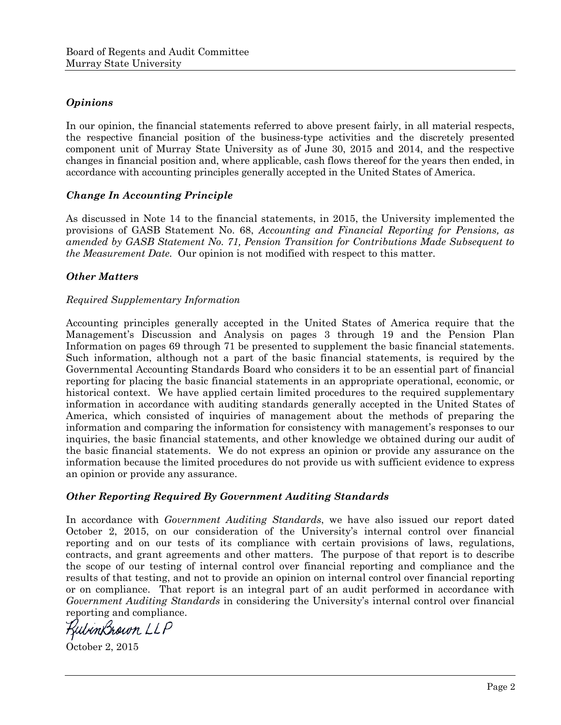### *Opinions*

In our opinion, the financial statements referred to above present fairly, in all material respects, the respective financial position of the business-type activities and the discretely presented component unit of Murray State University as of June 30, 2015 and 2014, and the respective changes in financial position and, where applicable, cash flows thereof for the years then ended, in accordance with accounting principles generally accepted in the United States of America.

#### *Change In Accounting Principle*

As discussed in Note 14 to the financial statements, in 2015, the University implemented the provisions of GASB Statement No. 68, *Accounting and Financial Reporting for Pensions, as amended by GASB Statement No. 71, Pension Transition for Contributions Made Subsequent to the Measurement Date.* Our opinion is not modified with respect to this matter.

#### *Other Matters*

#### *Required Supplementary Information*

Accounting principles generally accepted in the United States of America require that the Management's Discussion and Analysis on pages 3 through 19 and the Pension Plan Information on pages 69 through 71 be presented to supplement the basic financial statements. Such information, although not a part of the basic financial statements, is required by the Governmental Accounting Standards Board who considers it to be an essential part of financial reporting for placing the basic financial statements in an appropriate operational, economic, or historical context. We have applied certain limited procedures to the required supplementary information in accordance with auditing standards generally accepted in the United States of America, which consisted of inquiries of management about the methods of preparing the information and comparing the information for consistency with management's responses to our inquiries, the basic financial statements, and other knowledge we obtained during our audit of the basic financial statements. We do not express an opinion or provide any assurance on the information because the limited procedures do not provide us with sufficient evidence to express an opinion or provide any assurance.

## *Other Reporting Required By Government Auditing Standards*

In accordance with *Government Auditing Standards*, we have also issued our report dated October 2, 2015, on our consideration of the University's internal control over financial reporting and on our tests of its compliance with certain provisions of laws, regulations, contracts, and grant agreements and other matters. The purpose of that report is to describe the scope of our testing of internal control over financial reporting and compliance and the results of that testing, and not to provide an opinion on internal control over financial reporting or on compliance. That report is an integral part of an audit performed in accordance with *Government Auditing Standards* in considering the University's internal control over financial

reporting and compliance.<br>KulunBrown LLP

October 2, 2015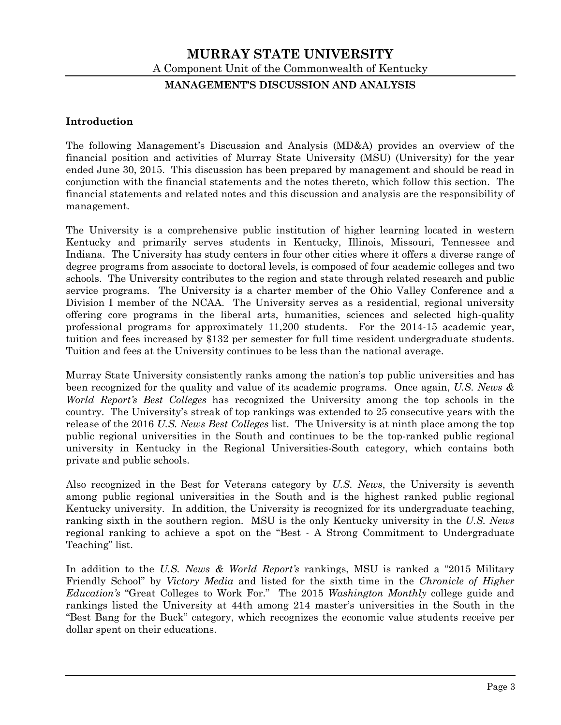# **MANAGEMENT'S DISCUSSION AND ANALYSIS**

#### **Introduction**

The following Management's Discussion and Analysis (MD&A) provides an overview of the financial position and activities of Murray State University (MSU) (University) for the year ended June 30, 2015. This discussion has been prepared by management and should be read in conjunction with the financial statements and the notes thereto, which follow this section. The financial statements and related notes and this discussion and analysis are the responsibility of management.

The University is a comprehensive public institution of higher learning located in western Kentucky and primarily serves students in Kentucky, Illinois, Missouri, Tennessee and Indiana. The University has study centers in four other cities where it offers a diverse range of degree programs from associate to doctoral levels, is composed of four academic colleges and two schools. The University contributes to the region and state through related research and public service programs. The University is a charter member of the Ohio Valley Conference and a Division I member of the NCAA. The University serves as a residential, regional university offering core programs in the liberal arts, humanities, sciences and selected high-quality professional programs for approximately 11,200 students. For the 2014-15 academic year, tuition and fees increased by \$132 per semester for full time resident undergraduate students. Tuition and fees at the University continues to be less than the national average.

Murray State University consistently ranks among the nation's top public universities and has been recognized for the quality and value of its academic programs. Once again, *U.S. News & World Report's Best Colleges* has recognized the University among the top schools in the country. The University's streak of top rankings was extended to 25 consecutive years with the release of the 2016 *U.S. News Best Colleges* list. The University is at ninth place among the top public regional universities in the South and continues to be the top-ranked public regional university in Kentucky in the Regional Universities-South category, which contains both private and public schools.

Also recognized in the Best for Veterans category by *U.S. News*, the University is seventh among public regional universities in the South and is the highest ranked public regional Kentucky university. In addition, the University is recognized for its undergraduate teaching, ranking sixth in the southern region. MSU is the only Kentucky university in the *U.S. News* regional ranking to achieve a spot on the "Best - A Strong Commitment to Undergraduate Teaching" list.

In addition to the *U.S. News & World Report's* rankings, MSU is ranked a "2015 Military Friendly School" by *Victory Media* and listed for the sixth time in the *Chronicle of Higher Education's* "Great Colleges to Work For." The 2015 *Washington Monthly* college guide and rankings listed the University at 44th among 214 master's universities in the South in the "Best Bang for the Buck" category, which recognizes the economic value students receive per dollar spent on their educations.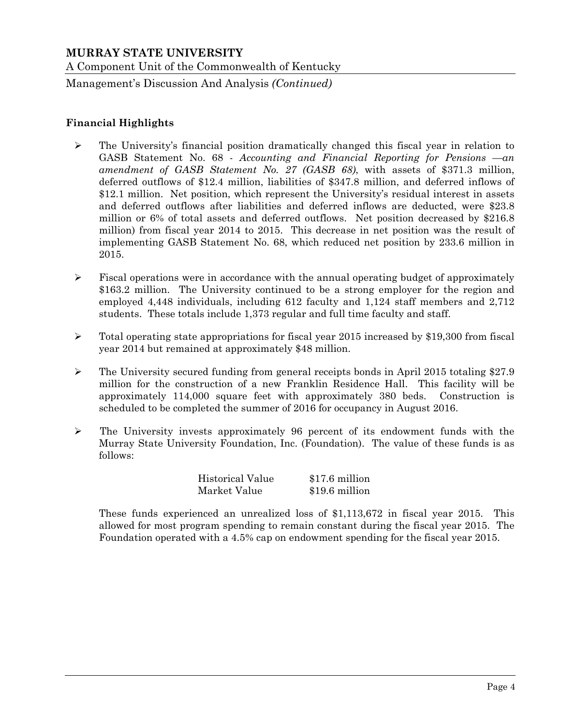Management's Discussion And Analysis *(Continued)*

# **Financial Highlights**

- The University's financial position dramatically changed this fiscal year in relation to GASB Statement No. 68 - *Accounting and Financial Reporting for Pensions* —*an amendment of GASB Statement No. 27 (GASB 68)*, with assets of \$371.3 million, deferred outflows of \$12.4 million, liabilities of \$347.8 million, and deferred inflows of \$12.1 million. Net position, which represent the University's residual interest in assets and deferred outflows after liabilities and deferred inflows are deducted, were \$23.8 million or 6% of total assets and deferred outflows. Net position decreased by \$216.8 million) from fiscal year 2014 to 2015. This decrease in net position was the result of implementing GASB Statement No. 68, which reduced net position by 233.6 million in 2015.
- $\triangleright$  Fiscal operations were in accordance with the annual operating budget of approximately \$163.2 million. The University continued to be a strong employer for the region and employed 4,448 individuals, including 612 faculty and 1,124 staff members and 2,712 students. These totals include 1,373 regular and full time faculty and staff.
- Total operating state appropriations for fiscal year 2015 increased by \$19,300 from fiscal year 2014 but remained at approximately \$48 million.
- $\blacktriangleright$  The University secured funding from general receipts bonds in April 2015 totaling \$27.9 million for the construction of a new Franklin Residence Hall. This facility will be approximately 114,000 square feet with approximately 380 beds. Construction is scheduled to be completed the summer of 2016 for occupancy in August 2016.
- $\triangleright$  The University invests approximately 96 percent of its endowment funds with the Murray State University Foundation, Inc. (Foundation). The value of these funds is as follows:

| <b>Historical Value</b> | \$17.6 million |
|-------------------------|----------------|
| Market Value            | \$19.6 million |

These funds experienced an unrealized loss of \$1,113,672 in fiscal year 2015. This allowed for most program spending to remain constant during the fiscal year 2015. The Foundation operated with a 4.5% cap on endowment spending for the fiscal year 2015.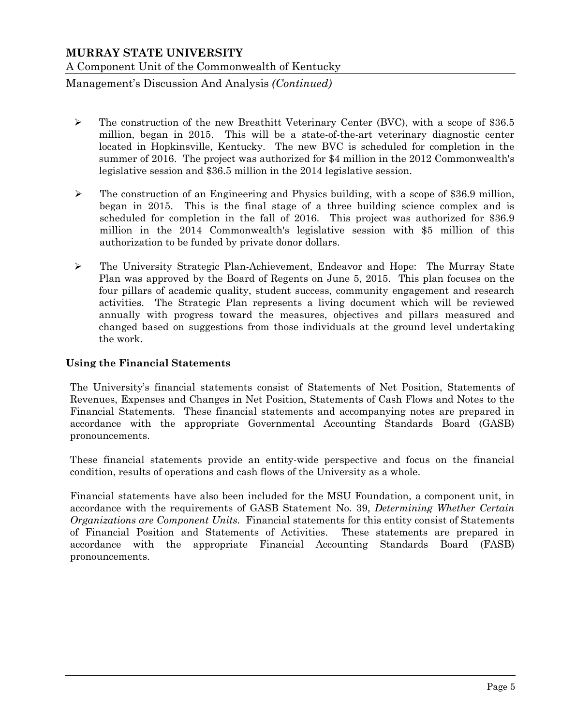Management's Discussion And Analysis *(Continued)*

- $\triangleright$  The construction of the new Breathitt Veterinary Center (BVC), with a scope of \$36.5 million, began in 2015. This will be a state-of-the-art veterinary diagnostic center located in Hopkinsville, Kentucky. The new BVC is scheduled for completion in the summer of 2016. The project was authorized for \$4 million in the 2012 Commonwealth's legislative session and \$36.5 million in the 2014 legislative session.
- $\triangleright$  The construction of an Engineering and Physics building, with a scope of \$36.9 million, began in 2015. This is the final stage of a three building science complex and is scheduled for completion in the fall of 2016. This project was authorized for \$36.9 million in the 2014 Commonwealth's legislative session with \$5 million of this authorization to be funded by private donor dollars.
- The University Strategic Plan-Achievement, Endeavor and Hope: The Murray State Plan was approved by the Board of Regents on June 5, 2015. This plan focuses on the four pillars of academic quality, student success, community engagement and research activities. The Strategic Plan represents a living document which will be reviewed annually with progress toward the measures, objectives and pillars measured and changed based on suggestions from those individuals at the ground level undertaking the work.

### **Using the Financial Statements**

The University's financial statements consist of Statements of Net Position, Statements of Revenues, Expenses and Changes in Net Position, Statements of Cash Flows and Notes to the Financial Statements. These financial statements and accompanying notes are prepared in accordance with the appropriate Governmental Accounting Standards Board (GASB) pronouncements.

These financial statements provide an entity-wide perspective and focus on the financial condition, results of operations and cash flows of the University as a whole.

Financial statements have also been included for the MSU Foundation, a component unit, in accordance with the requirements of GASB Statement No. 39, *Determining Whether Certain Organizations are Component Units.* Financial statements for this entity consist of Statements of Financial Position and Statements of Activities. These statements are prepared in accordance with the appropriate Financial Accounting Standards Board (FASB) pronouncements.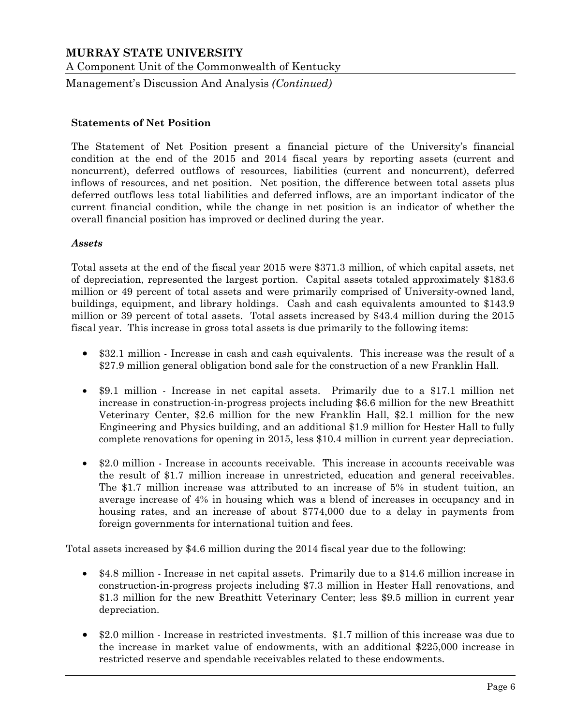Management's Discussion And Analysis *(Continued)*

### **Statements of Net Position**

The Statement of Net Position present a financial picture of the University's financial condition at the end of the 2015 and 2014 fiscal years by reporting assets (current and noncurrent), deferred outflows of resources, liabilities (current and noncurrent), deferred inflows of resources, and net position. Net position, the difference between total assets plus deferred outflows less total liabilities and deferred inflows, are an important indicator of the current financial condition, while the change in net position is an indicator of whether the overall financial position has improved or declined during the year.

#### *Assets*

Total assets at the end of the fiscal year 2015 were \$371.3 million, of which capital assets, net of depreciation, represented the largest portion. Capital assets totaled approximately \$183.6 million or 49 percent of total assets and were primarily comprised of University-owned land, buildings, equipment, and library holdings. Cash and cash equivalents amounted to \$143.9 million or 39 percent of total assets. Total assets increased by \$43.4 million during the 2015 fiscal year. This increase in gross total assets is due primarily to the following items:

- \$32.1 million Increase in cash and cash equivalents. This increase was the result of a \$27.9 million general obligation bond sale for the construction of a new Franklin Hall.
- \$9.1 million Increase in net capital assets. Primarily due to a \$17.1 million net increase in construction-in-progress projects including \$6.6 million for the new Breathitt Veterinary Center, \$2.6 million for the new Franklin Hall, \$2.1 million for the new Engineering and Physics building, and an additional \$1.9 million for Hester Hall to fully complete renovations for opening in 2015, less \$10.4 million in current year depreciation.
- \$2.0 million Increase in accounts receivable. This increase in accounts receivable was the result of \$1.7 million increase in unrestricted, education and general receivables. The \$1.7 million increase was attributed to an increase of 5% in student tuition, an average increase of 4% in housing which was a blend of increases in occupancy and in housing rates, and an increase of about \$774,000 due to a delay in payments from foreign governments for international tuition and fees.

Total assets increased by \$4.6 million during the 2014 fiscal year due to the following:

- \$4.8 million Increase in net capital assets. Primarily due to a \$14.6 million increase in construction-in-progress projects including \$7.3 million in Hester Hall renovations, and \$1.3 million for the new Breathitt Veterinary Center; less \$9.5 million in current year depreciation.
- \$2.0 million Increase in restricted investments. \$1.7 million of this increase was due to the increase in market value of endowments, with an additional \$225,000 increase in restricted reserve and spendable receivables related to these endowments.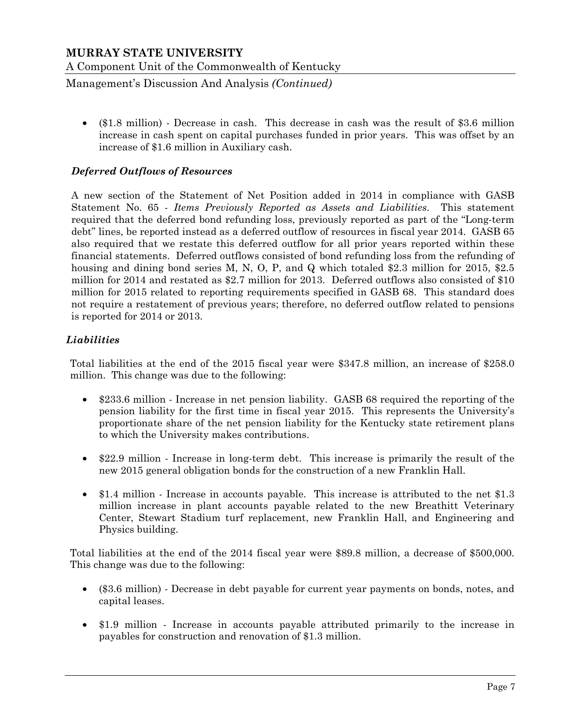Management's Discussion And Analysis *(Continued)*

• (\$1.8 million) - Decrease in cash. This decrease in cash was the result of \$3.6 million increase in cash spent on capital purchases funded in prior years. This was offset by an increase of \$1.6 million in Auxiliary cash.

# *Deferred Outflows of Resources*

A new section of the Statement of Net Position added in 2014 in compliance with GASB Statement No. 65 - *Items Previously Reported as Assets and Liabilities*. This statement required that the deferred bond refunding loss, previously reported as part of the "Long-term debt" lines, be reported instead as a deferred outflow of resources in fiscal year 2014. GASB 65 also required that we restate this deferred outflow for all prior years reported within these financial statements. Deferred outflows consisted of bond refunding loss from the refunding of housing and dining bond series M, N, O, P, and Q which totaled \$2.3 million for 2015, \$2.5 million for 2014 and restated as \$2.7 million for 2013. Deferred outflows also consisted of \$10 million for 2015 related to reporting requirements specified in GASB 68. This standard does not require a restatement of previous years; therefore, no deferred outflow related to pensions is reported for 2014 or 2013.

# *Liabilities*

Total liabilities at the end of the 2015 fiscal year were \$347.8 million, an increase of \$258.0 million. This change was due to the following:

- \$233.6 million Increase in net pension liability. GASB 68 required the reporting of the pension liability for the first time in fiscal year 2015. This represents the University's proportionate share of the net pension liability for the Kentucky state retirement plans to which the University makes contributions.
- \$22.9 million Increase in long-term debt. This increase is primarily the result of the new 2015 general obligation bonds for the construction of a new Franklin Hall.
- \$1.4 million Increase in accounts payable. This increase is attributed to the net \$1.3 million increase in plant accounts payable related to the new Breathitt Veterinary Center, Stewart Stadium turf replacement, new Franklin Hall, and Engineering and Physics building.

Total liabilities at the end of the 2014 fiscal year were \$89.8 million, a decrease of \$500,000. This change was due to the following:

- (\$3.6 million) Decrease in debt payable for current year payments on bonds, notes, and capital leases.
- \$1.9 million Increase in accounts payable attributed primarily to the increase in payables for construction and renovation of \$1.3 million.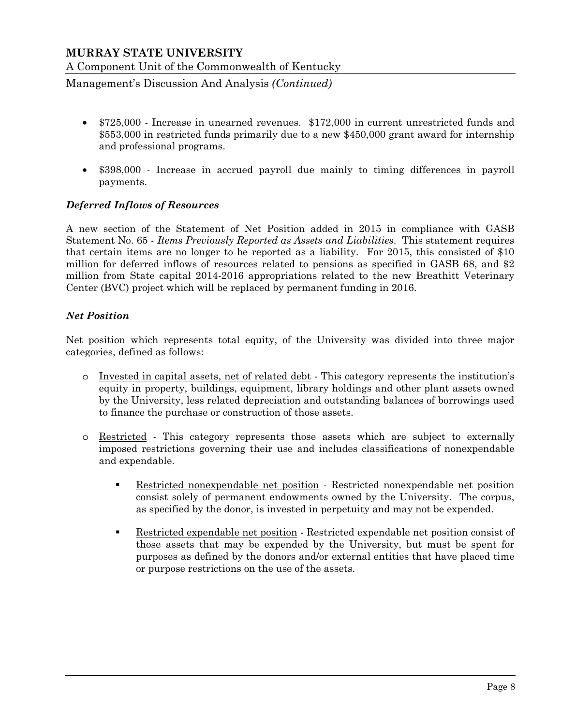Management's Discussion And Analysis *(Continued)*

- \$725,000 Increase in unearned revenues. \$172,000 in current unrestricted funds and \$553,000 in restricted funds primarily due to a new \$450,000 grant award for internship and professional programs.
- \$398,000 Increase in accrued payroll due mainly to timing differences in payroll payments.

### *Deferred Inflows of Resources*

A new section of the Statement of Net Position added in 2015 in compliance with GASB Statement No. 65 - *Items Previously Reported as Assets and Liabilities*. This statement requires that certain items are no longer to be reported as a liability. For 2015, this consisted of \$10 million for deferred inflows of resources related to pensions as specified in GASB 68, and \$2 million from State capital 2014-2016 appropriations related to the new Breathitt Veterinary Center (BVC) project which will be replaced by permanent funding in 2016.

### *Net Position*

Net position which represents total equity, of the University was divided into three major categories, defined as follows:

- o Invested in capital assets, net of related debt This category represents the institution's equity in property, buildings, equipment, library holdings and other plant assets owned by the University, less related depreciation and outstanding balances of borrowings used to finance the purchase or construction of those assets.
- o Restricted This category represents those assets which are subject to externally imposed restrictions governing their use and includes classifications of nonexpendable and expendable.
	- Restricted nonexpendable net position Restricted nonexpendable net position consist solely of permanent endowments owned by the University. The corpus, as specified by the donor, is invested in perpetuity and may not be expended.
	- Restricted expendable net position Restricted expendable net position consist of those assets that may be expended by the University, but must be spent for purposes as defined by the donors and/or external entities that have placed time or purpose restrictions on the use of the assets.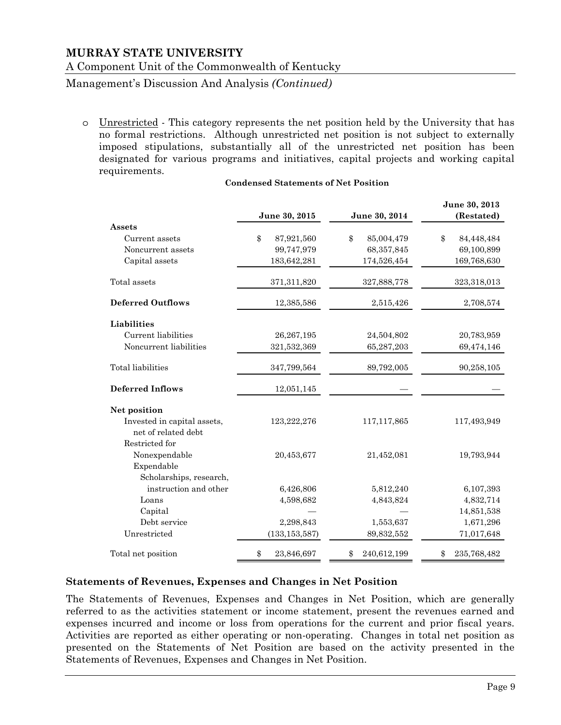A Component Unit of the Commonwealth of Kentucky

Management's Discussion And Analysis *(Continued)*

o Unrestricted - This category represents the net position held by the University that has no formal restrictions. Although unrestricted net position is not subject to externally imposed stipulations, substantially all of the unrestricted net position has been designated for various programs and initiatives, capital projects and working capital requirements.

#### **Condensed Statements of Net Position**

|                                                    | June 30, 2015    | June 30, 2014     | June 30, 2013<br>(Restated) |
|----------------------------------------------------|------------------|-------------------|-----------------------------|
| Assets                                             |                  |                   |                             |
| Current assets                                     | \$<br>87,921,560 | \$<br>85,004,479  | \$<br>84,448,484            |
| Noncurrent assets                                  | 99,747,979       | 68,357,845        | 69,100,899                  |
| Capital assets                                     | 183,642,281      | 174,526,454       | 169,768,630                 |
| Total assets                                       | 371,311,820      | 327,888,778       | 323,318,013                 |
| <b>Deferred Outflows</b>                           | 12,385,586       | 2,515,426         | 2,708,574                   |
| Liabilities                                        |                  |                   |                             |
| Current liabilities                                | 26,267,195       | 24,504,802        | 20,783,959                  |
| Noncurrent liabilities                             | 321,532,369      | 65,287,203        | 69,474,146                  |
| Total liabilities                                  | 347,799,564      | 89,792,005        | 90,258,105                  |
| <b>Deferred Inflows</b>                            | 12,051,145       |                   |                             |
| Net position                                       |                  |                   |                             |
| Invested in capital assets,<br>net of related debt | 123,222,276      | 117, 117, 865     | 117,493,949                 |
| Restricted for                                     |                  |                   |                             |
| Nonexpendable                                      | 20,453,677       | 21,452,081        | 19,793,944                  |
| Expendable                                         |                  |                   |                             |
| Scholarships, research,                            |                  |                   |                             |
| instruction and other                              | 6,426,806        | 5,812,240         | 6,107,393                   |
| Loans                                              | 4,598,682        | 4,843,824         | 4,832,714                   |
| Capital                                            |                  |                   | 14,851,538                  |
| Debt service                                       | 2,298,843        | 1,553,637         | 1,671,296                   |
| Unrestricted                                       | (133, 153, 587)  | 89,832,552        | 71,017,648                  |
| Total net position                                 | \$<br>23,846,697 | 240,612,199<br>\$ | \$<br>235,768,482           |

#### **Statements of Revenues, Expenses and Changes in Net Position**

The Statements of Revenues, Expenses and Changes in Net Position, which are generally referred to as the activities statement or income statement, present the revenues earned and expenses incurred and income or loss from operations for the current and prior fiscal years. Activities are reported as either operating or non-operating. Changes in total net position as presented on the Statements of Net Position are based on the activity presented in the Statements of Revenues, Expenses and Changes in Net Position.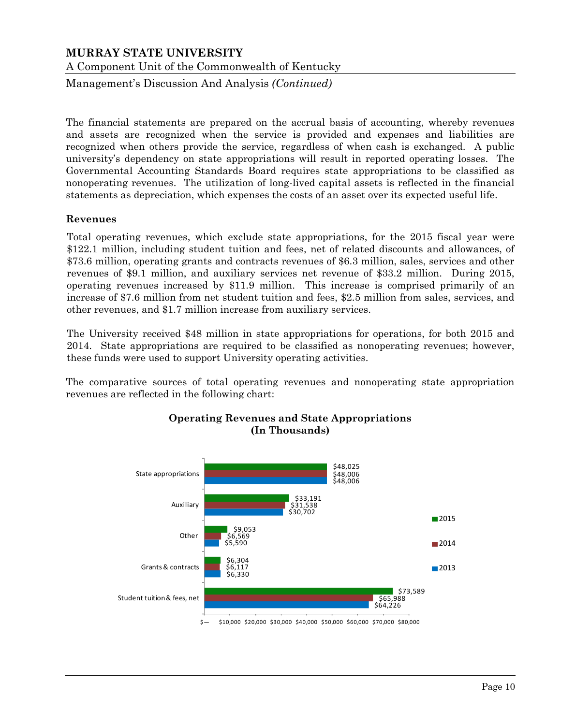Management's Discussion And Analysis *(Continued)*

The financial statements are prepared on the accrual basis of accounting, whereby revenues and assets are recognized when the service is provided and expenses and liabilities are recognized when others provide the service, regardless of when cash is exchanged. A public university's dependency on state appropriations will result in reported operating losses. The Governmental Accounting Standards Board requires state appropriations to be classified as nonoperating revenues. The utilization of long-lived capital assets is reflected in the financial statements as depreciation, which expenses the costs of an asset over its expected useful life.

### **Revenues**

Total operating revenues, which exclude state appropriations, for the 2015 fiscal year were \$122.1 million, including student tuition and fees, net of related discounts and allowances, of \$73.6 million, operating grants and contracts revenues of \$6.3 million, sales, services and other revenues of \$9.1 million, and auxiliary services net revenue of \$33.2 million. During 2015, operating revenues increased by \$11.9 million. This increase is comprised primarily of an increase of \$7.6 million from net student tuition and fees, \$2.5 million from sales, services, and other revenues, and \$1.7 million increase from auxiliary services.

The University received \$48 million in state appropriations for operations, for both 2015 and 2014. State appropriations are required to be classified as nonoperating revenues; however, these funds were used to support University operating activities.

The comparative sources of total operating revenues and nonoperating state appropriation revenues are reflected in the following chart:



## **Operating Revenues and State Appropriations (In Thousands)**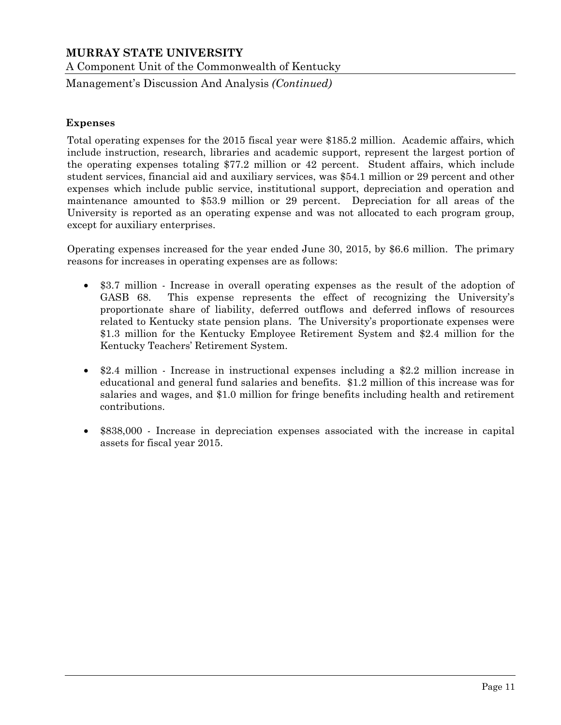A Component Unit of the Commonwealth of Kentucky

Management's Discussion And Analysis *(Continued)*

#### **Expenses**

Total operating expenses for the 2015 fiscal year were \$185.2 million. Academic affairs, which include instruction, research, libraries and academic support, represent the largest portion of the operating expenses totaling \$77.2 million or 42 percent. Student affairs, which include student services, financial aid and auxiliary services, was \$54.1 million or 29 percent and other expenses which include public service, institutional support, depreciation and operation and maintenance amounted to \$53.9 million or 29 percent. Depreciation for all areas of the University is reported as an operating expense and was not allocated to each program group, except for auxiliary enterprises.

Operating expenses increased for the year ended June 30, 2015, by \$6.6 million. The primary reasons for increases in operating expenses are as follows:

- \$3.7 million Increase in overall operating expenses as the result of the adoption of GASB 68. This expense represents the effect of recognizing the University's proportionate share of liability, deferred outflows and deferred inflows of resources related to Kentucky state pension plans. The University's proportionate expenses were \$1.3 million for the Kentucky Employee Retirement System and \$2.4 million for the Kentucky Teachers' Retirement System.
- \$2.4 million Increase in instructional expenses including a \$2.2 million increase in educational and general fund salaries and benefits. \$1.2 million of this increase was for salaries and wages, and \$1.0 million for fringe benefits including health and retirement contributions.
- \$838,000 Increase in depreciation expenses associated with the increase in capital assets for fiscal year 2015.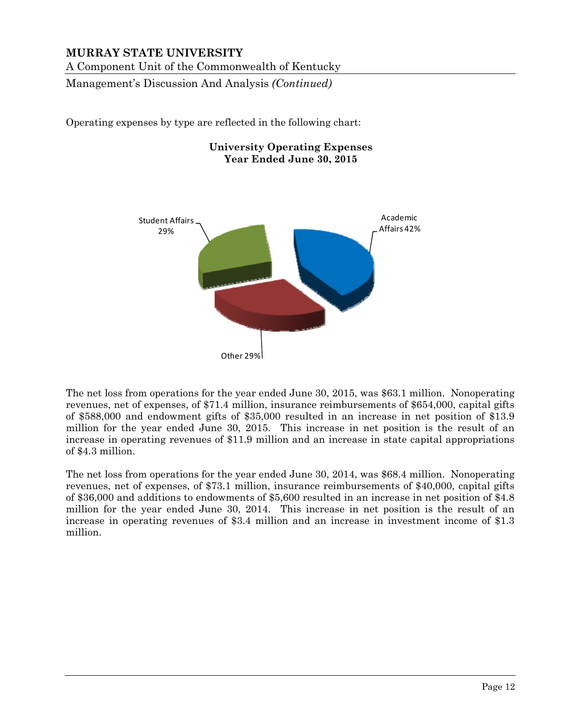A Component Unit of the Commonwealth of Kentucky

Management's Discussion And Analysis *(Continued)*

Operating expenses by type are reflected in the following chart:

#### **University Operating Expenses Year Ended June 30, 2015**



The net loss from operations for the year ended June 30, 2015, was \$63.1 million. Nonoperating revenues, net of expenses, of \$71.4 million, insurance reimbursements of \$654,000, capital gifts of \$588,000 and endowment gifts of \$35,000 resulted in an increase in net position of \$13.9 million for the year ended June 30, 2015. This increase in net position is the result of an increase in operating revenues of \$11.9 million and an increase in state capital appropriations of \$4.3 million.

The net loss from operations for the year ended June 30, 2014, was \$68.4 million. Nonoperating revenues, net of expenses, of \$73.1 million, insurance reimbursements of \$40,000, capital gifts of \$36,000 and additions to endowments of \$5,600 resulted in an increase in net position of \$4.8 million for the year ended June 30, 2014. This increase in net position is the result of an increase in operating revenues of \$3.4 million and an increase in investment income of \$1.3 million.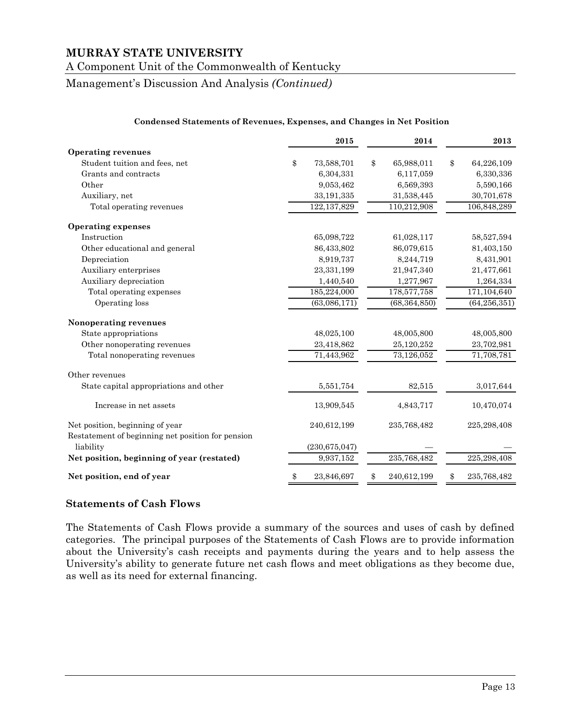#### A Component Unit of the Commonwealth of Kentucky

# Management's Discussion And Analysis *(Continued)*

|                                                   | 2015             | 2014              | 2013              |
|---------------------------------------------------|------------------|-------------------|-------------------|
| <b>Operating revenues</b>                         |                  |                   |                   |
| Student tuition and fees, net                     | \$<br>73,588,701 | \$<br>65,988,011  | \$<br>64,226,109  |
| Grants and contracts                              | 6,304,331        | 6,117,059         | 6,330,336         |
| Other                                             | 9,053,462        | 6,569,393         | 5,590,166         |
| Auxiliary, net                                    | 33,191,335       | 31,538,445        | 30,701,678        |
| Total operating revenues                          | 122, 137, 829    | 110,212,908       | 106,848,289       |
| <b>Operating expenses</b>                         |                  |                   |                   |
| Instruction                                       | 65,098,722       | 61,028,117        | 58,527,594        |
| Other educational and general                     | 86,433,802       | 86,079,615        | 81,403,150        |
| Depreciation                                      | 8,919,737        | 8,244,719         | 8,431,901         |
| Auxiliary enterprises                             | 23,331,199       | 21,947,340        | 21,477,661        |
| Auxiliary depreciation                            | 1,440,540        | 1,277,967         | 1,264,334         |
| Total operating expenses                          | 185,224,000      | 178,577,758       | 171,104,640       |
| Operating loss                                    | (63,086,171)     | (68, 364, 850)    | (64, 256, 351)    |
| Nonoperating revenues                             |                  |                   |                   |
| State appropriations                              | 48,025,100       | 48,005,800        | 48,005,800        |
| Other nonoperating revenues                       | 23,418,862       | 25,120,252        | 23,702,981        |
| Total nonoperating revenues                       | 71,443,962       | 73,126,052        | 71,708,781        |
| Other revenues                                    |                  |                   |                   |
| State capital appropriations and other            | 5,551,754        | 82,515            | 3,017,644         |
| Increase in net assets                            | 13,909,545       | 4,843,717         | 10,470,074        |
| Net position, beginning of year                   | 240,612,199      | 235,768,482       | 225,298,408       |
| Restatement of beginning net position for pension |                  |                   |                   |
| liability                                         | (230, 675, 047)  |                   |                   |
| Net position, beginning of year (restated)        | 9,937,152        | 235,768,482       | 225,298,408       |
| Net position, end of year                         | \$<br>23,846,697 | \$<br>240,612,199 | \$<br>235,768,482 |

#### **Condensed Statements of Revenues, Expenses, and Changes in Net Position**

### **Statements of Cash Flows**

The Statements of Cash Flows provide a summary of the sources and uses of cash by defined categories. The principal purposes of the Statements of Cash Flows are to provide information about the University's cash receipts and payments during the years and to help assess the University's ability to generate future net cash flows and meet obligations as they become due, as well as its need for external financing.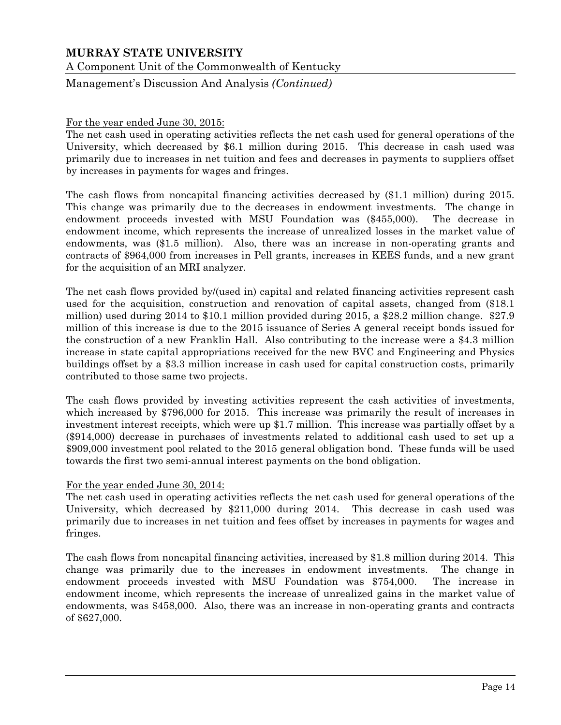#### A Component Unit of the Commonwealth of Kentucky

Management's Discussion And Analysis *(Continued)*

#### For the year ended June 30, 2015:

The net cash used in operating activities reflects the net cash used for general operations of the University, which decreased by \$6.1 million during 2015. This decrease in cash used was primarily due to increases in net tuition and fees and decreases in payments to suppliers offset by increases in payments for wages and fringes.

The cash flows from noncapital financing activities decreased by (\$1.1 million) during 2015. This change was primarily due to the decreases in endowment investments. The change in endowment proceeds invested with MSU Foundation was (\$455,000). The decrease in endowment income, which represents the increase of unrealized losses in the market value of endowments, was (\$1.5 million). Also, there was an increase in non-operating grants and contracts of \$964,000 from increases in Pell grants, increases in KEES funds, and a new grant for the acquisition of an MRI analyzer.

The net cash flows provided by/(used in) capital and related financing activities represent cash used for the acquisition, construction and renovation of capital assets, changed from (\$18.1 million) used during 2014 to \$10.1 million provided during 2015, a \$28.2 million change. \$27.9 million of this increase is due to the 2015 issuance of Series A general receipt bonds issued for the construction of a new Franklin Hall. Also contributing to the increase were a \$4.3 million increase in state capital appropriations received for the new BVC and Engineering and Physics buildings offset by a \$3.3 million increase in cash used for capital construction costs, primarily contributed to those same two projects.

The cash flows provided by investing activities represent the cash activities of investments, which increased by \$796,000 for 2015. This increase was primarily the result of increases in investment interest receipts, which were up \$1.7 million. This increase was partially offset by a (\$914,000) decrease in purchases of investments related to additional cash used to set up a \$909,000 investment pool related to the 2015 general obligation bond. These funds will be used towards the first two semi-annual interest payments on the bond obligation.

#### For the year ended June 30, 2014:

The net cash used in operating activities reflects the net cash used for general operations of the University, which decreased by \$211,000 during 2014. This decrease in cash used was primarily due to increases in net tuition and fees offset by increases in payments for wages and fringes.

The cash flows from noncapital financing activities, increased by \$1.8 million during 2014. This change was primarily due to the increases in endowment investments. The change in endowment proceeds invested with MSU Foundation was \$754,000. The increase in endowment income, which represents the increase of unrealized gains in the market value of endowments, was \$458,000. Also, there was an increase in non-operating grants and contracts of \$627,000.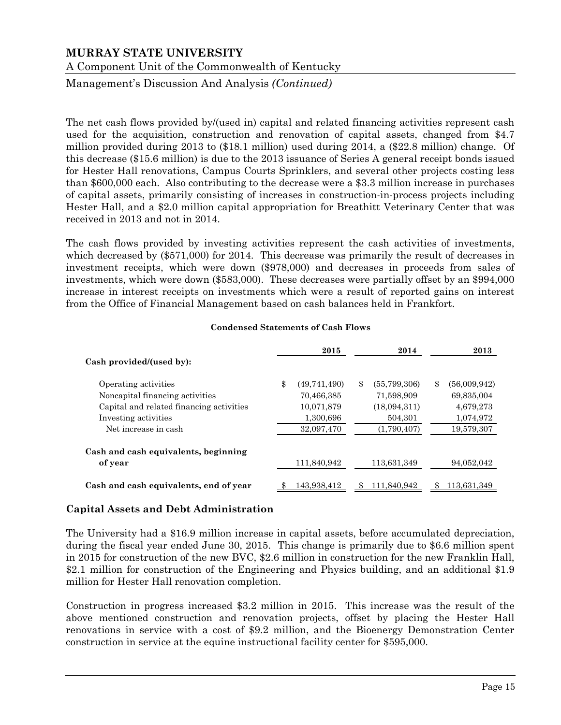Management's Discussion And Analysis *(Continued)*

The net cash flows provided by/(used in) capital and related financing activities represent cash used for the acquisition, construction and renovation of capital assets, changed from \$4.7 million provided during 2013 to (\$18.1 million) used during 2014, a (\$22.8 million) change. Of this decrease (\$15.6 million) is due to the 2013 issuance of Series A general receipt bonds issued for Hester Hall renovations, Campus Courts Sprinklers, and several other projects costing less than \$600,000 each. Also contributing to the decrease were a \$3.3 million increase in purchases of capital assets, primarily consisting of increases in construction-in-process projects including Hester Hall, and a \$2.0 million capital appropriation for Breathitt Veterinary Center that was received in 2013 and not in 2014.

The cash flows provided by investing activities represent the cash activities of investments, which decreased by  $(\$571,000)$  for 2014. This decrease was primarily the result of decreases in investment receipts, which were down (\$978,000) and decreases in proceeds from sales of investments, which were down (\$583,000). These decreases were partially offset by an \$994,000 increase in interest receipts on investments which were a result of reported gains on interest from the Office of Financial Management based on cash balances held in Frankfort.

|                                          | 2015               | 2014                           | 2013               |
|------------------------------------------|--------------------|--------------------------------|--------------------|
| Cash provided/(used by):                 |                    |                                |                    |
| Operating activities                     | \$<br>(49,741,490) | (55, 799, 306)<br>$\mathbf{s}$ | \$<br>(56,009,942) |
| Noncapital financing activities          | 70,466,385         | 71,598,909                     | 69,835,004         |
| Capital and related financing activities | 10,071,879         | (18,094,311)                   | 4,679,273          |
| Investing activities                     | 1,300,696          | 504,301                        | 1,074,972          |
| Net increase in cash                     | 32,097,470         | (1,790,407)                    | 19,579,307         |
| Cash and cash equivalents, beginning     |                    |                                |                    |
| of year                                  | 111,840,942        | 113,631,349                    | 94,052,042         |
| Cash and cash equivalents, end of year   | 143.938.412        | 111.840.942                    | 113,631,349        |

#### **Condensed Statements of Cash Flows**

## **Capital Assets and Debt Administration**

The University had a \$16.9 million increase in capital assets, before accumulated depreciation, during the fiscal year ended June 30, 2015. This change is primarily due to \$6.6 million spent in 2015 for construction of the new BVC, \$2.6 million in construction for the new Franklin Hall, \$2.1 million for construction of the Engineering and Physics building, and an additional \$1.9 million for Hester Hall renovation completion.

Construction in progress increased \$3.2 million in 2015. This increase was the result of the above mentioned construction and renovation projects, offset by placing the Hester Hall renovations in service with a cost of \$9.2 million, and the Bioenergy Demonstration Center construction in service at the equine instructional facility center for \$595,000.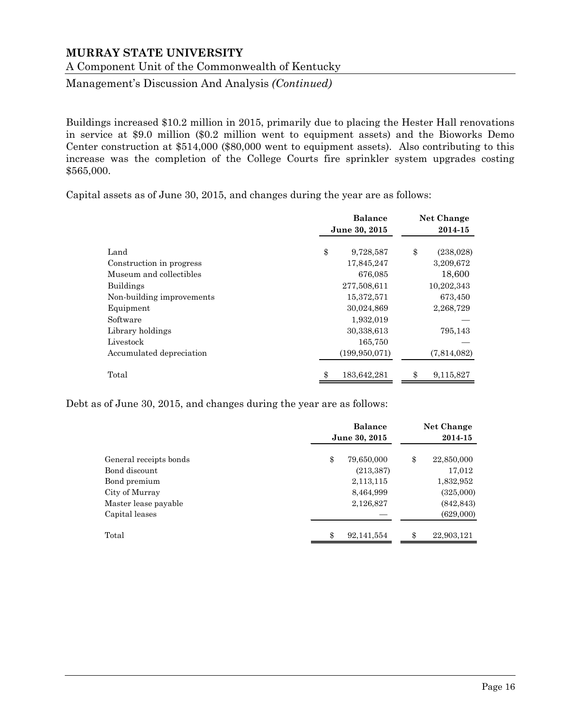A Component Unit of the Commonwealth of Kentucky

Management's Discussion And Analysis *(Continued)*

Buildings increased \$10.2 million in 2015, primarily due to placing the Hester Hall renovations in service at \$9.0 million (\$0.2 million went to equipment assets) and the Bioworks Demo Center construction at \$514,000 (\$80,000 went to equipment assets). Also contributing to this increase was the completion of the College Courts fire sprinkler system upgrades costing \$565,000.

Capital assets as of June 30, 2015, and changes during the year are as follows:

|                           | <b>Balance</b>    | <b>Net Change</b> |
|---------------------------|-------------------|-------------------|
|                           | June 30, 2015     | 2014-15           |
| Land                      | \$<br>9,728,587   | \$<br>(238, 028)  |
| Construction in progress  | 17,845,247        | 3,209,672         |
| Museum and collectibles   | 676,085           | 18,600            |
| <b>Buildings</b>          | 277,508,611       | 10,202,343        |
| Non-building improvements | 15,372,571        | 673.450           |
| Equipment                 | 30,024,869        | 2,268,729         |
| Software                  | 1,932,019         |                   |
| Library holdings          | 30,338,613        | 795,143           |
| Livestock                 | 165,750           |                   |
| Accumulated depreciation  | (199, 950, 071)   | (7,814,082)       |
| Total                     | \$<br>183,642,281 | \$<br>9,115,827   |

Debt as of June 30, 2015, and changes during the year are as follows:

|                        | <b>Balance</b> |               | <b>Net Change</b> |            |  |
|------------------------|----------------|---------------|-------------------|------------|--|
|                        |                | June 30, 2015 |                   | 2014-15    |  |
| General receipts bonds | \$             | 79,650,000    | \$                | 22,850,000 |  |
| Bond discount          |                | (213, 387)    |                   | 17,012     |  |
| Bond premium           |                | 2,113,115     |                   | 1,832,952  |  |
| City of Murray         |                | 8,464,999     |                   | (325,000)  |  |
| Master lease payable   |                | 2,126,827     |                   | (842, 843) |  |
| Capital leases         |                |               |                   | (629,000)  |  |
| Total                  | \$             | 92,141,554    | \$                | 22,903,121 |  |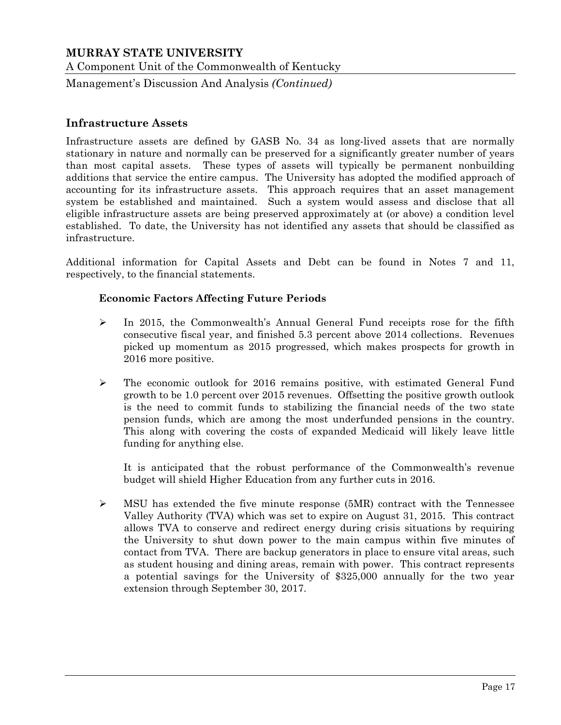Management's Discussion And Analysis *(Continued)*

## **Infrastructure Assets**

Infrastructure assets are defined by GASB No. 34 as long-lived assets that are normally stationary in nature and normally can be preserved for a significantly greater number of years than most capital assets. These types of assets will typically be permanent nonbuilding additions that service the entire campus. The University has adopted the modified approach of accounting for its infrastructure assets. This approach requires that an asset management system be established and maintained. Such a system would assess and disclose that all eligible infrastructure assets are being preserved approximately at (or above) a condition level established. To date, the University has not identified any assets that should be classified as infrastructure.

Additional information for Capital Assets and Debt can be found in Notes 7 and 11, respectively, to the financial statements.

### **Economic Factors Affecting Future Periods**

- $\triangleright$  In 2015, the Commonwealth's Annual General Fund receipts rose for the fifth consecutive fiscal year, and finished 5.3 percent above 2014 collections. Revenues picked up momentum as 2015 progressed, which makes prospects for growth in 2016 more positive.
- The economic outlook for 2016 remains positive, with estimated General Fund growth to be 1.0 percent over 2015 revenues. Offsetting the positive growth outlook is the need to commit funds to stabilizing the financial needs of the two state pension funds, which are among the most underfunded pensions in the country. This along with covering the costs of expanded Medicaid will likely leave little funding for anything else.

It is anticipated that the robust performance of the Commonwealth's revenue budget will shield Higher Education from any further cuts in 2016.

 MSU has extended the five minute response (5MR) contract with the Tennessee Valley Authority (TVA) which was set to expire on August 31, 2015. This contract allows TVA to conserve and redirect energy during crisis situations by requiring the University to shut down power to the main campus within five minutes of contact from TVA. There are backup generators in place to ensure vital areas, such as student housing and dining areas, remain with power. This contract represents a potential savings for the University of \$325,000 annually for the two year extension through September 30, 2017.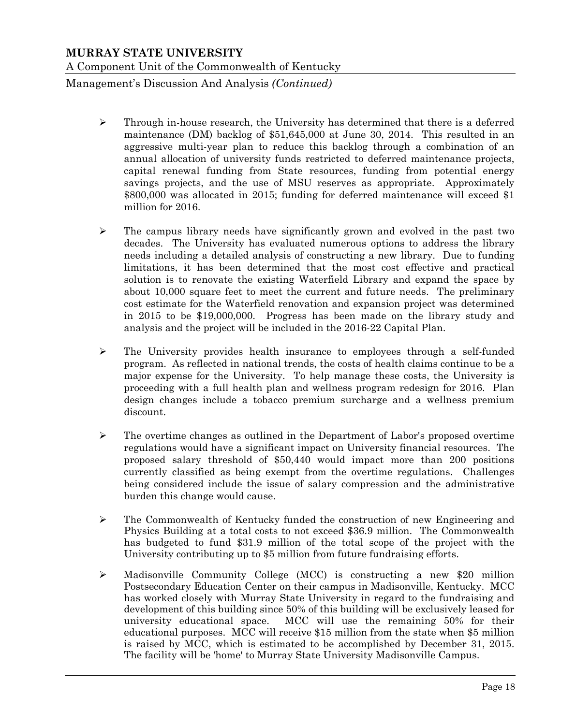Management's Discussion And Analysis *(Continued)*

- $\triangleright$  Through in-house research, the University has determined that there is a deferred maintenance (DM) backlog of \$51,645,000 at June 30, 2014. This resulted in an aggressive multi-year plan to reduce this backlog through a combination of an annual allocation of university funds restricted to deferred maintenance projects, capital renewal funding from State resources, funding from potential energy savings projects, and the use of MSU reserves as appropriate. Approximately \$800,000 was allocated in 2015; funding for deferred maintenance will exceed \$1 million for 2016.
- $\triangleright$  The campus library needs have significantly grown and evolved in the past two decades. The University has evaluated numerous options to address the library needs including a detailed analysis of constructing a new library. Due to funding limitations, it has been determined that the most cost effective and practical solution is to renovate the existing Waterfield Library and expand the space by about 10,000 square feet to meet the current and future needs. The preliminary cost estimate for the Waterfield renovation and expansion project was determined in 2015 to be \$19,000,000. Progress has been made on the library study and analysis and the project will be included in the 2016-22 Capital Plan.
- $\triangleright$  The University provides health insurance to employees through a self-funded program. As reflected in national trends, the costs of health claims continue to be a major expense for the University. To help manage these costs, the University is proceeding with a full health plan and wellness program redesign for 2016. Plan design changes include a tobacco premium surcharge and a wellness premium discount.
- $\triangleright$  The overtime changes as outlined in the Department of Labor's proposed overtime regulations would have a significant impact on University financial resources. The proposed salary threshold of \$50,440 would impact more than 200 positions currently classified as being exempt from the overtime regulations. Challenges being considered include the issue of salary compression and the administrative burden this change would cause.
- $\geq$  The Commonwealth of Kentucky funded the construction of new Engineering and Physics Building at a total costs to not exceed \$36.9 million. The Commonwealth has budgeted to fund \$31.9 million of the total scope of the project with the University contributing up to \$5 million from future fundraising efforts.
- $\geq$  Madisonville Community College (MCC) is constructing a new \$20 million Postsecondary Education Center on their campus in Madisonville, Kentucky. MCC has worked closely with Murray State University in regard to the fundraising and development of this building since 50% of this building will be exclusively leased for university educational space. MCC will use the remaining 50% for their educational purposes. MCC will receive \$15 million from the state when \$5 million is raised by MCC, which is estimated to be accomplished by December 31, 2015. The facility will be 'home' to Murray State University Madisonville Campus.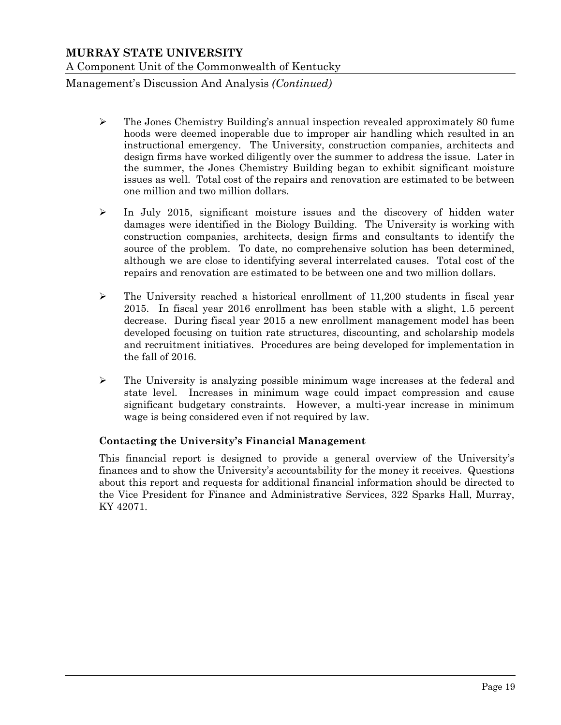Management's Discussion And Analysis *(Continued)*

- $\triangleright$  The Jones Chemistry Building's annual inspection revealed approximately 80 fume hoods were deemed inoperable due to improper air handling which resulted in an instructional emergency. The University, construction companies, architects and design firms have worked diligently over the summer to address the issue. Later in the summer, the Jones Chemistry Building began to exhibit significant moisture issues as well. Total cost of the repairs and renovation are estimated to be between one million and two million dollars.
- $\triangleright$  In July 2015, significant moisture issues and the discovery of hidden water damages were identified in the Biology Building. The University is working with construction companies, architects, design firms and consultants to identify the source of the problem. To date, no comprehensive solution has been determined, although we are close to identifying several interrelated causes. Total cost of the repairs and renovation are estimated to be between one and two million dollars.
- $\triangleright$  The University reached a historical enrollment of 11,200 students in fiscal year 2015. In fiscal year 2016 enrollment has been stable with a slight, 1.5 percent decrease. During fiscal year 2015 a new enrollment management model has been developed focusing on tuition rate structures, discounting, and scholarship models and recruitment initiatives. Procedures are being developed for implementation in the fall of 2016.
- $\triangleright$  The University is analyzing possible minimum wage increases at the federal and state level. Increases in minimum wage could impact compression and cause significant budgetary constraints. However, a multi-year increase in minimum wage is being considered even if not required by law.

# **Contacting the University's Financial Management**

This financial report is designed to provide a general overview of the University's finances and to show the University's accountability for the money it receives. Questions about this report and requests for additional financial information should be directed to the Vice President for Finance and Administrative Services, 322 Sparks Hall, Murray, KY 42071.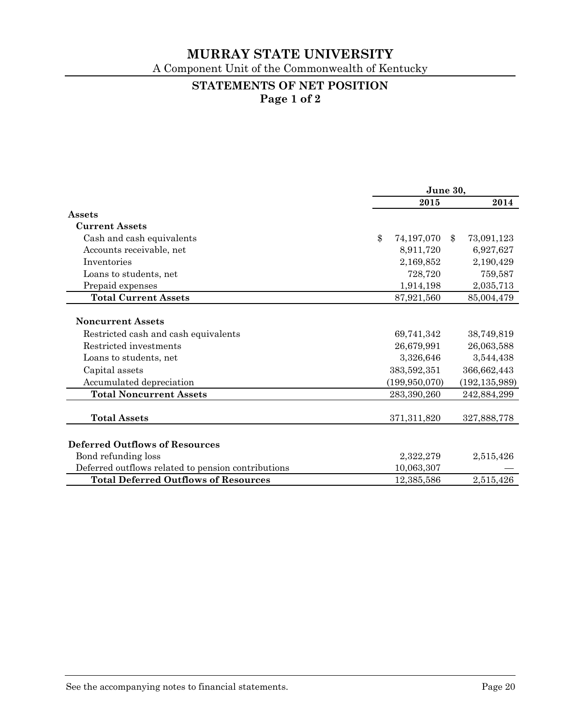A Component Unit of the Commonwealth of Kentucky

# **STATEMENTS OF NET POSITION**

**Page 1 of 2** 

|                                                    | June 30, |                 |    |                 |
|----------------------------------------------------|----------|-----------------|----|-----------------|
|                                                    |          | 2015            |    | 2014            |
| Assets                                             |          |                 |    |                 |
| <b>Current Assets</b>                              |          |                 |    |                 |
| Cash and cash equivalents                          | \$       | 74,197,070      | \$ | 73,091,123      |
| Accounts receivable, net                           |          | 8,911,720       |    | 6,927,627       |
| Inventories                                        |          | 2,169,852       |    | 2,190,429       |
| Loans to students, net                             |          | 728,720         |    | 759,587         |
| Prepaid expenses                                   |          | 1,914,198       |    | 2,035,713       |
| <b>Total Current Assets</b>                        |          | 87,921,560      |    | 85,004,479      |
| <b>Noncurrent Assets</b>                           |          |                 |    |                 |
| Restricted cash and cash equivalents               |          | 69,741,342      |    | 38,749,819      |
| Restricted investments                             |          | 26,679,991      |    | 26,063,588      |
| Loans to students, net                             |          | 3,326,646       |    | 3,544,438       |
| Capital assets                                     |          | 383,592,351     |    | 366,662,443     |
| Accumulated depreciation                           |          | (199, 950, 070) |    | (192, 135, 989) |
| <b>Total Noncurrent Assets</b>                     |          | 283,390,260     |    | 242,884,299     |
|                                                    |          |                 |    |                 |
| <b>Total Assets</b>                                |          | 371,311,820     |    | 327,888,778     |
|                                                    |          |                 |    |                 |
| <b>Deferred Outflows of Resources</b>              |          |                 |    |                 |
| Bond refunding loss                                |          | 2,322,279       |    | 2,515,426       |
| Deferred outflows related to pension contributions |          | 10,063,307      |    |                 |
| <b>Total Deferred Outflows of Resources</b>        |          | 12,385,586      |    | 2,515,426       |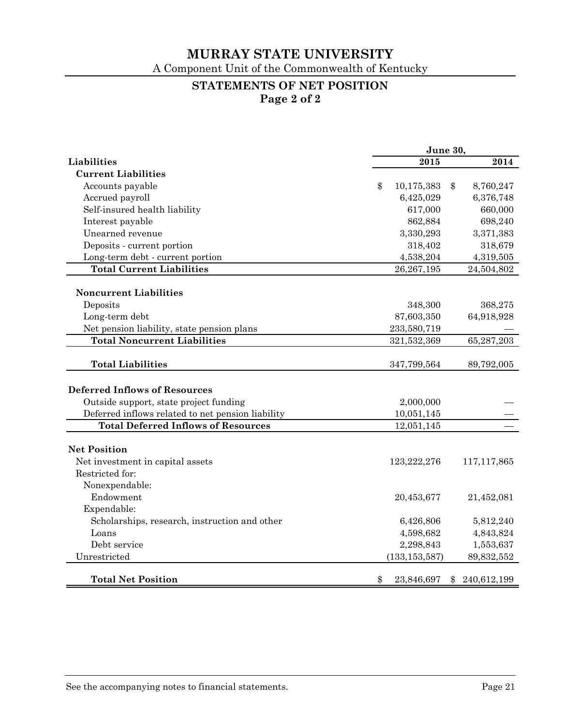A Component Unit of the Commonwealth of Kentucky

# **STATEMENTS OF NET POSITION**

**Page 2 of 2** 

|                                                   | June 30, |                 |    |               |
|---------------------------------------------------|----------|-----------------|----|---------------|
| Liabilities                                       |          | 2015            |    | 2014          |
| <b>Current Liabilities</b>                        |          |                 |    |               |
| Accounts payable                                  | \$       | 10,175,383      | \$ | 8,760,247     |
| Accrued payroll                                   |          | 6,425,029       |    | 6,376,748     |
| Self-insured health liability                     |          | 617,000         |    | 660,000       |
| Interest payable                                  |          | 862,884         |    | 698,240       |
| Unearned revenue                                  |          | 3,330,293       |    | 3,371,383     |
| Deposits - current portion                        |          | 318,402         |    | 318,679       |
| Long-term debt - current portion                  |          | 4,538,204       |    | 4,319,505     |
| <b>Total Current Liabilities</b>                  |          | 26,267,195      |    | 24,504,802    |
|                                                   |          |                 |    |               |
| <b>Noncurrent Liabilities</b>                     |          |                 |    |               |
| Deposits                                          |          | 348,300         |    | 368,275       |
| Long-term debt                                    |          | 87,603,350      |    | 64,918,928    |
| Net pension liability, state pension plans        |          | 233,580,719     |    |               |
| <b>Total Noncurrent Liabilities</b>               |          | 321,532,369     |    | 65,287,203    |
|                                                   |          |                 |    |               |
| <b>Total Liabilities</b>                          |          | 347,799,564     |    | 89,792,005    |
|                                                   |          |                 |    |               |
| <b>Deferred Inflows of Resources</b>              |          |                 |    |               |
| Outside support, state project funding            |          | 2,000,000       |    |               |
| Deferred inflows related to net pension liability |          | 10,051,145      |    |               |
| <b>Total Deferred Inflows of Resources</b>        |          | 12,051,145      |    |               |
|                                                   |          |                 |    |               |
| <b>Net Position</b>                               |          |                 |    |               |
| Net investment in capital assets                  |          | 123,222,276     |    | 117, 117, 865 |
| Restricted for:                                   |          |                 |    |               |
| Nonexpendable:                                    |          |                 |    |               |
| Endowment                                         |          | 20,453,677      |    | 21,452,081    |
| Expendable:                                       |          |                 |    |               |
| Scholarships, research, instruction and other     |          | 6,426,806       |    | 5,812,240     |
| Loans                                             |          | 4,598,682       |    | 4,843,824     |
| Debt service                                      |          | 2,298,843       |    | 1,553,637     |
| Unrestricted                                      |          | (133, 153, 587) |    | 89,832,552    |
| <b>Total Net Position</b>                         | \$       | 23,846,697      | \$ | 240,612,199   |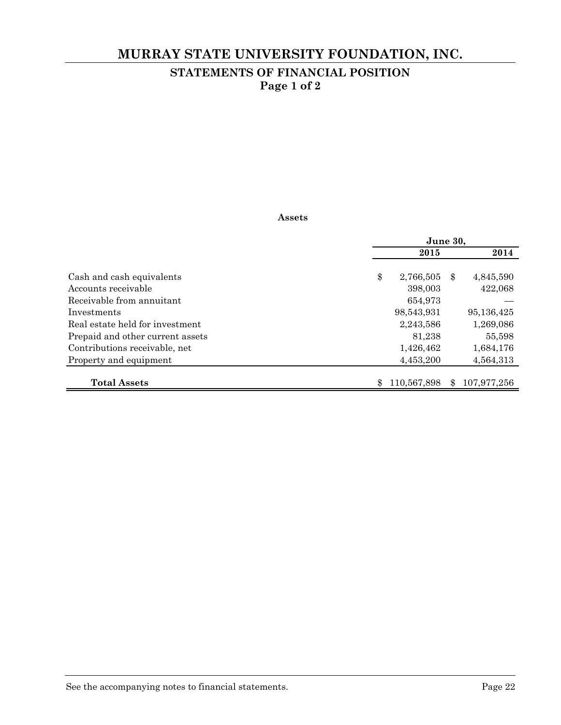# **MURRAY STATE UNIVERSITY FOUNDATION, INC.**

# **STATEMENTS OF FINANCIAL POSITION Page 1 of 2**

#### **Assets**

|                                  | June 30, |             |     |              |
|----------------------------------|----------|-------------|-----|--------------|
|                                  |          | 2015        |     | 2014         |
| Cash and cash equivalents        | \$       | 2,766,505   | \$  | 4,845,590    |
| Accounts receivable              |          | 398,003     |     | 422,068      |
| Receivable from annuitant        |          | 654,973     |     |              |
| Investments                      |          | 98,543,931  |     | 95, 136, 425 |
| Real estate held for investment  |          | 2,243,586   |     | 1,269,086    |
| Prepaid and other current assets |          | 81,238      |     | 55,598       |
| Contributions receivable, net    |          | 1,426,462   |     | 1,684,176    |
| Property and equipment           |          | 4,453,200   |     | 4,564,313    |
|                                  |          |             |     |              |
| <b>Total Assets</b>              | S.       | 110,567,898 | \$. | 107.977.256  |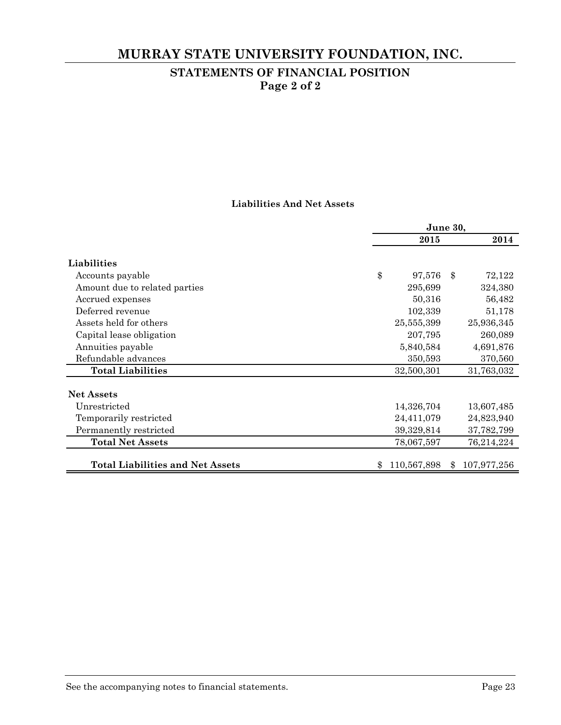# **MURRAY STATE UNIVERSITY FOUNDATION, INC.**

# **STATEMENTS OF FINANCIAL POSITION Page 2 of 2**

### **Liabilities And Net Assets**

|                                         | June 30, |             |     |             |
|-----------------------------------------|----------|-------------|-----|-------------|
|                                         |          | 2015        |     | 2014        |
| Liabilities                             |          |             |     |             |
| Accounts payable                        | \$       | 97,576      | -S  | 72,122      |
| Amount due to related parties           |          | 295,699     |     | 324,380     |
| Accrued expenses                        |          | 50,316      |     | 56,482      |
| Deferred revenue                        |          | 102,339     |     | 51,178      |
| Assets held for others                  |          | 25,555,399  |     | 25,936,345  |
| Capital lease obligation                |          | 207,795     |     | 260,089     |
| Annuities payable                       |          | 5,840,584   |     | 4,691,876   |
| Refundable advances                     |          | 350,593     |     | 370,560     |
| <b>Total Liabilities</b>                |          | 32,500,301  |     | 31,763,032  |
| <b>Net Assets</b>                       |          |             |     |             |
| Unrestricted                            |          | 14,326,704  |     | 13,607,485  |
| Temporarily restricted                  |          | 24,411,079  |     | 24,823,940  |
| Permanently restricted                  |          | 39,329,814  |     | 37,782,799  |
| <b>Total Net Assets</b>                 |          | 78,067,597  |     | 76,214,224  |
| <b>Total Liabilities and Net Assets</b> | \$.      | 110,567,898 | \$. | 107,977,256 |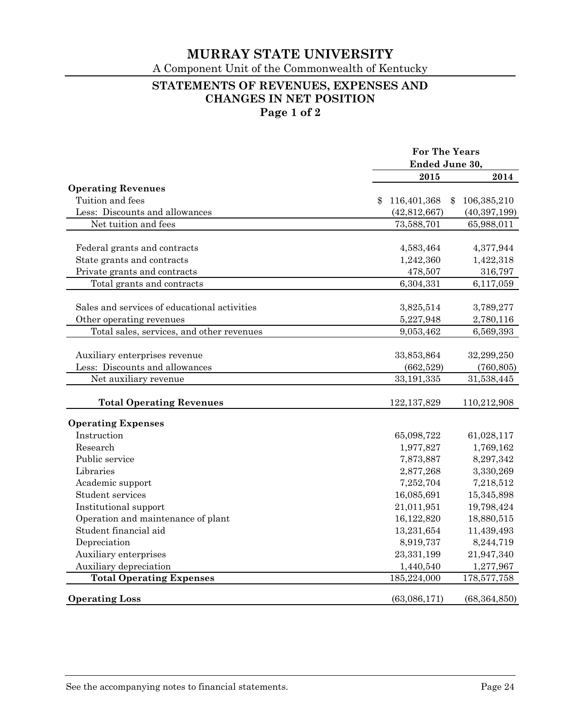A Component Unit of the Commonwealth of Kentucky

# **STATEMENTS OF REVENUES, EXPENSES AND CHANGES IN NET POSITION Page 1 of 2**

|                                              | <b>For The Years</b> |                   |  |
|----------------------------------------------|----------------------|-------------------|--|
|                                              | Ended June 30,       |                   |  |
|                                              | 2015                 | 2014              |  |
| <b>Operating Revenues</b>                    |                      |                   |  |
| Tuition and fees                             | 116,401,368<br>\$.   | 106,385,210<br>\$ |  |
| Less: Discounts and allowances               | (42, 812, 667)       | (40, 397, 199)    |  |
| Net tuition and fees                         | 73,588,701           | 65,988,011        |  |
|                                              |                      |                   |  |
| Federal grants and contracts                 | 4,583,464            | 4,377,944         |  |
| State grants and contracts                   | 1,242,360            | 1,422,318         |  |
| Private grants and contracts                 | 478,507              | 316,797           |  |
| Total grants and contracts                   | 6,304,331            | 6,117,059         |  |
| Sales and services of educational activities | 3,825,514            | 3,789,277         |  |
| Other operating revenues                     | 5,227,948            | 2,780,116         |  |
| Total sales, services, and other revenues    | 9,053,462            | 6,569,393         |  |
|                                              |                      |                   |  |
| Auxiliary enterprises revenue                | 33,853,864           | 32,299,250        |  |
| Less: Discounts and allowances               | (662, 529)           | (760, 805)        |  |
| Net auxiliary revenue                        | 33,191,335           | 31,538,445        |  |
| <b>Total Operating Revenues</b>              | 122, 137, 829        | 110,212,908       |  |
| <b>Operating Expenses</b>                    |                      |                   |  |
| Instruction                                  | 65,098,722           | 61,028,117        |  |
| Research                                     | 1,977,827            | 1,769,162         |  |
| Public service                               | 7,873,887            | 8,297,342         |  |
| Libraries                                    | 2,877,268            | 3,330,269         |  |
| Academic support                             | 7,252,704            | 7,218,512         |  |
| Student services                             | 16,085,691           | 15,345,898        |  |
| Institutional support                        | 21,011,951           | 19,798,424        |  |
| Operation and maintenance of plant           | 16,122,820           | 18,880,515        |  |
| Student financial aid                        | 13,231,654           | 11,439,493        |  |
| Depreciation                                 | 8,919,737            | 8,244,719         |  |
| Auxiliary enterprises                        | 23,331,199           | 21,947,340        |  |
| Auxiliary depreciation                       | 1,440,540            | 1,277,967         |  |
| <b>Total Operating Expenses</b>              | 185,224,000          | 178,577,758       |  |
| <b>Operating Loss</b>                        | (63,086,171)         | (68, 364, 850)    |  |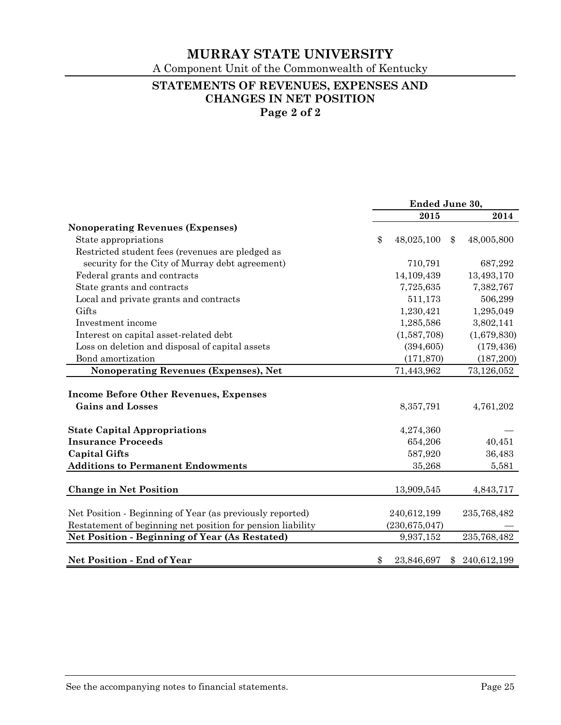A Component Unit of the Commonwealth of Kentucky

# **STATEMENTS OF REVENUES, EXPENSES AND CHANGES IN NET POSITION Page 2 of 2**

|                                                             | Ended June 30,     |                 |    |             |
|-------------------------------------------------------------|--------------------|-----------------|----|-------------|
|                                                             |                    | 2015            |    | 2014        |
| <b>Nonoperating Revenues (Expenses)</b>                     |                    |                 |    |             |
| State appropriations                                        | $\boldsymbol{\$\}$ | 48,025,100      | \$ | 48,005,800  |
| Restricted student fees (revenues are pledged as            |                    |                 |    |             |
| security for the City of Murray debt agreement)             |                    | 710,791         |    | 687,292     |
| Federal grants and contracts                                |                    | 14, 109, 439    |    | 13,493,170  |
| State grants and contracts                                  |                    | 7,725,635       |    | 7,382,767   |
| Local and private grants and contracts                      |                    | 511,173         |    | 506,299     |
| Gifts                                                       |                    | 1,230,421       |    | 1,295,049   |
| Investment income                                           |                    | 1,285,586       |    | 3,802,141   |
| Interest on capital asset-related debt                      |                    | (1,587,708)     |    | (1,679,830) |
| Loss on deletion and disposal of capital assets             |                    | (394, 605)      |    | (179, 436)  |
| Bond amortization                                           |                    | (171, 870)      |    | (187,200)   |
| Nonoperating Revenues (Expenses), Net                       |                    | 71,443,962      |    | 73,126,052  |
|                                                             |                    |                 |    |             |
| <b>Income Before Other Revenues, Expenses</b>               |                    |                 |    |             |
| <b>Gains and Losses</b>                                     |                    | 8,357,791       |    | 4,761,202   |
| <b>State Capital Appropriations</b>                         |                    | 4,274,360       |    |             |
| <b>Insurance Proceeds</b>                                   |                    | 654,206         |    | 40,451      |
| <b>Capital Gifts</b>                                        |                    | 587,920         |    | 36,483      |
| <b>Additions to Permanent Endowments</b>                    |                    | 35,268          |    | 5,581       |
|                                                             |                    |                 |    |             |
| <b>Change in Net Position</b>                               |                    | 13,909,545      |    | 4,843,717   |
| Net Position - Beginning of Year (as previously reported)   |                    | 240,612,199     |    | 235,768,482 |
| Restatement of beginning net position for pension liability |                    | (230, 675, 047) |    |             |
| <b>Net Position - Beginning of Year (As Restated)</b>       |                    | 9,937,152       |    | 235,768,482 |
|                                                             |                    |                 |    |             |
| <b>Net Position - End of Year</b>                           | \$                 | 23,846,697      | \$ | 240,612,199 |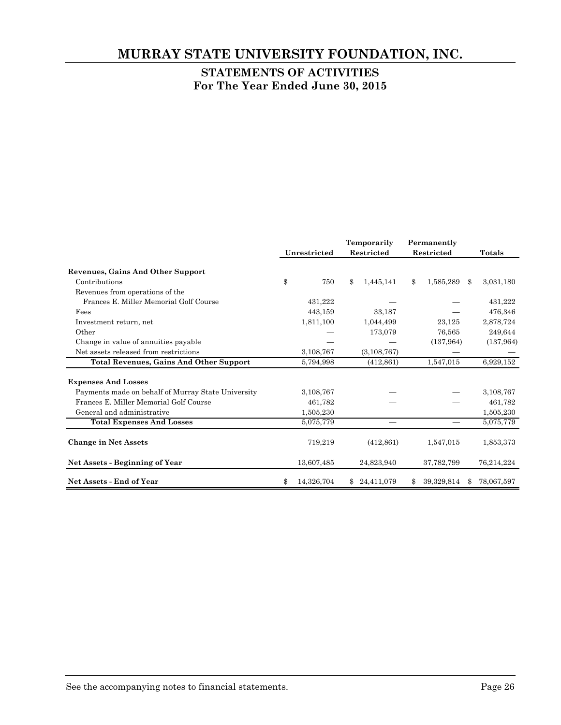# **MURRAY STATE UNIVERSITY FOUNDATION, INC.**

# **STATEMENTS OF ACTIVITIES For The Year Ended June 30, 2015**

|                                                    | Unrestricted     | Temporarily<br>Restricted |               | Permanently<br>Restricted |            |               | <b>Totals</b> |
|----------------------------------------------------|------------------|---------------------------|---------------|---------------------------|------------|---------------|---------------|
| <b>Revenues, Gains And Other Support</b>           |                  |                           |               |                           |            |               |               |
| Contributions                                      | \$<br>750        | \$                        | 1,445,141     | \$                        | 1,585,289  | $\mathbf{\$}$ | 3,031,180     |
| Revenues from operations of the                    |                  |                           |               |                           |            |               |               |
| Frances E. Miller Memorial Golf Course             | 431,222          |                           |               |                           |            |               | 431,222       |
| Fees                                               | 443,159          |                           | 33,187        |                           |            |               | 476,346       |
| Investment return, net                             | 1,811,100        |                           | 1,044,499     |                           | 23,125     |               | 2,878,724     |
| Other                                              |                  |                           | 173,079       |                           | 76,565     |               | 249,644       |
| Change in value of annuities payable               |                  |                           |               |                           | (137, 964) |               | (137, 964)    |
| Net assets released from restrictions              | 3,108,767        |                           | (3, 108, 767) |                           |            |               |               |
| <b>Total Revenues, Gains And Other Support</b>     | 5,794,998        |                           | (412, 861)    |                           | 1,547,015  |               | 6,929,152     |
| <b>Expenses And Losses</b>                         |                  |                           |               |                           |            |               |               |
| Payments made on behalf of Murray State University | 3,108,767        |                           |               |                           |            |               | 3,108,767     |
| Frances E. Miller Memorial Golf Course             | 461,782          |                           |               |                           |            |               | 461,782       |
| General and administrative                         | 1,505,230        |                           |               |                           |            |               | 1,505,230     |
| <b>Total Expenses And Losses</b>                   | 5,075,779        |                           |               |                           |            |               | 5,075,779     |
| <b>Change in Net Assets</b>                        | 719,219          |                           | (412, 861)    |                           | 1,547,015  |               | 1,853,373     |
| Net Assets - Beginning of Year                     | 13,607,485       |                           | 24,823,940    |                           | 37,782,799 |               | 76,214,224    |
| <b>Net Assets - End of Year</b>                    | \$<br>14,326,704 | $\mathbf{\$}$             | 24,411,079    | \$                        | 39,329,814 | \$            | 78,067,597    |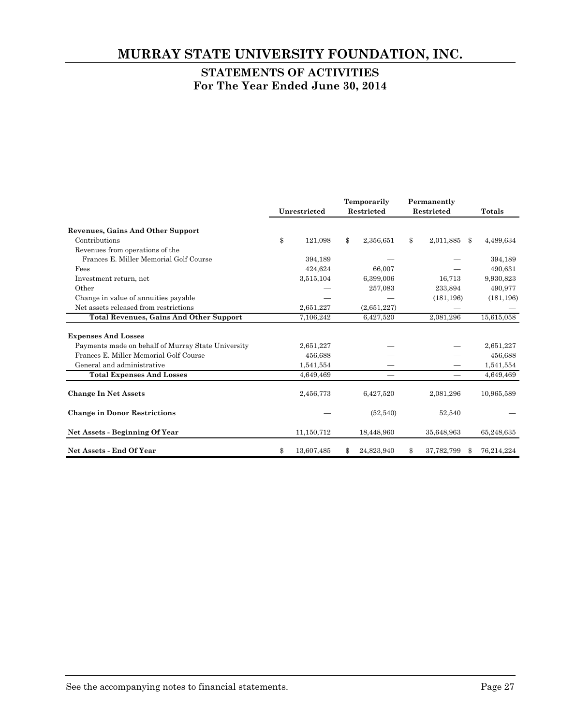# **MURRAY STATE UNIVERSITY FOUNDATION, INC.**

# **STATEMENTS OF ACTIVITIES For The Year Ended June 30, 2014**

|                                                    |    |              | Temporarily |             | Permanently |            |    |               |
|----------------------------------------------------|----|--------------|-------------|-------------|-------------|------------|----|---------------|
|                                                    |    | Unrestricted | Restricted  |             | Restricted  |            |    | <b>Totals</b> |
| <b>Revenues, Gains And Other Support</b>           |    |              |             |             |             |            |    |               |
| Contributions                                      | \$ | 121,098      | \$          | 2,356,651   | \$          | 2,011,885  | \$ | 4,489,634     |
| Revenues from operations of the                    |    |              |             |             |             |            |    |               |
| Frances E. Miller Memorial Golf Course             |    | 394,189      |             |             |             |            |    | 394,189       |
| Fees                                               |    | 424,624      |             | 66,007      |             |            |    | 490,631       |
| Investment return, net                             |    | 3,515,104    |             | 6,399,006   |             | 16,713     |    | 9,930,823     |
| Other                                              |    |              |             | 257,083     |             | 233,894    |    | 490,977       |
| Change in value of annuities payable               |    |              |             |             |             | (181, 196) |    | (181, 196)    |
| Net assets released from restrictions              |    | 2,651,227    |             | (2,651,227) |             |            |    |               |
| <b>Total Revenues, Gains And Other Support</b>     |    | 7,106,242    |             | 6,427,520   |             | 2.081.296  |    | 15,615,058    |
| <b>Expenses And Losses</b>                         |    |              |             |             |             |            |    |               |
| Payments made on behalf of Murray State University |    | 2,651,227    |             |             |             |            |    | 2,651,227     |
| Frances E. Miller Memorial Golf Course             |    | 456.688      |             |             |             |            |    | 456,688       |
| General and administrative                         |    | 1,541,554    |             |             |             |            |    | 1,541,554     |
| <b>Total Expenses And Losses</b>                   |    | 4,649,469    |             |             |             |            |    | 4,649,469     |
| <b>Change In Net Assets</b>                        |    | 2,456,773    |             | 6,427,520   |             | 2,081,296  |    | 10,965,589    |
| <b>Change in Donor Restrictions</b>                |    |              |             | (52, 540)   |             | 52,540     |    |               |
| Net Assets - Beginning Of Year                     |    | 11,150,712   |             | 18,448,960  |             | 35,648,963 |    | 65,248,635    |
| <b>Net Assets - End Of Year</b>                    | \$ | 13,607,485   | \$          | 24,823,940  | \$          | 37,782,799 | \$ | 76,214,224    |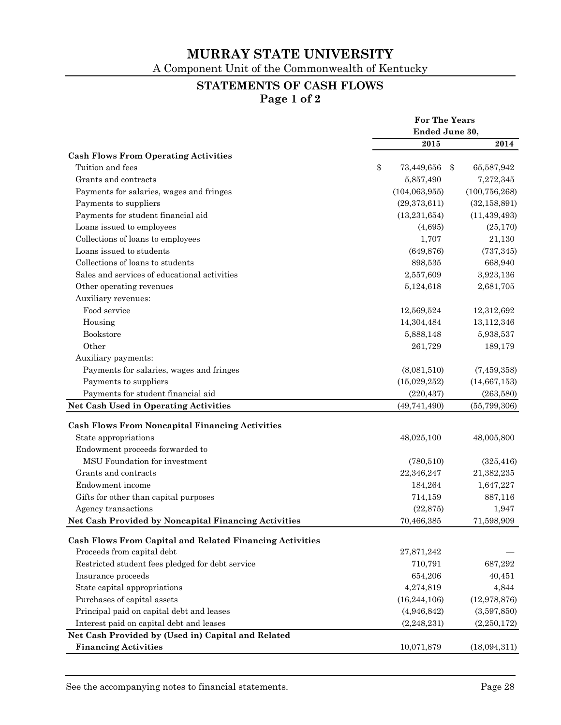A Component Unit of the Commonwealth of Kentucky

# **STATEMENTS OF CASH FLOWS**

**Page 1 of 2** 

|                                                          |                | <b>For The Years</b> |                 |  |
|----------------------------------------------------------|----------------|----------------------|-----------------|--|
|                                                          | Ended June 30, |                      |                 |  |
|                                                          |                | 2015                 | 2014            |  |
| <b>Cash Flows From Operating Activities</b>              |                |                      |                 |  |
| Tuition and fees                                         | \$             | 73,449,656<br>\$     | 65,587,942      |  |
| Grants and contracts                                     |                | 5,857,490            | 7,272,345       |  |
| Payments for salaries, wages and fringes                 |                | (104, 063, 955)      | (100, 756, 268) |  |
| Payments to suppliers                                    |                | (29, 373, 611)       | (32, 158, 891)  |  |
| Payments for student financial aid                       |                | (13, 231, 654)       | (11, 439, 493)  |  |
| Loans issued to employees                                |                | (4,695)              | (25, 170)       |  |
| Collections of loans to employees                        |                | 1,707                | 21,130          |  |
| Loans issued to students                                 |                | (649, 876)           | (737, 345)      |  |
| Collections of loans to students                         |                | 898,535              | 668,940         |  |
| Sales and services of educational activities             |                | 2,557,609            | 3,923,136       |  |
| Other operating revenues                                 |                | 5,124,618            | 2,681,705       |  |
| Auxiliary revenues:                                      |                |                      |                 |  |
| Food service                                             |                | 12,569,524           | 12,312,692      |  |
| Housing                                                  |                | 14,304,484           | 13,112,346      |  |
| Bookstore                                                |                | 5,888,148            | 5,938,537       |  |
| Other                                                    |                | 261,729              | 189,179         |  |
| Auxiliary payments:                                      |                |                      |                 |  |
| Payments for salaries, wages and fringes                 |                | (8,081,510)          | (7,459,358)     |  |
| Payments to suppliers                                    |                | (15,029,252)         | (14, 667, 153)  |  |
| Payments for student financial aid                       |                | (220, 437)           | (263, 580)      |  |
| Net Cash Used in Operating Activities                    |                | (49, 741, 490)       | (55, 799, 306)  |  |
| <b>Cash Flows From Noncapital Financing Activities</b>   |                |                      |                 |  |
| State appropriations                                     |                | 48,025,100           | 48,005,800      |  |
| Endowment proceeds forwarded to                          |                |                      |                 |  |
| MSU Foundation for investment                            |                | (780, 510)           | (325, 416)      |  |
| Grants and contracts                                     |                | 22,346,247           | 21,382,235      |  |
| Endowment income                                         |                | 184,264              | 1,647,227       |  |
| Gifts for other than capital purposes                    |                | 714,159              | 887,116         |  |
| Agency transactions                                      |                | (22, 875)            | 1,947           |  |
| Net Cash Provided by Noncapital Financing Activities     |                | 70,466,385           | 71,598,909      |  |
| Cash Flows From Capital and Related Financing Activities |                |                      |                 |  |
| Proceeds from capital debt                               |                | 27,871,242           |                 |  |
| Restricted student fees pledged for debt service         |                | 710,791              | 687,292         |  |
| Insurance proceeds                                       |                | 654,206              | 40,451          |  |
| State capital appropriations                             |                | 4,274,819            | 4,844           |  |
| Purchases of capital assets                              |                | (16, 244, 106)       | (12,978,876)    |  |
| Principal paid on capital debt and leases                |                | (4,946,842)          | (3,597,850)     |  |
| Interest paid on capital debt and leases                 |                | (2, 248, 231)        | (2,250,172)     |  |
| Net Cash Provided by (Used in) Capital and Related       |                |                      |                 |  |
| <b>Financing Activities</b>                              |                | 10,071,879           | (18,094,311)    |  |
|                                                          |                |                      |                 |  |

See the accompanying notes to financial statements. Page 28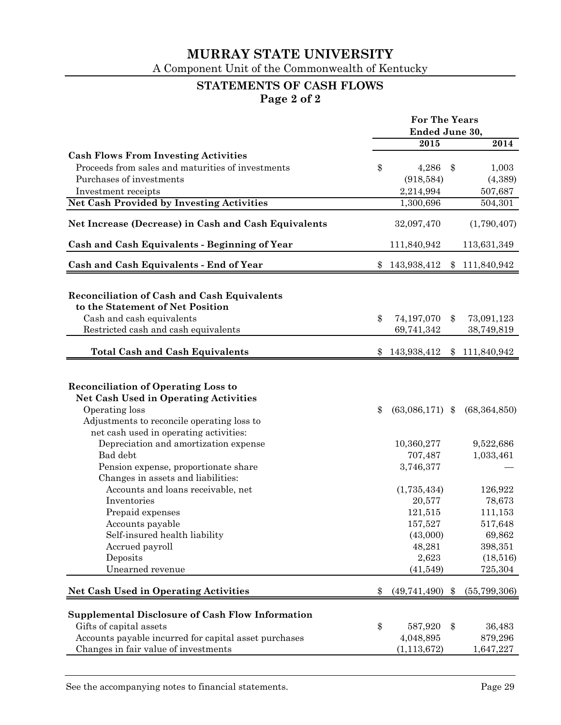A Component Unit of the Commonwealth of Kentucky

# **STATEMENTS OF CASH FLOWS**

**Page 2 of 2**

|                                                         | <b>For The Years</b>    |                   |    |                |  |
|---------------------------------------------------------|-------------------------|-------------------|----|----------------|--|
|                                                         | Ended June 30,          |                   |    |                |  |
|                                                         |                         | 2015              |    | 2014           |  |
| <b>Cash Flows From Investing Activities</b>             |                         |                   |    |                |  |
| Proceeds from sales and maturities of investments       | \$                      | 4,286             | \$ | 1,003          |  |
| Purchases of investments                                |                         | (918, 584)        |    | (4,389)        |  |
| Investment receipts                                     |                         | 2,214,994         |    | 507,687        |  |
| <b>Net Cash Provided by Investing Activities</b>        |                         | 1,300,696         |    | 504,301        |  |
|                                                         |                         |                   |    |                |  |
| Net Increase (Decrease) in Cash and Cash Equivalents    |                         | 32,097,470        |    | (1,790,407)    |  |
| Cash and Cash Equivalents - Beginning of Year           |                         | 111,840,942       |    | 113,631,349    |  |
| Cash and Cash Equivalents - End of Year                 | \$                      | 143,938,412       | \$ | 111,840,942    |  |
|                                                         |                         |                   |    |                |  |
| <b>Reconciliation of Cash and Cash Equivalents</b>      |                         |                   |    |                |  |
| to the Statement of Net Position                        |                         |                   |    |                |  |
| Cash and cash equivalents                               | \$                      | 74,197,070        | \$ | 73,091,123     |  |
| Restricted cash and cash equivalents                    |                         | 69,741,342        |    | 38,749,819     |  |
| <b>Total Cash and Cash Equivalents</b>                  |                         | 143,938,412       | \$ | 111,840,942    |  |
|                                                         |                         |                   |    |                |  |
|                                                         |                         |                   |    |                |  |
| <b>Reconciliation of Operating Loss to</b>              |                         |                   |    |                |  |
| <b>Net Cash Used in Operating Activities</b>            |                         |                   |    |                |  |
| Operating loss                                          | \$                      | $(63,086,171)$ \$ |    | (68, 364, 850) |  |
| Adjustments to reconcile operating loss to              |                         |                   |    |                |  |
| net cash used in operating activities:                  |                         |                   |    |                |  |
| Depreciation and amortization expense                   | 9,522,686<br>10,360,277 |                   |    |                |  |
| Bad debt                                                | 707,487<br>1,033,461    |                   |    |                |  |
| Pension expense, proportionate share                    |                         | 3,746,377         |    |                |  |
| Changes in assets and liabilities:                      |                         |                   |    |                |  |
| Accounts and loans receivable, net                      |                         | (1,735,434)       |    | 126,922        |  |
| Inventories                                             |                         | 20,577            |    | 78,673         |  |
| Prepaid expenses                                        |                         | 121,515           |    | 111,153        |  |
| Accounts payable                                        |                         | 157,527           |    | 517,648        |  |
| Self-insured health liability                           |                         | (43,000)          |    | 69,862         |  |
| Accrued payroll                                         |                         | 48,281            |    | 398,351        |  |
| Deposits                                                |                         | 2,623             |    | (18,516)       |  |
| Unearned revenue                                        |                         | (41,549)          |    | 725,304        |  |
| <b>Net Cash Used in Operating Activities</b>            | \$                      | (49,741,490)      | \$ | (55,799,306)   |  |
|                                                         |                         |                   |    |                |  |
| <b>Supplemental Disclosure of Cash Flow Information</b> |                         |                   |    |                |  |
| Gifts of capital assets                                 | \$                      | 587,920           | \$ | 36,483         |  |
| Accounts payable incurred for capital asset purchases   |                         | 4,048,895         |    | 879,296        |  |
| Changes in fair value of investments                    |                         | (1, 113, 672)     |    | 1,647,227      |  |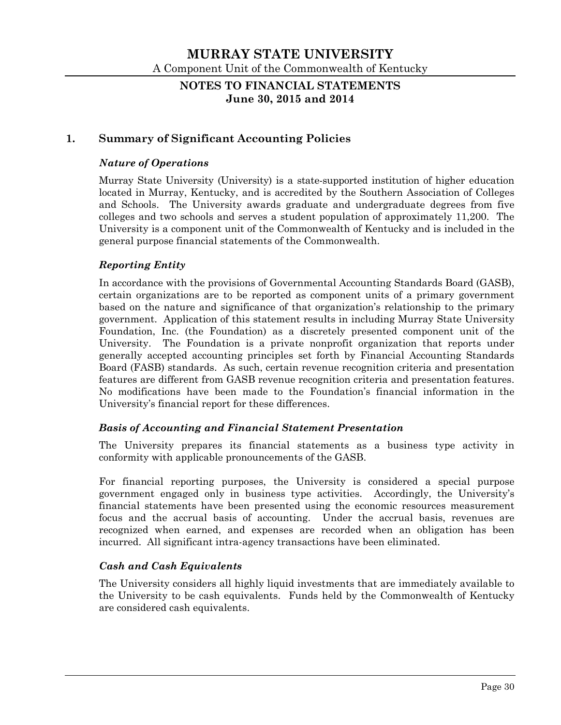# **NOTES TO FINANCIAL STATEMENTS June 30, 2015 and 2014**

# **1. Summary of Significant Accounting Policies**

### *Nature of Operations*

Murray State University (University) is a state-supported institution of higher education located in Murray, Kentucky, and is accredited by the Southern Association of Colleges and Schools. The University awards graduate and undergraduate degrees from five colleges and two schools and serves a student population of approximately 11,200. The University is a component unit of the Commonwealth of Kentucky and is included in the general purpose financial statements of the Commonwealth.

### *Reporting Entity*

In accordance with the provisions of Governmental Accounting Standards Board (GASB), certain organizations are to be reported as component units of a primary government based on the nature and significance of that organization's relationship to the primary government. Application of this statement results in including Murray State University Foundation, Inc. (the Foundation) as a discretely presented component unit of the University. The Foundation is a private nonprofit organization that reports under generally accepted accounting principles set forth by Financial Accounting Standards Board (FASB) standards. As such, certain revenue recognition criteria and presentation features are different from GASB revenue recognition criteria and presentation features. No modifications have been made to the Foundation's financial information in the University's financial report for these differences.

#### *Basis of Accounting and Financial Statement Presentation*

The University prepares its financial statements as a business type activity in conformity with applicable pronouncements of the GASB.

For financial reporting purposes, the University is considered a special purpose government engaged only in business type activities. Accordingly, the University's financial statements have been presented using the economic resources measurement focus and the accrual basis of accounting. Under the accrual basis, revenues are recognized when earned, and expenses are recorded when an obligation has been incurred. All significant intra-agency transactions have been eliminated.

#### *Cash and Cash Equivalents*

The University considers all highly liquid investments that are immediately available to the University to be cash equivalents. Funds held by the Commonwealth of Kentucky are considered cash equivalents.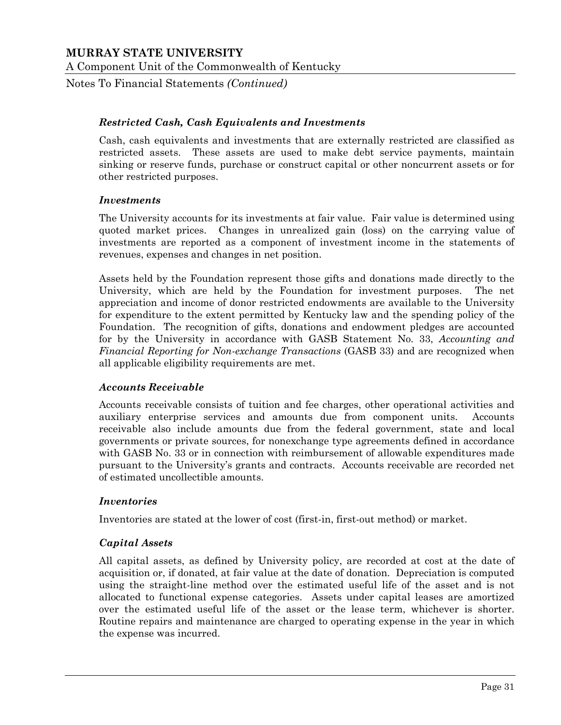Notes To Financial Statements *(Continued)*

### *Restricted Cash, Cash Equivalents and Investments*

Cash, cash equivalents and investments that are externally restricted are classified as restricted assets. These assets are used to make debt service payments, maintain sinking or reserve funds, purchase or construct capital or other noncurrent assets or for other restricted purposes.

#### *Investments*

The University accounts for its investments at fair value. Fair value is determined using quoted market prices. Changes in unrealized gain (loss) on the carrying value of investments are reported as a component of investment income in the statements of revenues, expenses and changes in net position.

Assets held by the Foundation represent those gifts and donations made directly to the University, which are held by the Foundation for investment purposes. The net appreciation and income of donor restricted endowments are available to the University for expenditure to the extent permitted by Kentucky law and the spending policy of the Foundation. The recognition of gifts, donations and endowment pledges are accounted for by the University in accordance with GASB Statement No. 33, *Accounting and Financial Reporting for Non-exchange Transactions* (GASB 33) and are recognized when all applicable eligibility requirements are met.

#### *Accounts Receivable*

Accounts receivable consists of tuition and fee charges, other operational activities and auxiliary enterprise services and amounts due from component units. Accounts receivable also include amounts due from the federal government, state and local governments or private sources, for nonexchange type agreements defined in accordance with GASB No. 33 or in connection with reimbursement of allowable expenditures made pursuant to the University's grants and contracts. Accounts receivable are recorded net of estimated uncollectible amounts.

#### *Inventories*

Inventories are stated at the lower of cost (first-in, first-out method) or market.

#### *Capital Assets*

All capital assets, as defined by University policy, are recorded at cost at the date of acquisition or, if donated, at fair value at the date of donation. Depreciation is computed using the straight-line method over the estimated useful life of the asset and is not allocated to functional expense categories. Assets under capital leases are amortized over the estimated useful life of the asset or the lease term, whichever is shorter. Routine repairs and maintenance are charged to operating expense in the year in which the expense was incurred.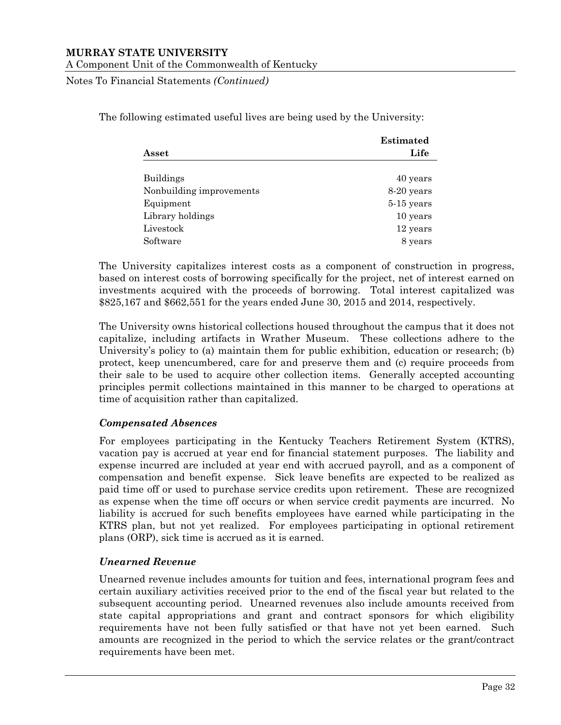A Component Unit of the Commonwealth of Kentucky

Notes To Financial Statements *(Continued)*

The following estimated useful lives are being used by the University:

|                          | <b>Estimated</b> |
|--------------------------|------------------|
| Asset                    | Life             |
| <b>Buildings</b>         | 40 years         |
| Nonbuilding improvements | 8-20 years       |
| Equipment                | $5-15$ years     |
| Library holdings         | 10 years         |
| Livestock                | 12 years         |
| Software                 | 8 years          |

The University capitalizes interest costs as a component of construction in progress, based on interest costs of borrowing specifically for the project, net of interest earned on investments acquired with the proceeds of borrowing. Total interest capitalized was \$825,167 and \$662,551 for the years ended June 30, 2015 and 2014, respectively.

The University owns historical collections housed throughout the campus that it does not capitalize, including artifacts in Wrather Museum. These collections adhere to the University's policy to (a) maintain them for public exhibition, education or research; (b) protect, keep unencumbered, care for and preserve them and (c) require proceeds from their sale to be used to acquire other collection items. Generally accepted accounting principles permit collections maintained in this manner to be charged to operations at time of acquisition rather than capitalized.

## *Compensated Absences*

For employees participating in the Kentucky Teachers Retirement System (KTRS), vacation pay is accrued at year end for financial statement purposes. The liability and expense incurred are included at year end with accrued payroll, and as a component of compensation and benefit expense. Sick leave benefits are expected to be realized as paid time off or used to purchase service credits upon retirement. These are recognized as expense when the time off occurs or when service credit payments are incurred. No liability is accrued for such benefits employees have earned while participating in the KTRS plan, but not yet realized. For employees participating in optional retirement plans (ORP), sick time is accrued as it is earned.

#### *Unearned Revenue*

Unearned revenue includes amounts for tuition and fees, international program fees and certain auxiliary activities received prior to the end of the fiscal year but related to the subsequent accounting period. Unearned revenues also include amounts received from state capital appropriations and grant and contract sponsors for which eligibility requirements have not been fully satisfied or that have not yet been earned. Such amounts are recognized in the period to which the service relates or the grant/contract requirements have been met.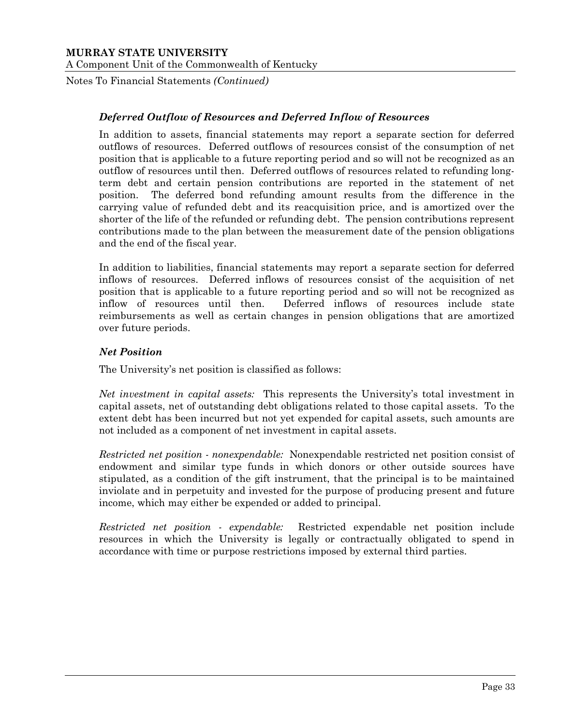Notes To Financial Statements *(Continued)*

### *Deferred Outflow of Resources and Deferred Inflow of Resources*

In addition to assets, financial statements may report a separate section for deferred outflows of resources. Deferred outflows of resources consist of the consumption of net position that is applicable to a future reporting period and so will not be recognized as an outflow of resources until then. Deferred outflows of resources related to refunding longterm debt and certain pension contributions are reported in the statement of net position. The deferred bond refunding amount results from the difference in the carrying value of refunded debt and its reacquisition price, and is amortized over the shorter of the life of the refunded or refunding debt. The pension contributions represent contributions made to the plan between the measurement date of the pension obligations and the end of the fiscal year.

In addition to liabilities, financial statements may report a separate section for deferred inflows of resources. Deferred inflows of resources consist of the acquisition of net position that is applicable to a future reporting period and so will not be recognized as inflow of resources until then. Deferred inflows of resources include state reimbursements as well as certain changes in pension obligations that are amortized over future periods.

### *Net Position*

The University's net position is classified as follows:

*Net investment in capital assets:* This represents the University's total investment in capital assets, net of outstanding debt obligations related to those capital assets. To the extent debt has been incurred but not yet expended for capital assets, such amounts are not included as a component of net investment in capital assets.

*Restricted net position - nonexpendable:* Nonexpendable restricted net position consist of endowment and similar type funds in which donors or other outside sources have stipulated, as a condition of the gift instrument, that the principal is to be maintained inviolate and in perpetuity and invested for the purpose of producing present and future income, which may either be expended or added to principal.

*Restricted net position - expendable:* Restricted expendable net position include resources in which the University is legally or contractually obligated to spend in accordance with time or purpose restrictions imposed by external third parties.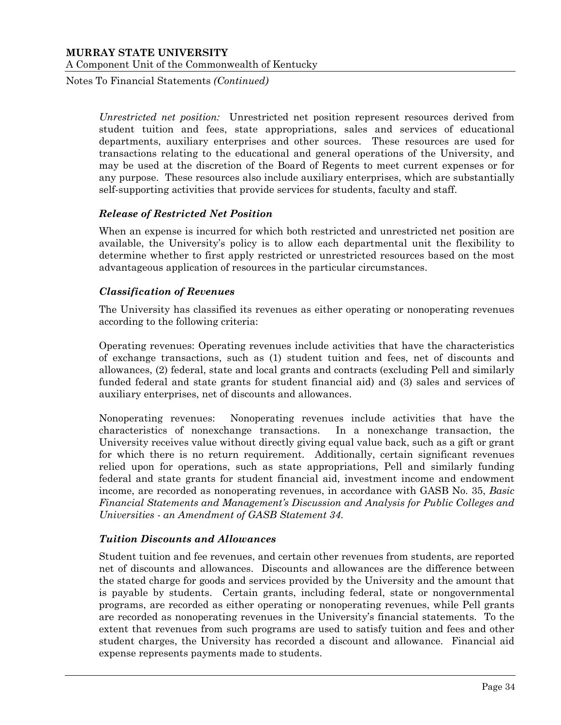Notes To Financial Statements *(Continued)*

*Unrestricted net position:* Unrestricted net position represent resources derived from student tuition and fees, state appropriations, sales and services of educational departments, auxiliary enterprises and other sources. These resources are used for transactions relating to the educational and general operations of the University, and may be used at the discretion of the Board of Regents to meet current expenses or for any purpose. These resources also include auxiliary enterprises, which are substantially self-supporting activities that provide services for students, faculty and staff.

#### *Release of Restricted Net Position*

When an expense is incurred for which both restricted and unrestricted net position are available, the University's policy is to allow each departmental unit the flexibility to determine whether to first apply restricted or unrestricted resources based on the most advantageous application of resources in the particular circumstances.

#### *Classification of Revenues*

The University has classified its revenues as either operating or nonoperating revenues according to the following criteria:

Operating revenues: Operating revenues include activities that have the characteristics of exchange transactions, such as (1) student tuition and fees, net of discounts and allowances, (2) federal, state and local grants and contracts (excluding Pell and similarly funded federal and state grants for student financial aid) and (3) sales and services of auxiliary enterprises, net of discounts and allowances.

Nonoperating revenues: Nonoperating revenues include activities that have the characteristics of nonexchange transactions. In a nonexchange transaction, the University receives value without directly giving equal value back, such as a gift or grant for which there is no return requirement. Additionally, certain significant revenues relied upon for operations, such as state appropriations, Pell and similarly funding federal and state grants for student financial aid, investment income and endowment income, are recorded as nonoperating revenues, in accordance with GASB No. 35, *Basic Financial Statements and Management's Discussion and Analysis for Public Colleges and Universities - an Amendment of GASB Statement 34*.

#### *Tuition Discounts and Allowances*

Student tuition and fee revenues, and certain other revenues from students, are reported net of discounts and allowances. Discounts and allowances are the difference between the stated charge for goods and services provided by the University and the amount that is payable by students. Certain grants, including federal, state or nongovernmental programs, are recorded as either operating or nonoperating revenues, while Pell grants are recorded as nonoperating revenues in the University's financial statements. To the extent that revenues from such programs are used to satisfy tuition and fees and other student charges, the University has recorded a discount and allowance. Financial aid expense represents payments made to students.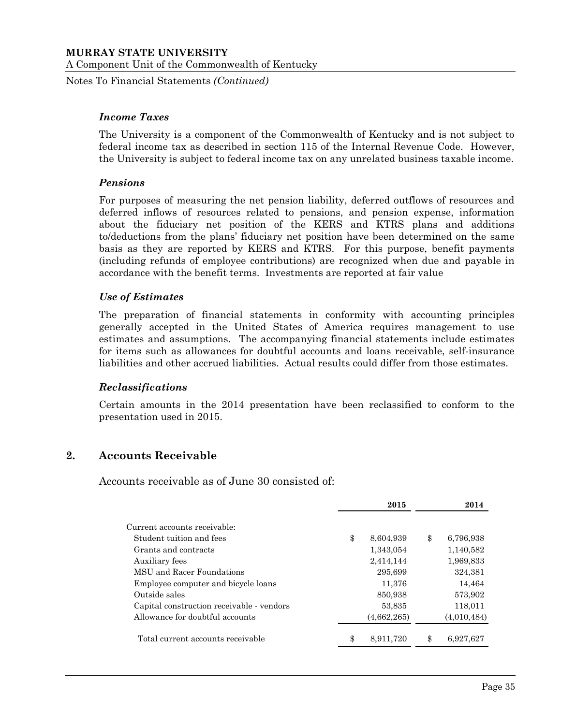Notes To Financial Statements *(Continued)*

#### *Income Taxes*

The University is a component of the Commonwealth of Kentucky and is not subject to federal income tax as described in section 115 of the Internal Revenue Code. However, the University is subject to federal income tax on any unrelated business taxable income.

#### *Pensions*

For purposes of measuring the net pension liability, deferred outflows of resources and deferred inflows of resources related to pensions, and pension expense, information about the fiduciary net position of the KERS and KTRS plans and additions to/deductions from the plans' fiduciary net position have been determined on the same basis as they are reported by KERS and KTRS. For this purpose, benefit payments (including refunds of employee contributions) are recognized when due and payable in accordance with the benefit terms. Investments are reported at fair value

#### *Use of Estimates*

The preparation of financial statements in conformity with accounting principles generally accepted in the United States of America requires management to use estimates and assumptions. The accompanying financial statements include estimates for items such as allowances for doubtful accounts and loans receivable, self-insurance liabilities and other accrued liabilities. Actual results could differ from those estimates.

#### *Reclassifications*

Certain amounts in the 2014 presentation have been reclassified to conform to the presentation used in 2015.

### **2. Accounts Receivable**

Accounts receivable as of June 30 consisted of:

|                                           | 2015 |             |    | 2014        |
|-------------------------------------------|------|-------------|----|-------------|
| Current accounts receivable:              |      |             |    |             |
| Student tuition and fees                  | \$   | 8,604,939   | \$ | 6,796,938   |
| Grants and contracts                      |      | 1,343,054   |    | 1,140,582   |
| Auxiliary fees                            |      | 2,414,144   |    | 1,969,833   |
| MSU and Racer Foundations                 |      | 295,699     |    | 324,381     |
| Employee computer and bicycle loans       |      | 11,376      |    | 14,464      |
| Outside sales                             |      | 850,938     |    | 573,902     |
| Capital construction receivable - vendors |      | 53,835      |    | 118,011     |
| Allowance for doubtful accounts           |      | (4,662,265) |    | (4,010,484) |
| Total current accounts receivable         | \$   | 8.911.720   | \$ | 6,927,627   |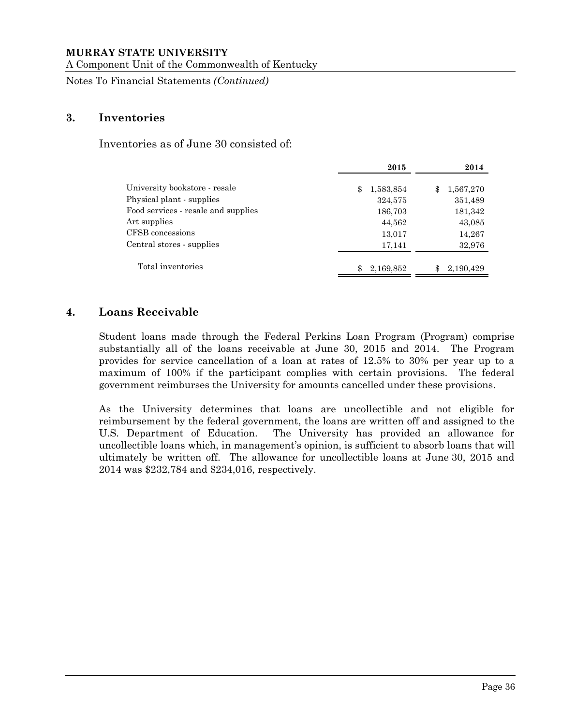A Component Unit of the Commonwealth of Kentucky

Notes To Financial Statements *(Continued)*

### **3. Inventories**

Inventories as of June 30 consisted of:

|                                     | 2015            | 2014            |
|-------------------------------------|-----------------|-----------------|
| University bookstore - resale       | 1,583,854<br>\$ | 1,567,270<br>\$ |
| Physical plant - supplies           | 324,575         | 351,489         |
| Food services - resale and supplies | 186,703         | 181,342         |
| Art supplies                        | 44,562          | 43,085          |
| CFSB concessions                    | 13,017          | 14,267          |
| Central stores - supplies           | 17,141          | 32,976          |
| Total inventories                   | 2,169,852<br>\$ | \$<br>2,190,429 |

### **4. Loans Receivable**

Student loans made through the Federal Perkins Loan Program (Program) comprise substantially all of the loans receivable at June 30, 2015 and 2014. The Program provides for service cancellation of a loan at rates of 12.5% to 30% per year up to a maximum of 100% if the participant complies with certain provisions. The federal government reimburses the University for amounts cancelled under these provisions.

As the University determines that loans are uncollectible and not eligible for reimbursement by the federal government, the loans are written off and assigned to the U.S. Department of Education. The University has provided an allowance for uncollectible loans which, in management's opinion, is sufficient to absorb loans that will ultimately be written off. The allowance for uncollectible loans at June 30, 2015 and 2014 was \$232,784 and \$234,016, respectively.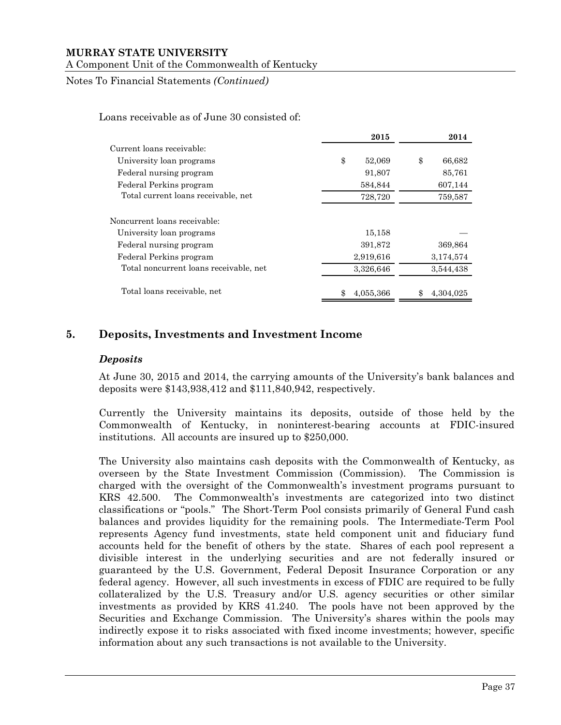#### A Component Unit of the Commonwealth of Kentucky

Notes To Financial Statements *(Continued)*

#### Loans receivable as of June 30 consisted of:

|                                        | 2015            | 2014            |
|----------------------------------------|-----------------|-----------------|
| Current loans receivable:              |                 |                 |
| University loan programs               | \$<br>52,069    | \$<br>66,682    |
| Federal nursing program                | 91,807          | 85,761          |
| Federal Perkins program                | 584,844         | 607,144         |
| Total current loans receivable, net    | 728,720         | 759,587         |
| Noncurrent loans receivable:           |                 |                 |
| University loan programs               | 15,158          |                 |
| Federal nursing program                | 391,872         | 369,864         |
| Federal Perkins program                | 2,919,616       | 3,174,574       |
| Total noncurrent loans receivable, net | 3,326,646       | 3,544,438       |
| Total loans receivable, net            | \$<br>4,055,366 | \$<br>4,304,025 |

### **5. Deposits, Investments and Investment Income**

#### *Deposits*

At June 30, 2015 and 2014, the carrying amounts of the University's bank balances and deposits were \$143,938,412 and \$111,840,942, respectively.

Currently the University maintains its deposits, outside of those held by the Commonwealth of Kentucky, in noninterest-bearing accounts at FDIC-insured institutions. All accounts are insured up to \$250,000.

The University also maintains cash deposits with the Commonwealth of Kentucky, as overseen by the State Investment Commission (Commission). The Commission is charged with the oversight of the Commonwealth's investment programs pursuant to KRS 42.500. The Commonwealth's investments are categorized into two distinct classifications or "pools." The Short-Term Pool consists primarily of General Fund cash balances and provides liquidity for the remaining pools. The Intermediate-Term Pool represents Agency fund investments, state held component unit and fiduciary fund accounts held for the benefit of others by the state. Shares of each pool represent a divisible interest in the underlying securities and are not federally insured or guaranteed by the U.S. Government, Federal Deposit Insurance Corporation or any federal agency. However, all such investments in excess of FDIC are required to be fully collateralized by the U.S. Treasury and/or U.S. agency securities or other similar investments as provided by KRS 41.240. The pools have not been approved by the Securities and Exchange Commission. The University's shares within the pools may indirectly expose it to risks associated with fixed income investments; however, specific information about any such transactions is not available to the University.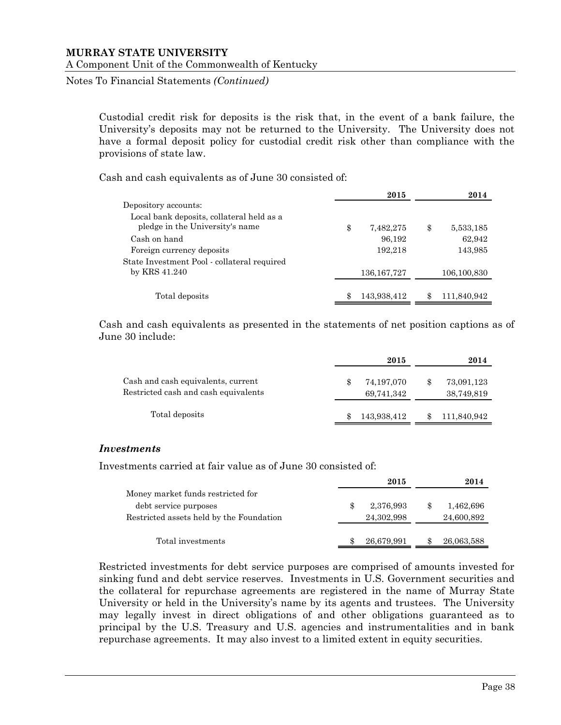Notes To Financial Statements *(Continued)*

Custodial credit risk for deposits is the risk that, in the event of a bank failure, the University's deposits may not be returned to the University. The University does not have a formal deposit policy for custodial credit risk other than compliance with the provisions of state law.

Cash and cash equivalents as of June 30 consisted of:

|                                             | 2015              | 2014              |
|---------------------------------------------|-------------------|-------------------|
| Depository accounts:                        |                   |                   |
| Local bank deposits, collateral held as a   |                   |                   |
| pledge in the University's name             | \$<br>7,482,275   | \$<br>5,533,185   |
| Cash on hand                                | 96,192            | 62,942            |
| Foreign currency deposits                   | 192,218           | 143,985           |
| State Investment Pool - collateral required |                   |                   |
| by KRS 41.240                               | 136, 167, 727     | 106,100,830       |
|                                             |                   |                   |
| Total deposits                              | \$<br>143,938,412 | \$<br>111,840,942 |

Cash and cash equivalents as presented in the statements of net position captions as of June 30 include:

|                                                                            | 2015                     |    | 2014                     |
|----------------------------------------------------------------------------|--------------------------|----|--------------------------|
| Cash and cash equivalents, current<br>Restricted cash and cash equivalents | 74,197,070<br>69,741,342 | \$ | 73,091,123<br>38,749,819 |
| Total deposits                                                             | 143,938,412              |    | 111,840,942              |

### *Investments*

Investments carried at fair value as of June 30 consisted of:

|                                          | 2015            |   | 2014       |
|------------------------------------------|-----------------|---|------------|
| Money market funds restricted for        |                 |   |            |
| debt service purposes                    | \$<br>2,376,993 | S | 1,462,696  |
| Restricted assets held by the Foundation | 24,302,998      |   | 24,600,892 |
|                                          |                 |   |            |
| Total investments                        | 26,679,991      |   | 26,063,588 |

Restricted investments for debt service purposes are comprised of amounts invested for sinking fund and debt service reserves. Investments in U.S. Government securities and the collateral for repurchase agreements are registered in the name of Murray State University or held in the University's name by its agents and trustees. The University may legally invest in direct obligations of and other obligations guaranteed as to principal by the U.S. Treasury and U.S. agencies and instrumentalities and in bank repurchase agreements. It may also invest to a limited extent in equity securities.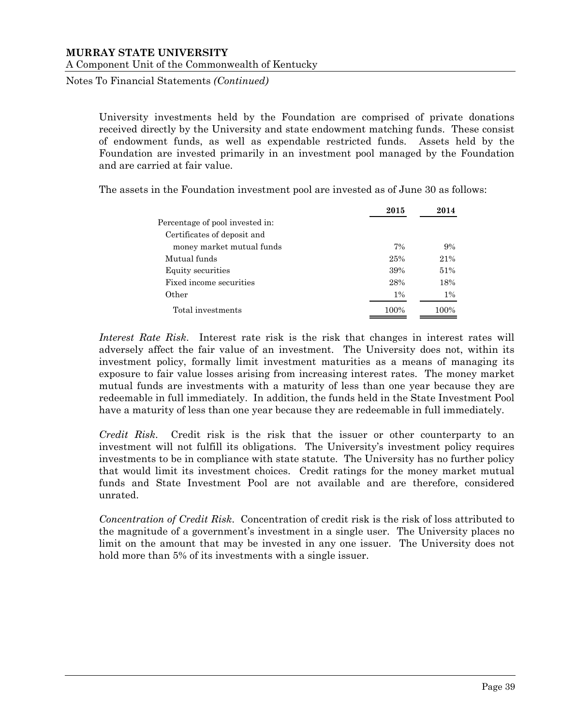Notes To Financial Statements *(Continued)*

University investments held by the Foundation are comprised of private donations received directly by the University and state endowment matching funds. These consist of endowment funds, as well as expendable restricted funds. Assets held by the Foundation are invested primarily in an investment pool managed by the Foundation and are carried at fair value.

The assets in the Foundation investment pool are invested as of June 30 as follows:

|                                 | 2015  | 2014  |
|---------------------------------|-------|-------|
| Percentage of pool invested in: |       |       |
| Certificates of deposit and     |       |       |
| money market mutual funds       | 7%    | 9%    |
| Mutual funds                    | 25%   | 21%   |
| Equity securities               | 39%   | 51%   |
| Fixed income securities         | 28%   | 18%   |
| Other                           | $1\%$ | $1\%$ |
| Total investments               | 100%  | 100%  |

*Interest Rate Risk*. Interest rate risk is the risk that changes in interest rates will adversely affect the fair value of an investment. The University does not, within its investment policy, formally limit investment maturities as a means of managing its exposure to fair value losses arising from increasing interest rates. The money market mutual funds are investments with a maturity of less than one year because they are redeemable in full immediately. In addition, the funds held in the State Investment Pool have a maturity of less than one year because they are redeemable in full immediately.

*Credit Risk*. Credit risk is the risk that the issuer or other counterparty to an investment will not fulfill its obligations. The University's investment policy requires investments to be in compliance with state statute. The University has no further policy that would limit its investment choices. Credit ratings for the money market mutual funds and State Investment Pool are not available and are therefore, considered unrated.

*Concentration of Credit Risk*. Concentration of credit risk is the risk of loss attributed to the magnitude of a government's investment in a single user. The University places no limit on the amount that may be invested in any one issuer. The University does not hold more than 5% of its investments with a single issuer.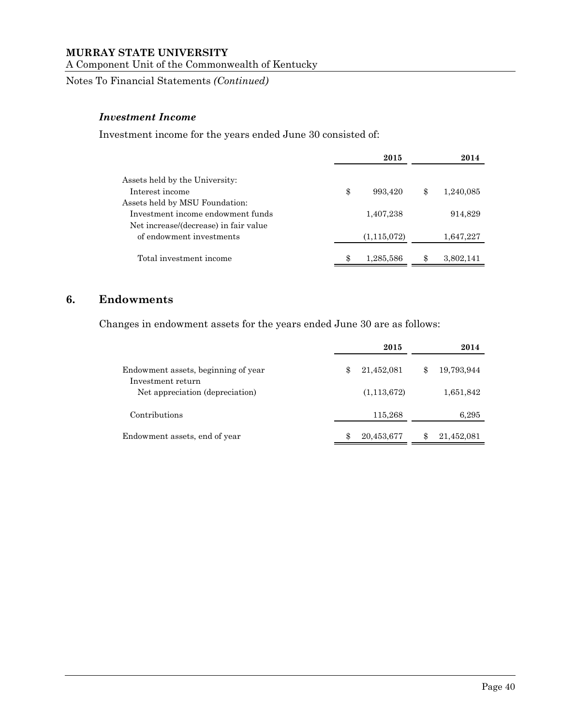A Component Unit of the Commonwealth of Kentucky

Notes To Financial Statements *(Continued)*

### *Investment Income*

Investment income for the years ended June 30 consisted of:

|                                       | 2015            | 2014            |
|---------------------------------------|-----------------|-----------------|
| Assets held by the University:        |                 |                 |
| Interest income                       | \$<br>993,420   | \$<br>1,240,085 |
| Assets held by MSU Foundation:        |                 |                 |
| Investment income endowment funds     | 1,407,238       | 914,829         |
| Net increase/(decrease) in fair value |                 |                 |
| of endowment investments              | (1, 115, 072)   | 1,647,227       |
| Total investment income               | \$<br>1,285,586 | \$<br>3,802,141 |

# **6. Endowments**

Changes in endowment assets for the years ended June 30 are as follows:

|                                                      | 2015 |             | 2014 |            |
|------------------------------------------------------|------|-------------|------|------------|
| Endowment assets, beginning of year                  | \$   | 21,452,081  | \$   | 19,793,944 |
| Investment return<br>Net appreciation (depreciation) |      | (1,113,672) |      | 1,651,842  |
| Contributions                                        |      | 115,268     |      | 6,295      |
| Endowment assets, end of year                        | \$   | 20,453,677  | \$   | 21,452,081 |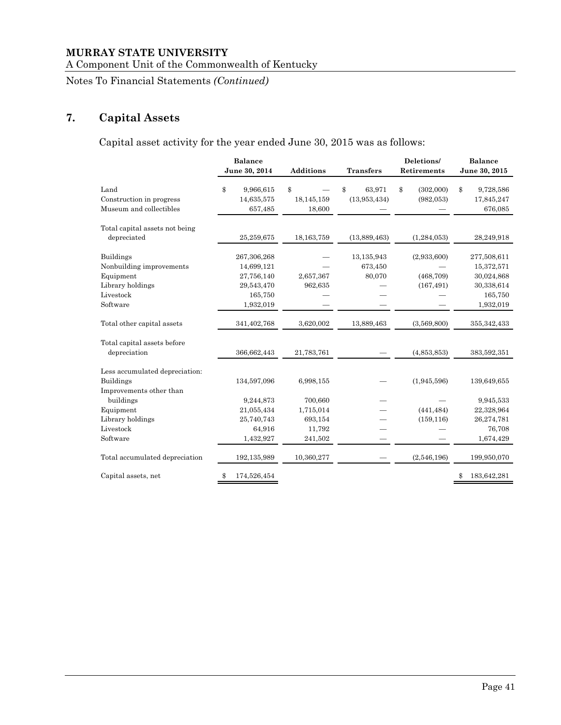A Component Unit of the Commonwealth of Kentucky

Notes To Financial Statements *(Continued)*

# **7. Capital Assets**

Capital asset activity for the year ended June 30, 2015 was as follows:

|                                                                                                        | <b>Balance</b><br>June 30, 2014                                               | <b>Additions</b>                                     | <b>Transfers</b>                | Deletions/<br><b>Retirements</b>        | <b>Balance</b><br>June 30, 2015                                               |
|--------------------------------------------------------------------------------------------------------|-------------------------------------------------------------------------------|------------------------------------------------------|---------------------------------|-----------------------------------------|-------------------------------------------------------------------------------|
| Land<br>Construction in progress<br>Museum and collectibles                                            | \$<br>9,966,615<br>14,635,575<br>657,485                                      | \$<br>18,145,159<br>18,600                           | \$<br>63,971<br>(13,953,434)    | $\mathbb{S}$<br>(302,000)<br>(982, 053) | \$<br>9,728,586<br>17,845,247<br>676,085                                      |
| Total capital assets not being<br>depreciated                                                          | 25,259,675                                                                    | 18, 163, 759                                         | (13,889,463)                    | (1, 284, 053)                           | 28,249,918                                                                    |
| <b>Buildings</b><br>Nonbuilding improvements<br>Equipment<br>Library holdings<br>Livestock<br>Software | 267,306,268<br>14,699,121<br>27,756,140<br>29,543,470<br>165,750<br>1,932,019 | 2,657,367<br>962,635                                 | 13,135,943<br>673,450<br>80,070 | (2,933,600)<br>(468, 709)<br>(167, 491) | 277,508,611<br>15,372,571<br>30,024,868<br>30,338,614<br>165,750<br>1,932,019 |
| Total other capital assets                                                                             | 341,402,768                                                                   | 3,620,002                                            | 13,889,463                      | (3,569,800)                             | 355, 342, 433                                                                 |
| Total capital assets before<br>depreciation                                                            | 366,662,443                                                                   | 21,783,761                                           |                                 | (4,853,853)                             | 383,592,351                                                                   |
| Less accumulated depreciation:<br><b>Buildings</b><br>Improvements other than                          | 134,597,096                                                                   | 6,998,155                                            |                                 | (1,945,596)                             | 139,649,655                                                                   |
| buildings<br>Equipment<br>Library holdings<br>Livestock<br>Software                                    | 9,244,873<br>21,055,434<br>25,740,743<br>64,916<br>1,432,927                  | 700,660<br>1,715,014<br>693,154<br>11,792<br>241,502 |                                 | (441, 484)<br>(159, 116)                | 9,945,533<br>22,328,964<br>26,274,781<br>76,708<br>1,674,429                  |
| Total accumulated depreciation                                                                         | 192,135,989                                                                   | 10,360,277                                           |                                 | (2,546,196)                             | 199,950,070                                                                   |
| Capital assets, net                                                                                    | 174,526,454<br>\$                                                             |                                                      |                                 |                                         | 183,642,281<br>\$                                                             |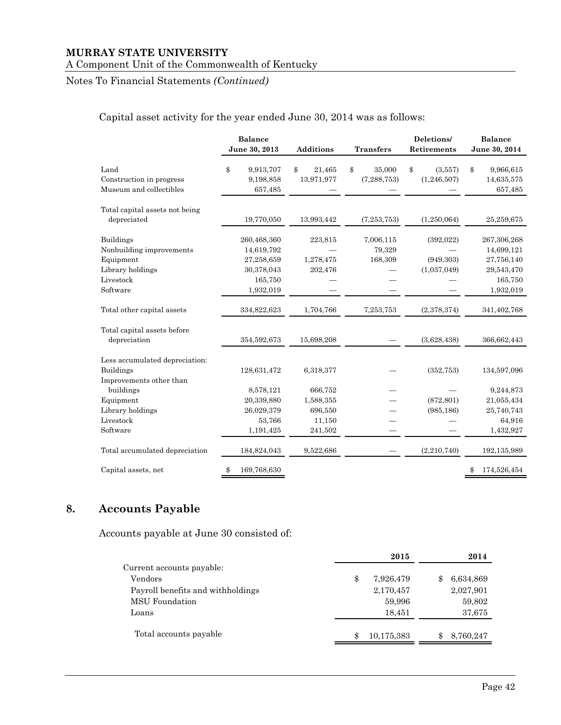# A Component Unit of the Commonwealth of Kentucky

### Notes To Financial Statements *(Continued)*

# Capital asset activity for the year ended June 30, 2014 was as follows:

|                                                             | <b>Balance</b><br>June 30, 2013         | <b>Additions</b>           | <b>Transfers</b>              | Deletions/<br>Retirements      | <b>Balance</b><br>June 30, 2014          |
|-------------------------------------------------------------|-----------------------------------------|----------------------------|-------------------------------|--------------------------------|------------------------------------------|
| Land<br>Construction in progress<br>Museum and collectibles | \$<br>9,913,707<br>9,198,858<br>657,485 | \$<br>21,465<br>13,971,977 | \$<br>35,000<br>(7, 288, 753) | \$<br>(3,557)<br>(1, 246, 507) | \$<br>9,966,615<br>14,635,575<br>657,485 |
| Total capital assets not being                              |                                         |                            |                               |                                |                                          |
| depreciated                                                 | 19,770,050                              | 13,993,442                 | (7, 253, 753)                 | (1,250,064)                    | 25,259,675                               |
| <b>Buildings</b>                                            | 260,468,360                             | 223,815                    | 7,006,115                     | (392, 022)                     | 267,306,268                              |
| Nonbuilding improvements                                    | 14,619,792                              |                            | 79,329                        |                                | 14,699,121                               |
| Equipment                                                   | 27,258,659                              | 1,278,475                  | 168,309                       | (949, 303)                     | 27,756,140                               |
| Library holdings                                            | 30,378,043                              | 202,476                    |                               | (1,037,049)                    | 29,543,470                               |
| Livestock                                                   | 165,750                                 |                            |                               |                                | 165,750                                  |
| Software                                                    | 1,932,019                               |                            |                               |                                | 1,932,019                                |
| Total other capital assets                                  | 334,822,623                             | 1,704,766                  | 7,253,753                     | (2,378,374)                    | 341,402,768                              |
| Total capital assets before                                 |                                         |                            |                               |                                |                                          |
| depreciation                                                | 354,592,673                             | 15,698,208                 |                               | (3,628,438)                    | 366,662,443                              |
| Less accumulated depreciation:                              |                                         |                            |                               |                                |                                          |
| <b>Buildings</b>                                            | 128,631,472                             | 6,318,377                  |                               | (352, 753)                     | 134,597,096                              |
| Improvements other than                                     |                                         |                            |                               |                                |                                          |
| buildings                                                   | 8,578,121                               | 666,752                    |                               |                                | 9,244,873                                |
| Equipment                                                   | 20,339,880                              | 1,588,355                  |                               | (872, 801)                     | 21,055,434                               |
| Library holdings                                            | 26,029,379                              | 696,550                    |                               | (985, 186)                     | 25,740,743                               |
| Livestock                                                   | 53,766                                  | 11,150                     |                               |                                | 64,916                                   |
| Software                                                    | 1,191,425                               | 241,502                    |                               |                                | 1,432,927                                |
| Total accumulated depreciation                              | 184,824,043                             | 9,522,686                  |                               | (2,210,740)                    | 192,135,989                              |
| Capital assets, net                                         | 169,768,630<br>\$                       |                            |                               |                                | 174,526,454<br>\$                        |

### **8. Accounts Payable**

Accounts payable at June 30 consisted of:

|                                   | 2015             | 2014            |
|-----------------------------------|------------------|-----------------|
| Current accounts payable:         |                  |                 |
| Vendors                           | \$<br>7,926,479  | \$<br>6,634,869 |
| Payroll benefits and withholdings | 2,170,457        | 2,027,901       |
| <b>MSU</b> Foundation             | 59,996           | 59,802          |
| Loans                             | 18.451           | 37,675          |
| Total accounts payable            | \$<br>10,175,383 | \$<br>8,760,247 |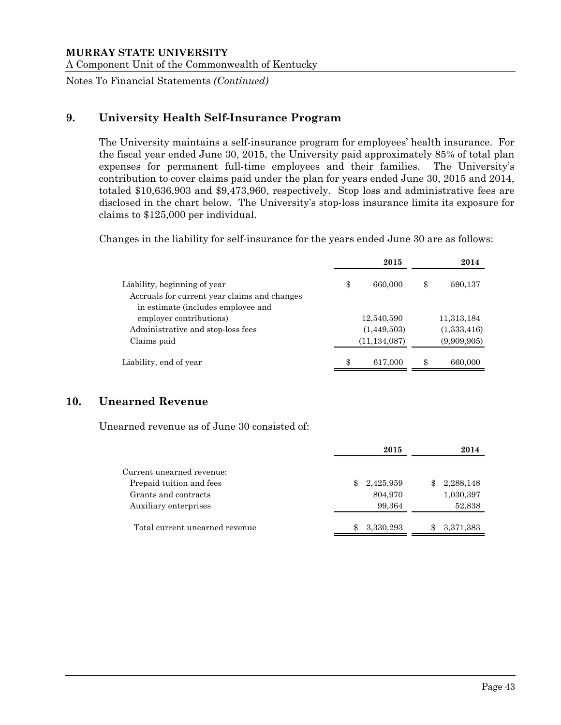Notes To Financial Statements *(Continued)*

# **9. University Health Self-Insurance Program**

The University maintains a self-insurance program for employees' health insurance. For the fiscal year ended June 30, 2015, the University paid approximately 85% of total plan expenses for permanent full-time employees and their families. The University's contribution to cover claims paid under the plan for years ended June 30, 2015 and 2014, totaled \$10,636,903 and \$9,473,960, respectively. Stop loss and administrative fees are disclosed in the chart below. The University's stop-loss insurance limits its exposure for claims to \$125,000 per individual.

Changes in the liability for self-insurance for the years ended June 30 are as follows:

|                                                                                                                    | 2015 |                           | 2014                      |  |
|--------------------------------------------------------------------------------------------------------------------|------|---------------------------|---------------------------|--|
| Liability, beginning of year<br>Accruals for current year claims and changes<br>in estimate (includes employee and | \$   | 660,000                   | \$<br>590,137             |  |
| employer contributions)<br>Administrative and stop-loss fees                                                       |      | 12,540,590<br>(1,449,503) | 11,313,184<br>(1,333,416) |  |
| Claims paid                                                                                                        |      | (11, 134, 087)            | (9,909,905)               |  |
| Liability, end of year                                                                                             | \$   | 617,000                   | \$<br>660,000             |  |

### **10. Unearned Revenue**

Unearned revenue as of June 30 consisted of:

|                                                                                                        | 2015                                 | 2014                                   |
|--------------------------------------------------------------------------------------------------------|--------------------------------------|----------------------------------------|
| Current unearned revenue:<br>Prepaid tuition and fees<br>Grants and contracts<br>Auxiliary enterprises | 2,425,959<br>\$<br>804,970<br>99,364 | 2,288,148<br>\$<br>1,030,397<br>52,838 |
| Total current unearned revenue                                                                         | 3,330,293                            | 3,371,383<br>\$                        |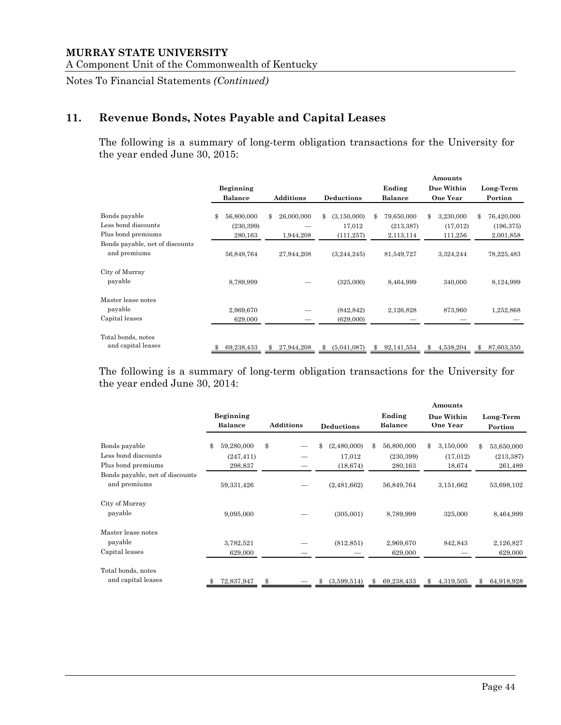Notes To Financial Statements *(Continued)*

# **11. Revenue Bonds, Notes Payable and Capital Leases**

The following is a summary of long-term obligation transactions for the University for the year ended June 30, 2015:

|                                                 |                                |                  |                             | Amounts                        |                              |                                |  |
|-------------------------------------------------|--------------------------------|------------------|-----------------------------|--------------------------------|------------------------------|--------------------------------|--|
|                                                 | Beginning                      |                  |                             | Ending                         | Due Within                   | Long-Term                      |  |
|                                                 | <b>Balance</b>                 | <b>Additions</b> | <b>Deductions</b>           | Balance                        | <b>One Year</b>              | Portion                        |  |
| Bonds payable<br>Less bond discounts            | \$<br>56,800,000<br>(230, 399) | 26,000,000<br>\$ | \$<br>(3,150,000)<br>17,012 | 79,650,000<br>\$<br>(213, 387) | \$<br>3,230,000<br>(17, 012) | 76,420,000<br>\$<br>(196, 375) |  |
| Plus bond premiums                              | 280,163                        | 1,944,208        | (111, 257)                  | 2,113,114                      | 111,256                      | 2,001,858                      |  |
| Bonds payable, net of discounts<br>and premiums | 56,849,764                     | 27,944,208       | (3,244,245)                 | 81,549,727                     | 3,324,244                    | 78,225,483                     |  |
| City of Murray<br>payable                       | 8,789,999                      |                  | (325,000)                   | 8,464,999                      | 340,000                      | 8,124,999                      |  |
| Master lease notes<br>payable                   | 2,969,670                      |                  | (842, 842)                  | 2,126,828                      | 873,960                      | 1,252,868                      |  |
| Capital leases                                  | 629,000                        |                  | (629,000)                   |                                |                              |                                |  |
| Total bonds, notes<br>and capital leases        | 69,238,433                     | 27,944,208<br>\$ | (5,041,087)<br>\$           | 92,141,554<br>\$.              | 4,538,204<br>\$              | 87,603,350<br>\$               |  |

The following is a summary of long-term obligation transactions for the University for the year ended June 30, 2014:

|                                                 | Beginning<br><b>Balance</b> | <b>Additions</b> |    | Deductions  | Ending<br><b>Balance</b> | Amounts<br>Due Within<br><b>One Year</b> | Long-Term<br>Portion |
|-------------------------------------------------|-----------------------------|------------------|----|-------------|--------------------------|------------------------------------------|----------------------|
| Bonds payable                                   | \$<br>59,280,000            | \$               | \$ | (2,480,000) | \$<br>56,800,000         | \$<br>3,150,000                          | \$<br>53,650,000     |
| Less bond discounts                             | (247, 411)                  |                  |    | 17,012      | (230, 399)               | (17, 012)                                | (213, 387)           |
| Plus bond premiums                              | 298,837                     |                  |    | (18, 674)   | 280,163                  | 18,674                                   | 261,489              |
| Bonds payable, net of discounts<br>and premiums | 59, 331, 426                |                  |    | (2,481,662) | 56,849,764               | 3,151,662                                | 53,698,102           |
| City of Murray<br>payable                       | 9,095,000                   |                  |    | (305,001)   | 8,789,999                | 325,000                                  | 8,464,999            |
| Master lease notes                              |                             |                  |    |             |                          |                                          |                      |
| payable                                         | 3,782,521                   |                  |    | (812, 851)  | 2,969,670                | 842,843                                  | 2,126,827            |
| Capital leases                                  | 629,000                     |                  |    |             | 629,000                  |                                          | 629,000              |
| Total bonds, notes<br>and capital leases        | \$<br>72,837,947            | \$               | \$ | (3,599,514) | \$<br>69,238,433         | \$<br>4,319,505                          | \$<br>64,918,928     |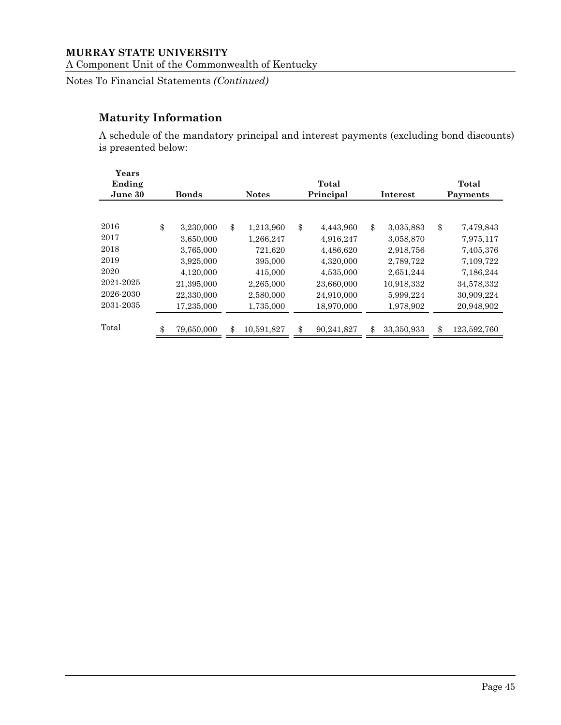A Component Unit of the Commonwealth of Kentucky

Notes To Financial Statements *(Continued)*

# **Maturity Information**

A schedule of the mandatory principal and interest payments (excluding bond discounts) is presented below:

| Years<br>Ending<br>June 30 | <b>Bonds</b>     | <b>Notes</b>     | Total<br>Principal | Interest         | Total<br>Payments |
|----------------------------|------------------|------------------|--------------------|------------------|-------------------|
|                            |                  |                  |                    |                  |                   |
| 2016                       | \$<br>3,230,000  | \$<br>1,213,960  | \$<br>4,443,960    | \$<br>3,035,883  | \$<br>7,479,843   |
| 2017                       | 3,650,000        | 1,266,247        | 4,916,247          | 3,058,870        | 7,975,117         |
| 2018                       | 3,765,000        | 721,620          | 4,486,620          | 2,918,756        | 7,405,376         |
| 2019                       | 3,925,000        | 395,000          | 4,320,000          | 2,789,722        | 7,109,722         |
| 2020                       | 4,120,000        | 415,000          | 4,535,000          | 2,651,244        | 7,186,244         |
| 2021-2025                  | 21.395.000       | 2,265,000        | 23,660,000         | 10,918,332       | 34,578,332        |
| 2026-2030                  | 22,330,000       | 2,580,000        | 24,910,000         | 5,999,224        | 30,909,224        |
| 2031-2035                  | 17,235,000       | 1,735,000        | 18,970,000         | 1,978,902        | 20,948,902        |
| Total                      | \$<br>79,650,000 | \$<br>10,591,827 | \$<br>90,241,827   | \$<br>33,350,933 | \$<br>123,592,760 |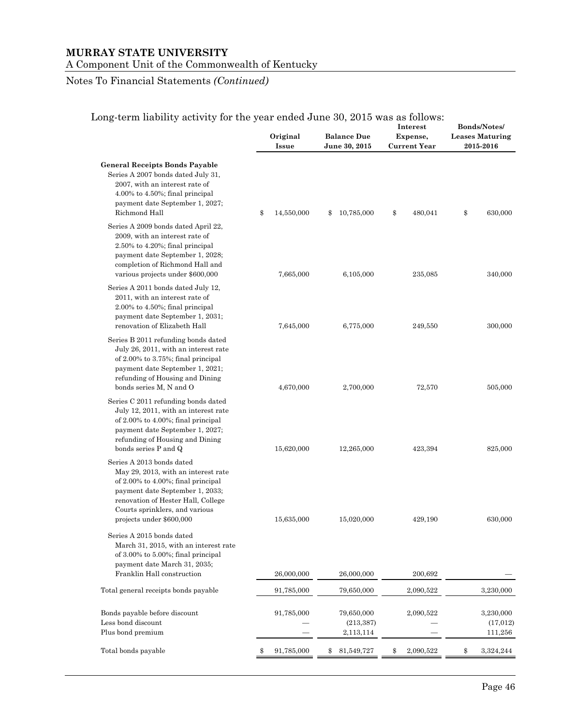### A Component Unit of the Commonwealth of Kentucky

### Notes To Financial Statements *(Continued)*

| ong-term hability activity for the year ented buile bo, 2010 was as follows.                                                                                                                                                                  | Original<br>Issue | <b>Balance Due</b><br>June 30, 2015   | Interest<br>Expense,<br><b>Current Year</b> | <b>Bonds/Notes/</b><br><b>Leases Maturing</b><br>2015-2016 |
|-----------------------------------------------------------------------------------------------------------------------------------------------------------------------------------------------------------------------------------------------|-------------------|---------------------------------------|---------------------------------------------|------------------------------------------------------------|
| <b>General Receipts Bonds Payable</b><br>Series A 2007 bonds dated July 31,<br>2007, with an interest rate of<br>$4.00\%$ to $4.50\%$ ; final principal<br>payment date September 1, 2027;<br>Richmond Hall                                   | \$<br>14,550,000  | 10,785,000<br>\$                      | \$<br>480,041                               | \$<br>630,000                                              |
| Series A 2009 bonds dated April 22,<br>2009, with an interest rate of<br>$2.50\%$ to $4.20\%$ ; final principal<br>payment date September 1, 2028;<br>completion of Richmond Hall and<br>various projects under \$600,000                     | 7,665,000         | 6,105,000                             | 235,085                                     | 340,000                                                    |
| Series A 2011 bonds dated July 12,<br>2011, with an interest rate of<br>$2.00\%$ to $4.50\%$ ; final principal<br>payment date September 1, 2031;<br>renovation of Elizabeth Hall                                                             | 7,645,000         | 6,775,000                             | 249,550                                     | 300,000                                                    |
| Series B 2011 refunding bonds dated<br>July 26, 2011, with an interest rate<br>of $2.00\%$ to $3.75\%$ ; final principal<br>payment date September 1, 2021;<br>refunding of Housing and Dining<br>bonds series M, N and O                     | 4,670,000         | 2,700,000                             | 72,570                                      | 505,000                                                    |
| Series C 2011 refunding bonds dated<br>July 12, 2011, with an interest rate<br>of $2.00\%$ to $4.00\%$ ; final principal<br>payment date September 1, 2027;<br>refunding of Housing and Dining<br>bonds series P and Q                        | 15,620,000        | 12,265,000                            | 423,394                                     | 825,000                                                    |
| Series A 2013 bonds dated<br>May 29, 2013, with an interest rate<br>of 2.00% to 4.00%; final principal<br>payment date September 1, 2033;<br>renovation of Hester Hall, College<br>Courts sprinklers, and various<br>projects under \$600,000 | 15,635,000        | 15,020,000                            | 429,190                                     | 630,000                                                    |
| Series A 2015 bonds dated<br>March 31, 2015, with an interest rate<br>of $3.00\%$ to $5.00\%$ ; final principal<br>payment date March 31, 2035;                                                                                               |                   |                                       |                                             |                                                            |
| Franklin Hall construction                                                                                                                                                                                                                    | 26,000,000        | 26,000,000                            | 200,692                                     |                                                            |
| Total general receipts bonds payable                                                                                                                                                                                                          | 91,785,000        | 79,650,000                            | 2,090,522                                   | 3,230,000                                                  |
| Bonds payable before discount<br>Less bond discount<br>Plus bond premium                                                                                                                                                                      | 91,785,000        | 79,650,000<br>(213, 387)<br>2,113,114 | 2,090,522                                   | 3,230,000<br>(17, 012)<br>111,256                          |
| Total bonds payable                                                                                                                                                                                                                           | 91,785,000<br>\$  | \$<br>81,549,727                      | 2,090,522<br>\$                             | \$<br>3,324,244                                            |

Long-term liability activity for the year ended June 30, 2015 was as follows: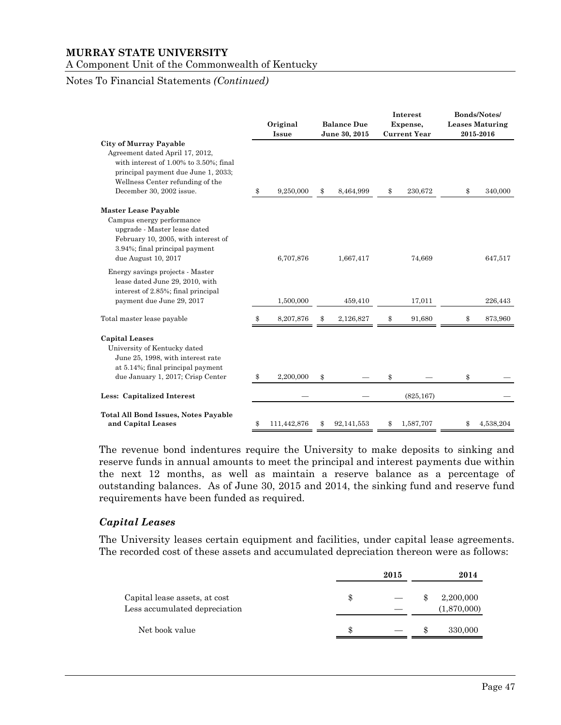A Component Unit of the Commonwealth of Kentucky

### Notes To Financial Statements *(Continued)*

|                                                                                                                                                                                                                   | Original<br>Issue | <b>Balance Due</b><br>June 30, 2015 | Interest<br>Expense,<br><b>Current Year</b> | <b>Bonds/Notes/</b><br><b>Leases Maturing</b><br>2015-2016 |
|-------------------------------------------------------------------------------------------------------------------------------------------------------------------------------------------------------------------|-------------------|-------------------------------------|---------------------------------------------|------------------------------------------------------------|
| <b>City of Murray Payable</b><br>Agreement dated April 17, 2012,<br>with interest of 1.00% to 3.50%; final<br>principal payment due June 1, 2033;<br>Wellness Center refunding of the<br>December 30, 2002 issue. | \$<br>9,250,000   | \$<br>8,464,999                     | \$<br>230,672                               | \$<br>340,000                                              |
| <b>Master Lease Payable</b><br>Campus energy performance<br>upgrade - Master lease dated<br>February 10, 2005, with interest of<br>3.94%; final principal payment<br>due August 10, 2017                          | 6,707,876         | 1,667,417                           | 74,669                                      | 647,517                                                    |
| Energy savings projects - Master<br>lease dated June 29, 2010, with<br>interest of 2.85%; final principal<br>payment due June 29, 2017                                                                            | 1,500,000         | 459,410                             | 17.011                                      | 226,443                                                    |
| Total master lease payable                                                                                                                                                                                        | 8,207,876         | 2,126,827                           | \$<br>91.680                                | \$<br>873,960                                              |
| <b>Capital Leases</b><br>University of Kentucky dated<br>June 25, 1998, with interest rate<br>at 5.14%; final principal payment<br>due January 1, 2017; Crisp Center                                              | \$<br>2,200,000   | \$                                  | \$                                          | \$                                                         |
| Less: Capitalized Interest                                                                                                                                                                                        |                   |                                     | (825, 167)                                  |                                                            |
| <b>Total All Bond Issues, Notes Payable</b><br>and Capital Leases                                                                                                                                                 | \$<br>111,442,876 | \$<br>92,141,553                    | \$<br>1,587,707                             | \$<br>4,538,204                                            |

The revenue bond indentures require the University to make deposits to sinking and reserve funds in annual amounts to meet the principal and interest payments due within the next 12 months, as well as maintain a reserve balance as a percentage of outstanding balances. As of June 30, 2015 and 2014, the sinking fund and reserve fund requirements have been funded as required.

#### *Capital Leases*

The University leases certain equipment and facilities, under capital lease agreements. The recorded cost of these assets and accumulated depreciation thereon were as follows:

|                                                                | 2015 |     | 2014                     |
|----------------------------------------------------------------|------|-----|--------------------------|
| Capital lease assets, at cost<br>Less accumulated depreciation | \$   | \$. | 2,200,000<br>(1,870,000) |
| Net book value                                                 | \$   | S   | 330,000                  |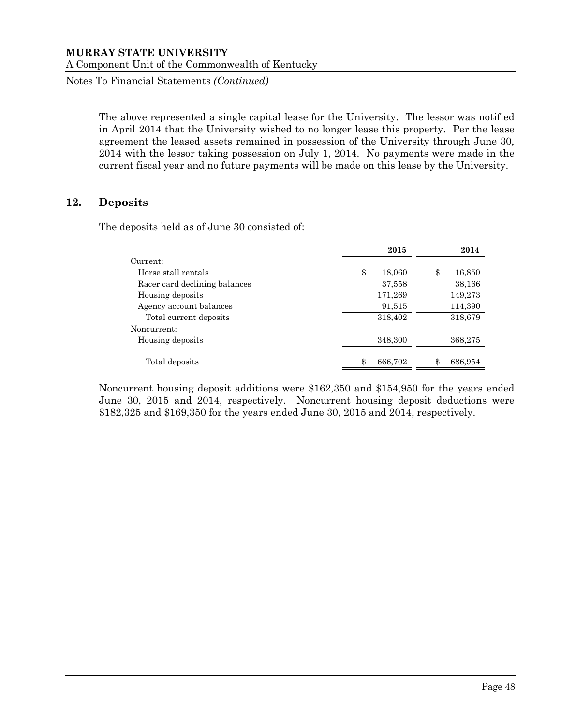A Component Unit of the Commonwealth of Kentucky

Notes To Financial Statements *(Continued)*

The above represented a single capital lease for the University. The lessor was notified in April 2014 that the University wished to no longer lease this property. Per the lease agreement the leased assets remained in possession of the University through June 30, 2014 with the lessor taking possession on July 1, 2014. No payments were made in the current fiscal year and no future payments will be made on this lease by the University.

### **12. Deposits**

The deposits held as of June 30 consisted of:

|                               | 2015          | 2014         |
|-------------------------------|---------------|--------------|
| Current:                      |               |              |
| Horse stall rentals           | \$<br>18,060  | 16,850<br>\$ |
| Racer card declining balances | 37,558        | 38,166       |
| Housing deposits              | 171,269       | 149,273      |
| Agency account balances       | 91,515        | 114,390      |
| Total current deposits        | 318,402       | 318,679      |
| Noncurrent:                   |               |              |
| Housing deposits              | 348,300       | 368,275      |
| Total deposits                | 666,702<br>\$ | 686,954      |

Noncurrent housing deposit additions were \$162,350 and \$154,950 for the years ended June 30, 2015 and 2014, respectively. Noncurrent housing deposit deductions were \$182,325 and \$169,350 for the years ended June 30, 2015 and 2014, respectively.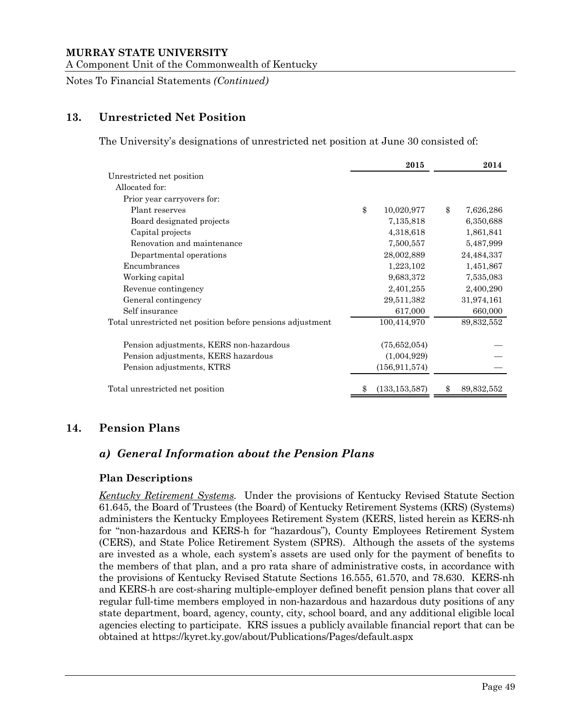A Component Unit of the Commonwealth of Kentucky

Notes To Financial Statements *(Continued)*

### **13. Unrestricted Net Position**

The University's designations of unrestricted net position at June 30 consisted of:

|                                                            | 2015             | 2014            |
|------------------------------------------------------------|------------------|-----------------|
| Unrestricted net position                                  |                  |                 |
| Allocated for:                                             |                  |                 |
| Prior year carryovers for:                                 |                  |                 |
| Plant reserves                                             | \$<br>10,020,977 | \$<br>7,626,286 |
| Board designated projects                                  | 7,135,818        | 6,350,688       |
| Capital projects                                           | 4,318,618        | 1,861,841       |
| Renovation and maintenance                                 | 7,500,557        | 5,487,999       |
| Departmental operations                                    | 28,002,889       | 24,484,337      |
| Encumbrances                                               | 1,223,102        | 1,451,867       |
| Working capital                                            | 9,683,372        | 7,535,083       |
| Revenue contingency                                        | 2,401,255        | 2,400,290       |
| General contingency                                        | 29,511,382       | 31,974,161      |
| Self insurance                                             | 617,000          | 660,000         |
| Total unrestricted net position before pensions adjustment | 100,414,970      | 89,832,552      |
| Pension adjustments, KERS non-hazardous                    | (75,652,054)     |                 |
| Pension adjustments, KERS hazardous                        | (1,004,929)      |                 |
| Pension adjustments, KTRS                                  | (156, 911, 574)  |                 |
| Total unrestricted net position                            | (133, 153, 587)  | 89,832,552      |

### **14. Pension Plans**

### *a) General Information about the Pension Plans*

### **Plan Descriptions**

*Kentucky Retirement Systems.* Under the provisions of Kentucky Revised Statute Section 61.645, the Board of Trustees (the Board) of Kentucky Retirement Systems (KRS) (Systems) administers the Kentucky Employees Retirement System (KERS, listed herein as KERS-nh for "non-hazardous and KERS-h for "hazardous"), County Employees Retirement System (CERS), and State Police Retirement System (SPRS). Although the assets of the systems are invested as a whole, each system's assets are used only for the payment of benefits to the members of that plan, and a pro rata share of administrative costs, in accordance with the provisions of Kentucky Revised Statute Sections 16.555, 61.570, and 78.630. KERS-nh and KERS-h are cost‐sharing multiple‐employer defined benefit pension plans that cover all regular full-time members employed in non-hazardous and hazardous duty positions of any state department, board, agency, county, city, school board, and any additional eligible local agencies electing to participate. KRS issues a publicly available financial report that can be obtained at https://kyret.ky.gov/about/Publications/Pages/default.aspx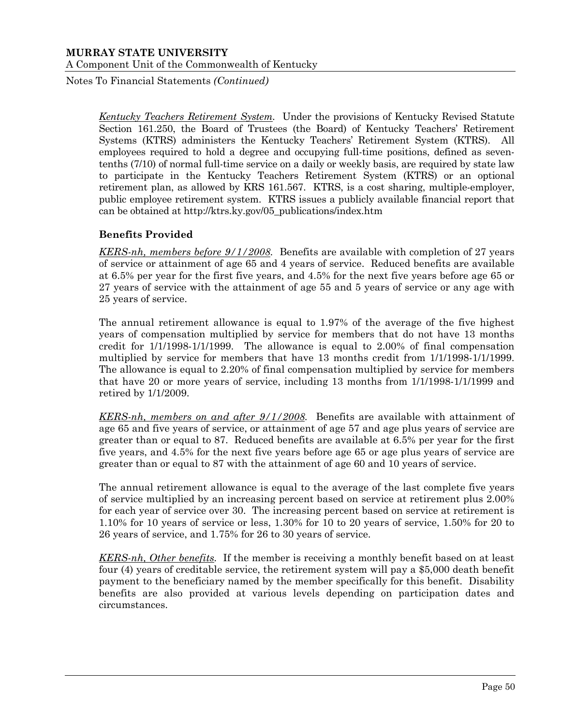Notes To Financial Statements *(Continued)*

*Kentucky Teachers Retirement System.* Under the provisions of Kentucky Revised Statute Section 161.250, the Board of Trustees (the Board) of Kentucky Teachers' Retirement Systems (KTRS) administers the Kentucky Teachers' Retirement System (KTRS). All employees required to hold a degree and occupying full-time positions, defined as seventenths (7/10) of normal full-time service on a daily or weekly basis, are required by state law to participate in the Kentucky Teachers Retirement System (KTRS) or an optional retirement plan, as allowed by KRS 161.567. KTRS, is a cost sharing, multiple-employer, public employee retirement system. KTRS issues a publicly available financial report that can be obtained at http://ktrs.ky.gov/05\_publications/index.htm

### **Benefits Provided**

*KERS-nh, members before 9/1/2008.* Benefits are available with completion of 27 years of service or attainment of age 65 and 4 years of service. Reduced benefits are available at 6.5% per year for the first five years, and 4.5% for the next five years before age 65 or 27 years of service with the attainment of age 55 and 5 years of service or any age with 25 years of service.

The annual retirement allowance is equal to 1.97% of the average of the five highest years of compensation multiplied by service for members that do not have 13 months credit for 1/1/1998-1/1/1999. The allowance is equal to 2.00% of final compensation multiplied by service for members that have 13 months credit from 1/1/1998-1/1/1999. The allowance is equal to 2.20% of final compensation multiplied by service for members that have 20 or more years of service, including 13 months from 1/1/1998-1/1/1999 and retired by 1/1/2009.

*KERS-nh, members on and after 9/1/2008.* Benefits are available with attainment of age 65 and five years of service, or attainment of age 57 and age plus years of service are greater than or equal to 87. Reduced benefits are available at 6.5% per year for the first five years, and 4.5% for the next five years before age 65 or age plus years of service are greater than or equal to 87 with the attainment of age 60 and 10 years of service.

The annual retirement allowance is equal to the average of the last complete five years of service multiplied by an increasing percent based on service at retirement plus 2.00% for each year of service over 30. The increasing percent based on service at retirement is 1.10% for 10 years of service or less, 1.30% for 10 to 20 years of service, 1.50% for 20 to 26 years of service, and 1.75% for 26 to 30 years of service.

*KERS-nh, Other benefits.* If the member is receiving a monthly benefit based on at least four (4) years of creditable service, the retirement system will pay a \$5,000 death benefit payment to the beneficiary named by the member specifically for this benefit. Disability benefits are also provided at various levels depending on participation dates and circumstances.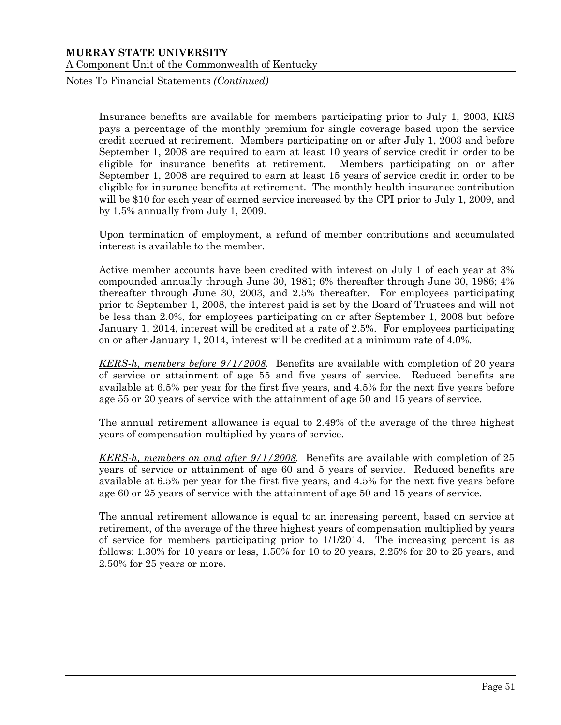Notes To Financial Statements *(Continued)*

 Insurance benefits are available for members participating prior to July 1, 2003, KRS pays a percentage of the monthly premium for single coverage based upon the service credit accrued at retirement. Members participating on or after July 1, 2003 and before September 1, 2008 are required to earn at least 10 years of service credit in order to be eligible for insurance benefits at retirement. Members participating on or after September 1, 2008 are required to earn at least 15 years of service credit in order to be eligible for insurance benefits at retirement. The monthly health insurance contribution will be \$10 for each year of earned service increased by the CPI prior to July 1, 2009, and by 1.5% annually from July 1, 2009.

 Upon termination of employment, a refund of member contributions and accumulated interest is available to the member.

 Active member accounts have been credited with interest on July 1 of each year at 3% compounded annually through June 30, 1981; 6% thereafter through June 30, 1986; 4% thereafter through June 30, 2003, and 2.5% thereafter. For employees participating prior to September 1, 2008, the interest paid is set by the Board of Trustees and will not be less than 2.0%, for employees participating on or after September 1, 2008 but before January 1, 2014, interest will be credited at a rate of 2.5%. For employees participating on or after January 1, 2014, interest will be credited at a minimum rate of 4.0%.

*KERS-h, members before 9/1/2008.* Benefits are available with completion of 20 years of service or attainment of age 55 and five years of service. Reduced benefits are available at 6.5% per year for the first five years, and 4.5% for the next five years before age 55 or 20 years of service with the attainment of age 50 and 15 years of service.

The annual retirement allowance is equal to 2.49% of the average of the three highest years of compensation multiplied by years of service.

*KERS-h, members on and after 9/1/2008.* Benefits are available with completion of 25 years of service or attainment of age 60 and 5 years of service. Reduced benefits are available at 6.5% per year for the first five years, and 4.5% for the next five years before age 60 or 25 years of service with the attainment of age 50 and 15 years of service.

The annual retirement allowance is equal to an increasing percent, based on service at retirement, of the average of the three highest years of compensation multiplied by years of service for members participating prior to 1/1/2014. The increasing percent is as follows: 1.30% for 10 years or less, 1.50% for 10 to 20 years, 2.25% for 20 to 25 years, and 2.50% for 25 years or more.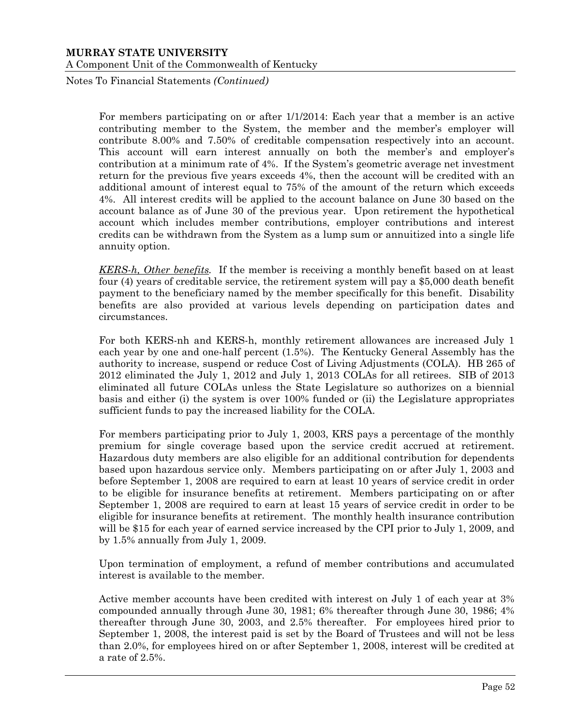Notes To Financial Statements *(Continued)*

For members participating on or after 1/1/2014: Each year that a member is an active contributing member to the System, the member and the member's employer will contribute 8.00% and 7.50% of creditable compensation respectively into an account. This account will earn interest annually on both the member's and employer's contribution at a minimum rate of 4%. If the System's geometric average net investment return for the previous five years exceeds 4%, then the account will be credited with an additional amount of interest equal to 75% of the amount of the return which exceeds 4%. All interest credits will be applied to the account balance on June 30 based on the account balance as of June 30 of the previous year. Upon retirement the hypothetical account which includes member contributions, employer contributions and interest credits can be withdrawn from the System as a lump sum or annuitized into a single life annuity option.

*KERS-h, Other benefits.* If the member is receiving a monthly benefit based on at least four (4) years of creditable service, the retirement system will pay a \$5,000 death benefit payment to the beneficiary named by the member specifically for this benefit. Disability benefits are also provided at various levels depending on participation dates and circumstances.

For both KERS-nh and KERS-h, monthly retirement allowances are increased July 1 each year by one and one-half percent (1.5%). The Kentucky General Assembly has the authority to increase, suspend or reduce Cost of Living Adjustments (COLA). HB 265 of 2012 eliminated the July 1, 2012 and July 1, 2013 COLAs for all retirees. SIB of 2013 eliminated all future COLAs unless the State Legislature so authorizes on a biennial basis and either (i) the system is over 100% funded or (ii) the Legislature appropriates sufficient funds to pay the increased liability for the COLA.

For members participating prior to July 1, 2003, KRS pays a percentage of the monthly premium for single coverage based upon the service credit accrued at retirement. Hazardous duty members are also eligible for an additional contribution for dependents based upon hazardous service only. Members participating on or after July 1, 2003 and before September 1, 2008 are required to earn at least 10 years of service credit in order to be eligible for insurance benefits at retirement. Members participating on or after September 1, 2008 are required to earn at least 15 years of service credit in order to be eligible for insurance benefits at retirement. The monthly health insurance contribution will be \$15 for each year of earned service increased by the CPI prior to July 1, 2009, and by 1.5% annually from July 1, 2009.

Upon termination of employment, a refund of member contributions and accumulated interest is available to the member.

Active member accounts have been credited with interest on July 1 of each year at 3% compounded annually through June 30, 1981; 6% thereafter through June 30, 1986; 4% thereafter through June 30, 2003, and 2.5% thereafter. For employees hired prior to September 1, 2008, the interest paid is set by the Board of Trustees and will not be less than 2.0%, for employees hired on or after September 1, 2008, interest will be credited at a rate of 2.5%.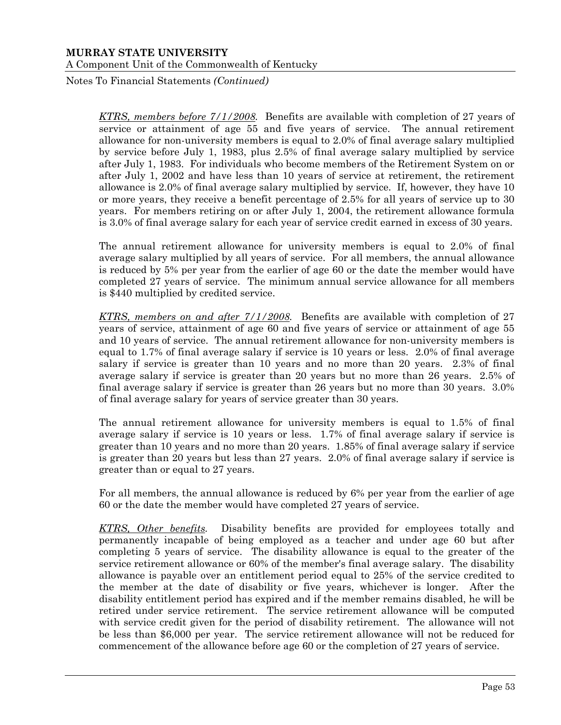Notes To Financial Statements *(Continued)*

*KTRS, members before 7/1/2008.* Benefits are available with completion of 27 years of service or attainment of age 55 and five years of service. The annual retirement allowance for non-university members is equal to 2.0% of final average salary multiplied by service before July 1, 1983, plus 2.5% of final average salary multiplied by service after July 1, 1983. For individuals who become members of the Retirement System on or after July 1, 2002 and have less than 10 years of service at retirement, the retirement allowance is 2.0% of final average salary multiplied by service. If, however, they have 10 or more years, they receive a benefit percentage of 2.5% for all years of service up to 30 years. For members retiring on or after July 1, 2004, the retirement allowance formula is 3.0% of final average salary for each year of service credit earned in excess of 30 years.

The annual retirement allowance for university members is equal to 2.0% of final average salary multiplied by all years of service. For all members, the annual allowance is reduced by 5% per year from the earlier of age 60 or the date the member would have completed 27 years of service. The minimum annual service allowance for all members is \$440 multiplied by credited service.

*KTRS, members on and after 7/1/2008.* Benefits are available with completion of 27 years of service, attainment of age 60 and five years of service or attainment of age 55 and 10 years of service. The annual retirement allowance for non-university members is equal to 1.7% of final average salary if service is 10 years or less. 2.0% of final average salary if service is greater than 10 years and no more than 20 years. 2.3% of final average salary if service is greater than 20 years but no more than 26 years. 2.5% of final average salary if service is greater than 26 years but no more than 30 years. 3.0% of final average salary for years of service greater than 30 years.

The annual retirement allowance for university members is equal to 1.5% of final average salary if service is 10 years or less. 1.7% of final average salary if service is greater than 10 years and no more than 20 years. 1.85% of final average salary if service is greater than 20 years but less than 27 years. 2.0% of final average salary if service is greater than or equal to 27 years.

For all members, the annual allowance is reduced by 6% per year from the earlier of age 60 or the date the member would have completed 27 years of service.

*KTRS, Other benefits.* Disability benefits are provided for employees totally and permanently incapable of being employed as a teacher and under age 60 but after completing 5 years of service. The disability allowance is equal to the greater of the service retirement allowance or 60% of the member's final average salary. The disability allowance is payable over an entitlement period equal to 25% of the service credited to the member at the date of disability or five years, whichever is longer. After the disability entitlement period has expired and if the member remains disabled, he will be retired under service retirement. The service retirement allowance will be computed with service credit given for the period of disability retirement. The allowance will not be less than \$6,000 per year. The service retirement allowance will not be reduced for commencement of the allowance before age 60 or the completion of 27 years of service.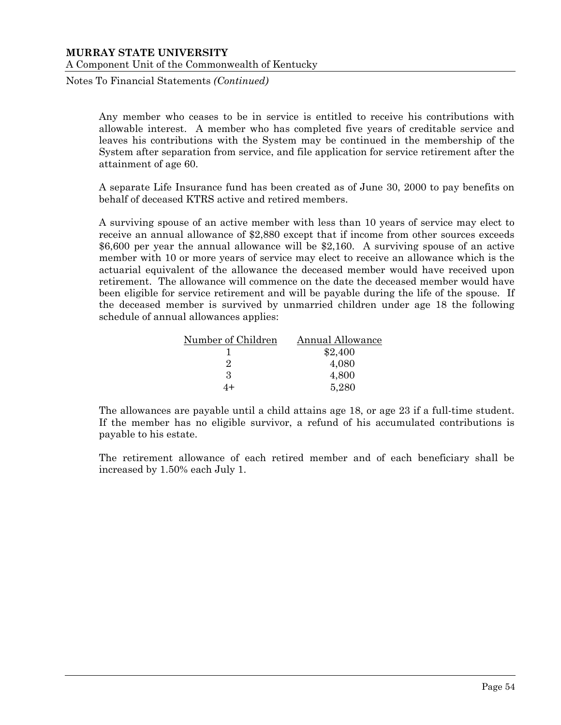Notes To Financial Statements *(Continued)*

 Any member who ceases to be in service is entitled to receive his contributions with allowable interest. A member who has completed five years of creditable service and leaves his contributions with the System may be continued in the membership of the System after separation from service, and file application for service retirement after the attainment of age 60.

 A separate Life Insurance fund has been created as of June 30, 2000 to pay benefits on behalf of deceased KTRS active and retired members.

 A surviving spouse of an active member with less than 10 years of service may elect to receive an annual allowance of \$2,880 except that if income from other sources exceeds \$6,600 per year the annual allowance will be \$2,160. A surviving spouse of an active member with 10 or more years of service may elect to receive an allowance which is the actuarial equivalent of the allowance the deceased member would have received upon retirement. The allowance will commence on the date the deceased member would have been eligible for service retirement and will be payable during the life of the spouse. If the deceased member is survived by unmarried children under age 18 the following schedule of annual allowances applies:

| Number of Children | <b>Annual Allowance</b> |
|--------------------|-------------------------|
|                    | \$2,400                 |
| 9                  | 4,080                   |
| З                  | 4,800                   |
|                    | 5,280                   |

The allowances are payable until a child attains age 18, or age 23 if a full-time student. If the member has no eligible survivor, a refund of his accumulated contributions is payable to his estate.

The retirement allowance of each retired member and of each beneficiary shall be increased by 1.50% each July 1.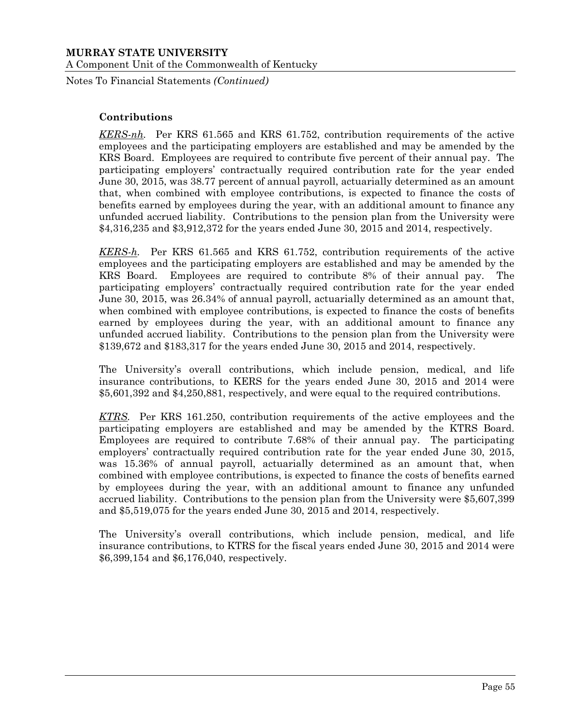Notes To Financial Statements *(Continued)*

### **Contributions**

*KERS-nh.* Per KRS 61.565 and KRS 61.752, contribution requirements of the active employees and the participating employers are established and may be amended by the KRS Board. Employees are required to contribute five percent of their annual pay. The participating employers' contractually required contribution rate for the year ended June 30, 2015, was 38.77 percent of annual payroll, actuarially determined as an amount that, when combined with employee contributions, is expected to finance the costs of benefits earned by employees during the year, with an additional amount to finance any unfunded accrued liability. Contributions to the pension plan from the University were \$4,316,235 and \$3,912,372 for the years ended June 30, 2015 and 2014, respectively.

*KERS-h.* Per KRS 61.565 and KRS 61.752, contribution requirements of the active employees and the participating employers are established and may be amended by the KRS Board. Employees are required to contribute 8% of their annual pay. The participating employers' contractually required contribution rate for the year ended June 30, 2015, was 26.34% of annual payroll, actuarially determined as an amount that, when combined with employee contributions, is expected to finance the costs of benefits earned by employees during the year, with an additional amount to finance any unfunded accrued liability. Contributions to the pension plan from the University were \$139,672 and \$183,317 for the years ended June 30, 2015 and 2014, respectively.

The University's overall contributions, which include pension, medical, and life insurance contributions, to KERS for the years ended June 30, 2015 and 2014 were \$5,601,392 and \$4,250,881, respectively, and were equal to the required contributions.

*KTRS.* Per KRS 161.250, contribution requirements of the active employees and the participating employers are established and may be amended by the KTRS Board. Employees are required to contribute 7.68% of their annual pay. The participating employers' contractually required contribution rate for the year ended June 30, 2015, was 15.36% of annual payroll, actuarially determined as an amount that, when combined with employee contributions, is expected to finance the costs of benefits earned by employees during the year, with an additional amount to finance any unfunded accrued liability. Contributions to the pension plan from the University were \$5,607,399 and \$5,519,075 for the years ended June 30, 2015 and 2014, respectively.

 The University's overall contributions, which include pension, medical, and life insurance contributions, to KTRS for the fiscal years ended June 30, 2015 and 2014 were \$6,399,154 and \$6,176,040, respectively.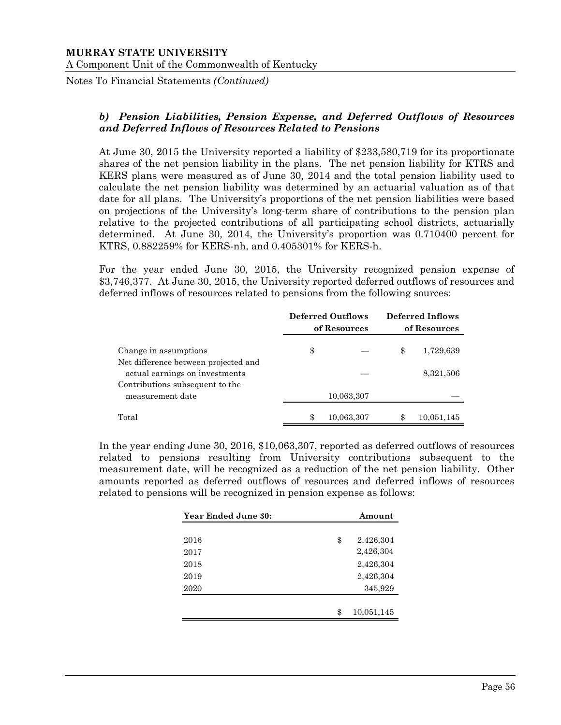Notes To Financial Statements *(Continued)*

### *b) Pension Liabilities, Pension Expense, and Deferred Outflows of Resources and Deferred Inflows of Resources Related to Pensions*

 At June 30, 2015 the University reported a liability of \$233,580,719 for its proportionate shares of the net pension liability in the plans. The net pension liability for KTRS and KERS plans were measured as of June 30, 2014 and the total pension liability used to calculate the net pension liability was determined by an actuarial valuation as of that date for all plans. The University's proportions of the net pension liabilities were based on projections of the University's long-term share of contributions to the pension plan relative to the projected contributions of all participating school districts, actuarially determined. At June 30, 2014, the University's proportion was 0.710400 percent for KTRS, 0.882259% for KERS-nh, and 0.405301% for KERS-h.

 For the year ended June 30, 2015, the University recognized pension expense of \$3,746,377. At June 30, 2015, the University reported deferred outflows of resources and deferred inflows of resources related to pensions from the following sources:

|    | Deferred Inflows<br>of Resources                                     |            |  |
|----|----------------------------------------------------------------------|------------|--|
| \$ | \$                                                                   | 1,729,639  |  |
|    |                                                                      | 8,321,506  |  |
|    |                                                                      |            |  |
|    |                                                                      | 10,051,145 |  |
| \$ | <b>Deferred Outflows</b><br>of Resources<br>10,063,307<br>10,063,307 | \$         |  |

In the year ending June 30, 2016, \$10,063,307, reported as deferred outflows of resources related to pensions resulting from University contributions subsequent to the measurement date, will be recognized as a reduction of the net pension liability. Other amounts reported as deferred outflows of resources and deferred inflows of resources related to pensions will be recognized in pension expense as follows:

| Year Ended June 30: | Amount           |
|---------------------|------------------|
|                     |                  |
| 2016                | \$<br>2,426,304  |
| 2017                | 2,426,304        |
| 2018                | 2,426,304        |
| 2019                | 2,426,304        |
| 2020                | 345,929          |
|                     |                  |
|                     | \$<br>10,051,145 |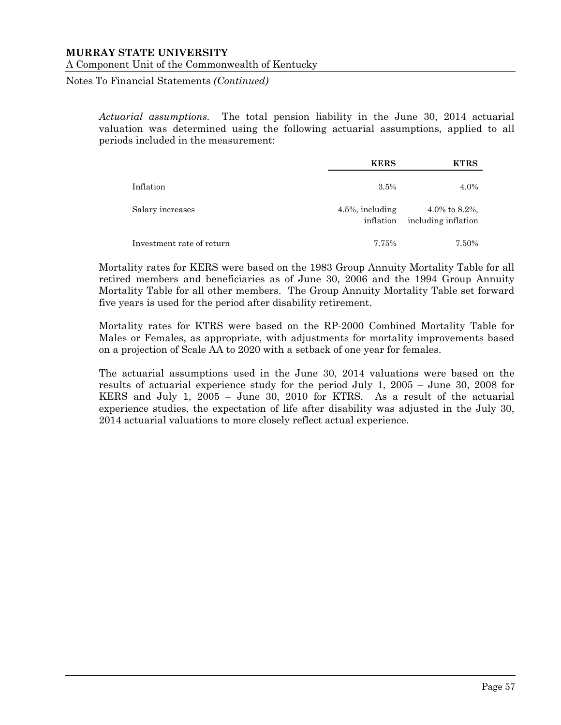A Component Unit of the Commonwealth of Kentucky

Notes To Financial Statements *(Continued)*

*Actuarial assumptions.* The total pension liability in the June 30, 2014 actuarial valuation was determined using the following actuarial assumptions, applied to all periods included in the measurement:

|                           | <b>KERS</b>                  | <b>KTRS</b>                          |
|---------------------------|------------------------------|--------------------------------------|
| Inflation                 | 3.5%                         | 4.0%                                 |
| Salary increases          | 4.5%, including<br>inflation | 4.0% to 8.2%,<br>including inflation |
| Investment rate of return | 7.75%                        | 7.50%                                |

Mortality rates for KERS were based on the 1983 Group Annuity Mortality Table for all retired members and beneficiaries as of June 30, 2006 and the 1994 Group Annuity Mortality Table for all other members. The Group Annuity Mortality Table set forward five years is used for the period after disability retirement.

Mortality rates for KTRS were based on the RP-2000 Combined Mortality Table for Males or Females, as appropriate, with adjustments for mortality improvements based on a projection of Scale AA to 2020 with a setback of one year for females.

The actuarial assumptions used in the June 30, 2014 valuations were based on the results of actuarial experience study for the period July 1, 2005 – June 30, 2008 for KERS and July 1, 2005 – June 30, 2010 for KTRS. As a result of the actuarial experience studies, the expectation of life after disability was adjusted in the July 30, 2014 actuarial valuations to more closely reflect actual experience.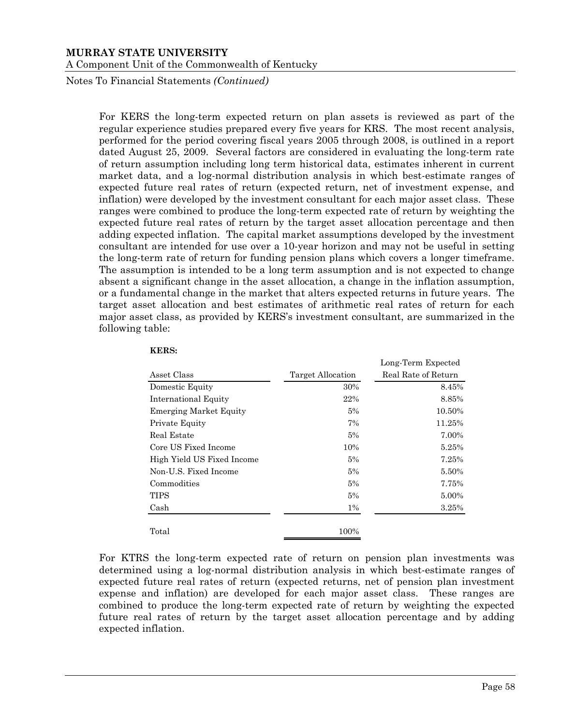Notes To Financial Statements *(Continued)*

For KERS the long-term expected return on plan assets is reviewed as part of the regular experience studies prepared every five years for KRS. The most recent analysis, performed for the period covering fiscal years 2005 through 2008, is outlined in a report dated August 25, 2009. Several factors are considered in evaluating the long-term rate of return assumption including long term historical data, estimates inherent in current market data, and a log-normal distribution analysis in which best-estimate ranges of expected future real rates of return (expected return, net of investment expense, and inflation) were developed by the investment consultant for each major asset class. These ranges were combined to produce the long-term expected rate of return by weighting the expected future real rates of return by the target asset allocation percentage and then adding expected inflation. The capital market assumptions developed by the investment consultant are intended for use over a 10-year horizon and may not be useful in setting the long-term rate of return for funding pension plans which covers a longer timeframe. The assumption is intended to be a long term assumption and is not expected to change absent a significant change in the asset allocation, a change in the inflation assumption, or a fundamental change in the market that alters expected returns in future years. The target asset allocation and best estimates of arithmetic real rates of return for each major asset class, as provided by KERS's investment consultant, are summarized in the following table:

| Asset Class                   | Target Allocation | Real Rate of Return |
|-------------------------------|-------------------|---------------------|
| Domestic Equity               | 30%               | 8.45%               |
| International Equity          | 22%               | 8.85%               |
| <b>Emerging Market Equity</b> | 5%                | 10.50%              |
| Private Equity                | 7%                | 11.25%              |
| Real Estate                   | 5%                | 7.00%               |
| Core US Fixed Income          | 10%               | 5.25%               |
| High Yield US Fixed Income    | 5%                | 7.25%               |
| Non-U.S. Fixed Income         | 5%                | 5.50%               |
| Commodities                   | 5%                | 7.75%               |
| <b>TIPS</b>                   | 5%                | 5.00%               |
| Cash                          | $1\%$             | 3.25%               |
|                               |                   |                     |
| Total                         | 100%              |                     |

Long-Term Expected

#### **KERS:**

For KTRS the long-term expected rate of return on pension plan investments was determined using a log-normal distribution analysis in which best-estimate ranges of expected future real rates of return (expected returns, net of pension plan investment expense and inflation) are developed for each major asset class. These ranges are combined to produce the long-term expected rate of return by weighting the expected future real rates of return by the target asset allocation percentage and by adding expected inflation.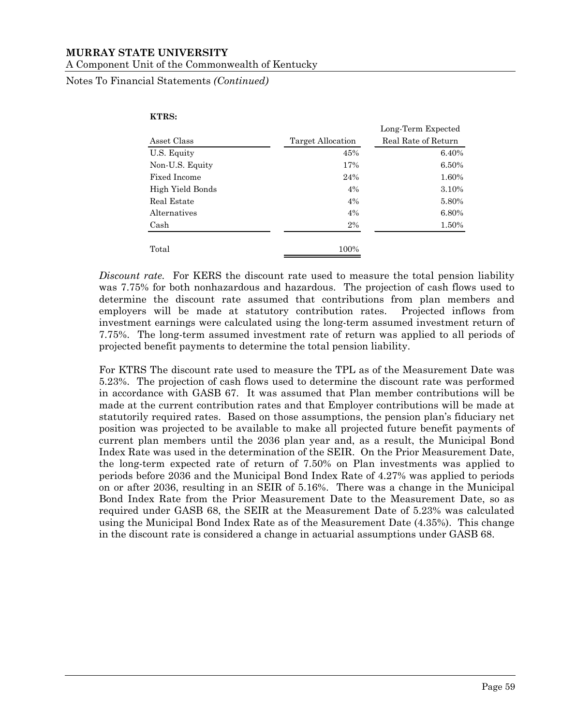A Component Unit of the Commonwealth of Kentucky

Notes To Financial Statements *(Continued)*

#### **KTRS:**

|                     |                   | Long-Term Expected  |
|---------------------|-------------------|---------------------|
| Asset Class         | Target Allocation | Real Rate of Return |
| U.S. Equity         | 45%               | 6.40%               |
| Non-U.S. Equity     | 17%               | 6.50%               |
| <b>Fixed Income</b> | 24%               | 1.60%               |
| High Yield Bonds    | 4%                | 3.10%               |
| Real Estate         | 4%                | 5.80%               |
| Alternatives        | $4\%$             | 6.80%               |
| Cash                | 2%                | 1.50%               |
| Total               | 100%              |                     |

*Discount rate.* For KERS the discount rate used to measure the total pension liability was 7.75% for both nonhazardous and hazardous. The projection of cash flows used to determine the discount rate assumed that contributions from plan members and employers will be made at statutory contribution rates. Projected inflows from investment earnings were calculated using the long-term assumed investment return of 7.75%. The long-term assumed investment rate of return was applied to all periods of projected benefit payments to determine the total pension liability.

For KTRS The discount rate used to measure the TPL as of the Measurement Date was 5.23%. The projection of cash flows used to determine the discount rate was performed in accordance with GASB 67. It was assumed that Plan member contributions will be made at the current contribution rates and that Employer contributions will be made at statutorily required rates. Based on those assumptions, the pension plan's fiduciary net position was projected to be available to make all projected future benefit payments of current plan members until the 2036 plan year and, as a result, the Municipal Bond Index Rate was used in the determination of the SEIR. On the Prior Measurement Date, the long-term expected rate of return of 7.50% on Plan investments was applied to periods before 2036 and the Municipal Bond Index Rate of 4.27% was applied to periods on or after 2036, resulting in an SEIR of 5.16%. There was a change in the Municipal Bond Index Rate from the Prior Measurement Date to the Measurement Date, so as required under GASB 68, the SEIR at the Measurement Date of 5.23% was calculated using the Municipal Bond Index Rate as of the Measurement Date (4.35%). This change in the discount rate is considered a change in actuarial assumptions under GASB 68.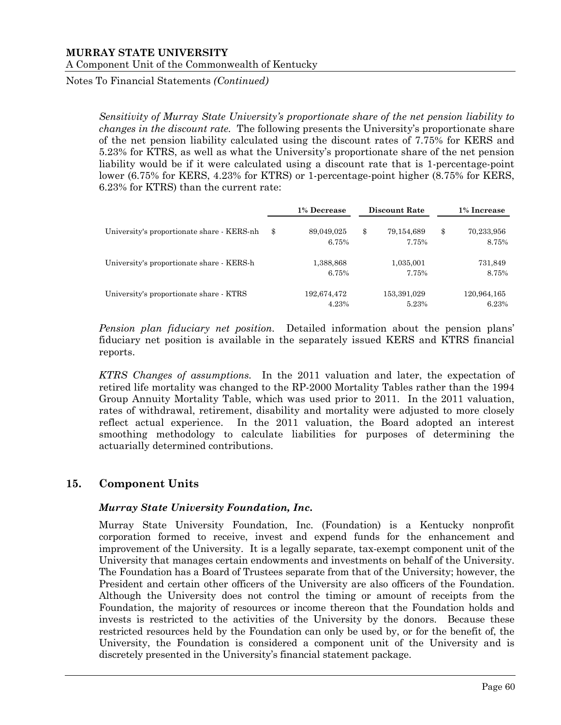Notes To Financial Statements *(Continued)*

*Sensitivity of Murray State University's proportionate share of the net pension liability to changes in the discount rate.* The following presents the University's proportionate share of the net pension liability calculated using the discount rates of 7.75% for KERS and 5.23% for KTRS, as well as what the University's proportionate share of the net pension liability would be if it were calculated using a discount rate that is 1-percentage-point lower (6.75% for KERS, 4.23% for KTRS) or 1-percentage-point higher (8.75% for KERS, 6.23% for KTRS) than the current rate:

|                                            | 1% Decrease      | Discount Rate    | 1% Increase      |
|--------------------------------------------|------------------|------------------|------------------|
| University's proportionate share - KERS-nh | \$<br>89,049,025 | \$<br>79,154,689 | \$<br>70,233,956 |
|                                            | 6.75%            | 7.75%            | 8.75%            |
| University's proportionate share - KERS-h  | 1,388,868        | 1,035,001        | 731,849          |
|                                            | 6.75%            | 7.75%            | 8.75%            |
| University's proportionate share - KTRS    | 192,674,472      | 153,391,029      | 120,964,165      |
|                                            | 4.23%            | 5.23%            | 6.23%            |

*Pension plan fiduciary net position.* Detailed information about the pension plans' fiduciary net position is available in the separately issued KERS and KTRS financial reports.

*KTRS Changes of assumptions.* In the 2011 valuation and later, the expectation of retired life mortality was changed to the RP-2000 Mortality Tables rather than the 1994 Group Annuity Mortality Table, which was used prior to 2011. In the 2011 valuation, rates of withdrawal, retirement, disability and mortality were adjusted to more closely reflect actual experience. In the 2011 valuation, the Board adopted an interest smoothing methodology to calculate liabilities for purposes of determining the actuarially determined contributions.

### **15. Component Units**

### *Murray State University Foundation, Inc.*

Murray State University Foundation, Inc. (Foundation) is a Kentucky nonprofit corporation formed to receive, invest and expend funds for the enhancement and improvement of the University. It is a legally separate, tax-exempt component unit of the University that manages certain endowments and investments on behalf of the University. The Foundation has a Board of Trustees separate from that of the University; however, the President and certain other officers of the University are also officers of the Foundation. Although the University does not control the timing or amount of receipts from the Foundation, the majority of resources or income thereon that the Foundation holds and invests is restricted to the activities of the University by the donors. Because these restricted resources held by the Foundation can only be used by, or for the benefit of, the University, the Foundation is considered a component unit of the University and is discretely presented in the University's financial statement package.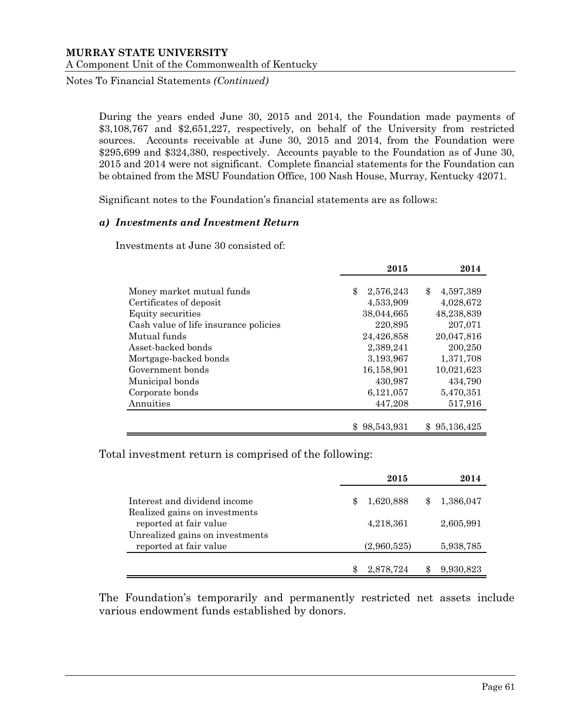Notes To Financial Statements *(Continued)*

During the years ended June 30, 2015 and 2014, the Foundation made payments of \$3,108,767 and \$2,651,227, respectively, on behalf of the University from restricted sources. Accounts receivable at June 30, 2015 and 2014, from the Foundation were \$295,699 and \$324,380, respectively. Accounts payable to the Foundation as of June 30, 2015 and 2014 were not significant. Complete financial statements for the Foundation can be obtained from the MSU Foundation Office, 100 Nash House, Murray, Kentucky 42071.

Significant notes to the Foundation's financial statements are as follows:

### *a) Investments and Investment Return*

Investments at June 30 consisted of:

|                                       | 2015            | 2014                       |
|---------------------------------------|-----------------|----------------------------|
|                                       |                 |                            |
| Money market mutual funds             | \$<br>2,576,243 | 4,597,389<br>\$            |
| Certificates of deposit               | 4,533,909       | 4,028,672                  |
| Equity securities                     | 38.044.665      | 48,238,839                 |
| Cash value of life insurance policies | 220,895         | 207.071                    |
| Mutual funds                          | 24,426,858      | 20,047,816                 |
| Asset-backed bonds                    | 2.389.241       | 200.250                    |
| Mortgage-backed bonds                 | 3,193,967       | 1,371,708                  |
| Government bonds                      | 16,158,901      | 10,021,623                 |
| Municipal bonds                       | 430,987         | 434,790                    |
| Corporate bonds                       | 6,121,057       | 5,470,351                  |
| Annuities                             | 447,208         | 517,916                    |
|                                       |                 |                            |
|                                       | \$98,543,931    | 95.136.425<br>$\mathbb{S}$ |

Total investment return is comprised of the following:

|                                                           | 2015            | 2014 |           |
|-----------------------------------------------------------|-----------------|------|-----------|
| Interest and dividend income                              | \$<br>1,620,888 | \$.  | 1,386,047 |
| Realized gains on investments<br>reported at fair value   | 4,218,361       |      | 2,605,991 |
| Unrealized gains on investments<br>reported at fair value | (2,960,525)     |      | 5,938,785 |
|                                                           | 2,878,724       |      | 9,930,823 |

The Foundation's temporarily and permanently restricted net assets include various endowment funds established by donors.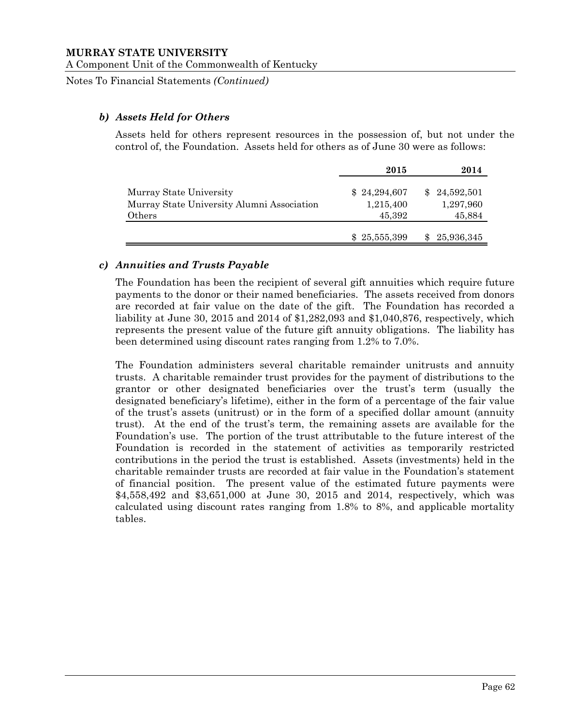A Component Unit of the Commonwealth of Kentucky

Notes To Financial Statements *(Continued)*

### *b) Assets Held for Others*

Assets held for others represent resources in the possession of, but not under the control of, the Foundation. Assets held for others as of June 30 were as follows:

|                                                                                    | 2015                                | 2014                                |
|------------------------------------------------------------------------------------|-------------------------------------|-------------------------------------|
| Murray State University<br>Murray State University Alumni Association<br>$0$ thers | \$24,294,607<br>1,215,400<br>45.392 | \$24,592,501<br>1,297,960<br>45,884 |
|                                                                                    | \$25,555,399                        | 25,936,345                          |

### *c) Annuities and Trusts Payable*

The Foundation has been the recipient of several gift annuities which require future payments to the donor or their named beneficiaries. The assets received from donors are recorded at fair value on the date of the gift. The Foundation has recorded a liability at June 30, 2015 and 2014 of \$1,282,093 and \$1,040,876, respectively, which represents the present value of the future gift annuity obligations. The liability has been determined using discount rates ranging from 1.2% to 7.0%.

The Foundation administers several charitable remainder unitrusts and annuity trusts. A charitable remainder trust provides for the payment of distributions to the grantor or other designated beneficiaries over the trust's term (usually the designated beneficiary's lifetime), either in the form of a percentage of the fair value of the trust's assets (unitrust) or in the form of a specified dollar amount (annuity trust). At the end of the trust's term, the remaining assets are available for the Foundation's use. The portion of the trust attributable to the future interest of the Foundation is recorded in the statement of activities as temporarily restricted contributions in the period the trust is established. Assets (investments) held in the charitable remainder trusts are recorded at fair value in the Foundation's statement of financial position. The present value of the estimated future payments were \$4,558,492 and \$3,651,000 at June 30, 2015 and 2014, respectively, which was calculated using discount rates ranging from 1.8% to 8%, and applicable mortality tables.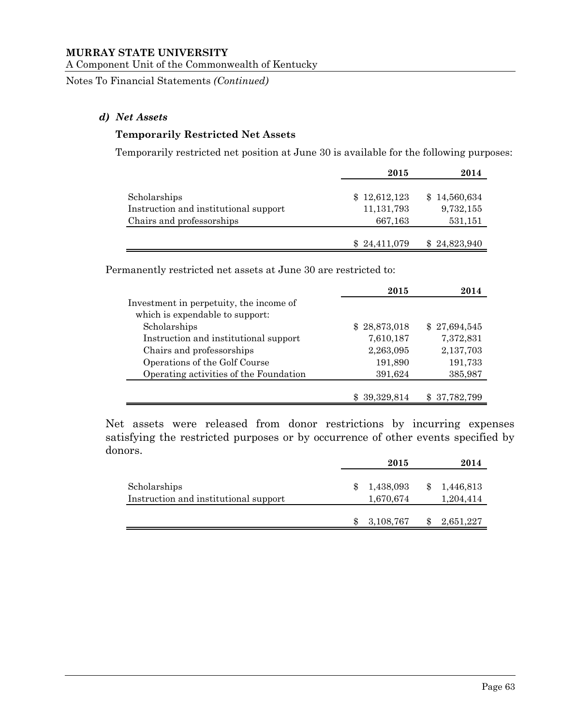A Component Unit of the Commonwealth of Kentucky

Notes To Financial Statements *(Continued)*

### *d) Net Assets*

### **Temporarily Restricted Net Assets**

Temporarily restricted net position at June 30 is available for the following purposes:

|                                       | 2015         | 2014         |
|---------------------------------------|--------------|--------------|
|                                       |              |              |
| Scholarships                          | \$12,612,123 | \$14,560,634 |
| Instruction and institutional support | 11, 131, 793 | 9,732,155    |
| Chairs and professorships             | 667,163      | 531,151      |
|                                       |              |              |
|                                       | \$24,411,079 | \$24,823,940 |

Permanently restricted net assets at June 30 are restricted to:

|                                         | 2015         | 2014         |
|-----------------------------------------|--------------|--------------|
| Investment in perpetuity, the income of |              |              |
| which is expendable to support:         |              |              |
| Scholarships                            | \$28,873,018 | \$27,694,545 |
| Instruction and institutional support   | 7,610,187    | 7,372,831    |
| Chairs and professorships               | 2,263,095    | 2,137,703    |
| Operations of the Golf Course           | 191,890      | 191,733      |
| Operating activities of the Foundation  | 391,624      | 385,987      |
|                                         |              |              |
|                                         | \$39,329,814 | \$37,782,799 |

Net assets were released from donor restrictions by incurring expenses satisfying the restricted purposes or by occurrence of other events specified by donors.

|                                                       | 2015 |                        |     | 2014                   |  |
|-------------------------------------------------------|------|------------------------|-----|------------------------|--|
| Scholarships<br>Instruction and institutional support |      | 1,438,093<br>1,670,674 |     | 1,446,813<br>1,204,414 |  |
|                                                       |      | 3,108,767              | \$. | 2,651,227              |  |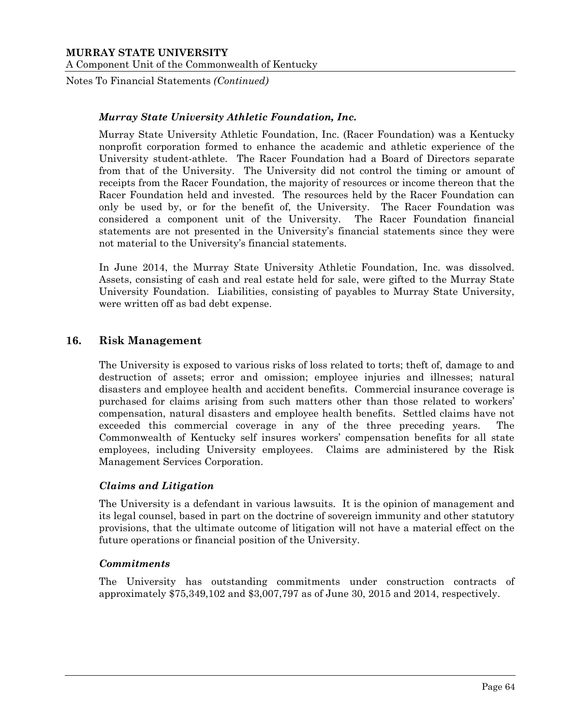Notes To Financial Statements *(Continued)*

### *Murray State University Athletic Foundation, Inc.*

Murray State University Athletic Foundation, Inc. (Racer Foundation) was a Kentucky nonprofit corporation formed to enhance the academic and athletic experience of the University student-athlete. The Racer Foundation had a Board of Directors separate from that of the University. The University did not control the timing or amount of receipts from the Racer Foundation, the majority of resources or income thereon that the Racer Foundation held and invested. The resources held by the Racer Foundation can only be used by, or for the benefit of, the University. The Racer Foundation was considered a component unit of the University. The Racer Foundation financial statements are not presented in the University's financial statements since they were not material to the University's financial statements.

In June 2014, the Murray State University Athletic Foundation, Inc. was dissolved. Assets, consisting of cash and real estate held for sale, were gifted to the Murray State University Foundation. Liabilities, consisting of payables to Murray State University, were written off as bad debt expense.

### **16. Risk Management**

The University is exposed to various risks of loss related to torts; theft of, damage to and destruction of assets; error and omission; employee injuries and illnesses; natural disasters and employee health and accident benefits. Commercial insurance coverage is purchased for claims arising from such matters other than those related to workers' compensation, natural disasters and employee health benefits. Settled claims have not exceeded this commercial coverage in any of the three preceding years. The Commonwealth of Kentucky self insures workers' compensation benefits for all state employees, including University employees. Claims are administered by the Risk Management Services Corporation.

### *Claims and Litigation*

The University is a defendant in various lawsuits. It is the opinion of management and its legal counsel, based in part on the doctrine of sovereign immunity and other statutory provisions, that the ultimate outcome of litigation will not have a material effect on the future operations or financial position of the University.

### *Commitments*

The University has outstanding commitments under construction contracts of approximately \$75,349,102 and \$3,007,797 as of June 30, 2015 and 2014, respectively.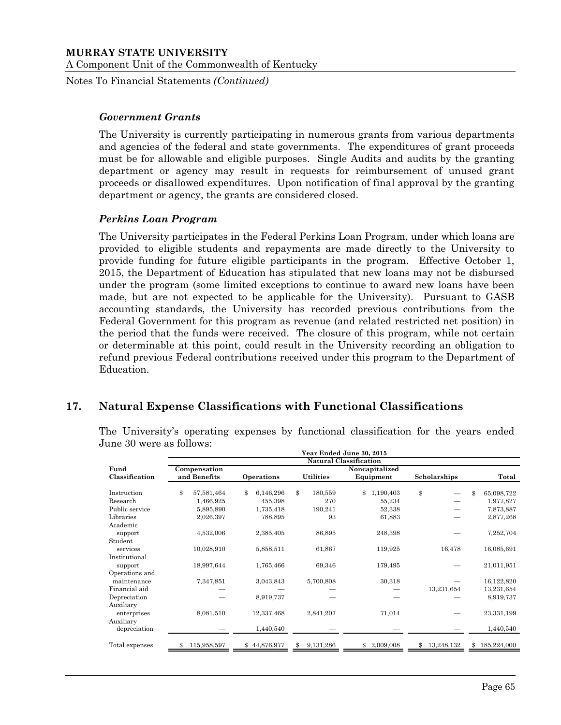Notes To Financial Statements *(Continued)*

#### *Government Grants*

The University is currently participating in numerous grants from various departments and agencies of the federal and state governments. The expenditures of grant proceeds must be for allowable and eligible purposes. Single Audits and audits by the granting department or agency may result in requests for reimbursement of unused grant proceeds or disallowed expenditures. Upon notification of final approval by the granting department or agency, the grants are considered closed.

### *Perkins Loan Program*

The University participates in the Federal Perkins Loan Program, under which loans are provided to eligible students and repayments are made directly to the University to provide funding for future eligible participants in the program. Effective October 1, 2015, the Department of Education has stipulated that new loans may not be disbursed under the program (some limited exceptions to continue to award new loans have been made, but are not expected to be applicable for the University). Pursuant to GASB accounting standards, the University has recorded previous contributions from the Federal Government for this program as revenue (and related restricted net position) in the period that the funds were received. The closure of this program, while not certain or determinable at this point, could result in the University recording an obligation to refund previous Federal contributions received under this program to the Department of Education.

# **17. Natural Expense Classifications with Functional Classifications**

The University's operating expenses by functional classification for the years ended June 30 were as follows: **YEAR ENDED 30, 2015** 

|                  |                                                         |                                      |                                      |                                                                                                                | Total                      |
|------------------|---------------------------------------------------------|--------------------------------------|--------------------------------------|----------------------------------------------------------------------------------------------------------------|----------------------------|
| \$<br>57,581,464 | \$<br>6,146,296                                         | \$<br>180,559                        | 1,190,403<br>\$                      | \$                                                                                                             | $\mathbf{s}$<br>65,098,722 |
| 1,466,925        | 455,398                                                 | 270                                  | 55,234                               |                                                                                                                | 1,977,827                  |
| 5,895,890        | 1,735,418                                               | 190,241                              | 52,338                               |                                                                                                                | 7,873,887                  |
| 2,026,397        | 788,895                                                 | 93                                   | 61,883                               |                                                                                                                | 2,877,268                  |
|                  |                                                         |                                      |                                      |                                                                                                                |                            |
|                  |                                                         |                                      |                                      |                                                                                                                | 7,252,704                  |
|                  |                                                         |                                      |                                      |                                                                                                                |                            |
|                  |                                                         |                                      |                                      |                                                                                                                | 16,085,691                 |
|                  |                                                         |                                      |                                      |                                                                                                                |                            |
| 18,997,644       | 1,765,466                                               | 69,346                               | 179,495                              |                                                                                                                | 21,011,951                 |
|                  |                                                         |                                      |                                      |                                                                                                                |                            |
| 7,347,851        | 3,043,843                                               | 5,700,808                            | 30,318                               |                                                                                                                | 16,122,820                 |
|                  |                                                         |                                      |                                      | 13,231,654                                                                                                     | 13,231,654                 |
|                  | 8,919,737                                               |                                      |                                      |                                                                                                                | 8,919,737                  |
|                  |                                                         |                                      |                                      |                                                                                                                |                            |
| 8,081,510        | 12,337,468                                              | 2,841,207                            | 71,014                               |                                                                                                                | 23,331,199                 |
|                  |                                                         |                                      |                                      |                                                                                                                |                            |
|                  | 1,440,540                                               |                                      |                                      |                                                                                                                | 1,440,540                  |
| 115,958,597      | \$44,876,977                                            | 9,131,286<br>\$                      | 2,009,008<br>\$                      | 13,248,132                                                                                                     | 185,224,000<br>\$          |
|                  | Compensation<br>and Benefits<br>4,532,006<br>10,028,910 | Operations<br>2,385,405<br>5,858,511 | <b>Utilities</b><br>86,895<br>61,867 | Year Ended June 30, 2015<br><b>Natural Classification</b><br>Noncapitalized<br>Equipment<br>248,398<br>119,925 | Scholarships<br>16,478     |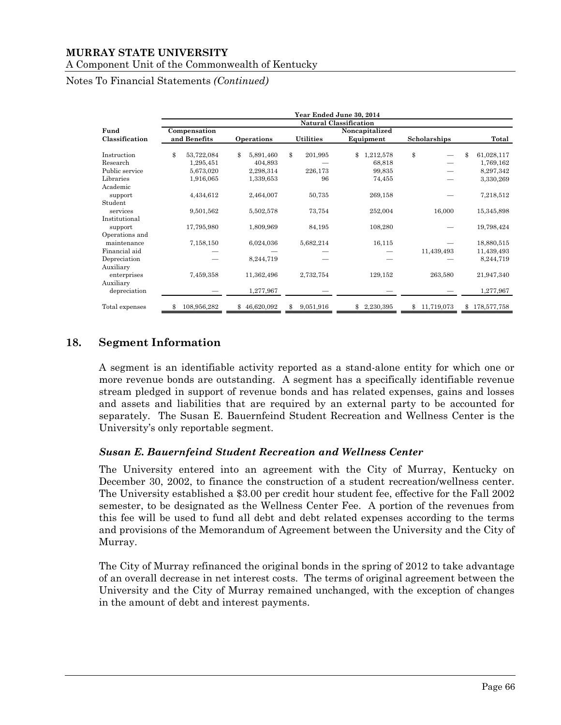#### A Component Unit of the Commonwealth of Kentucky

Notes To Financial Statements *(Continued)*

|                | Year Ended June 30, 2014<br><b>Natural Classification</b> |                  |                  |                 |                  |                   |  |  |
|----------------|-----------------------------------------------------------|------------------|------------------|-----------------|------------------|-------------------|--|--|
| Fund           | Compensation                                              |                  |                  | Noncapitalized  |                  |                   |  |  |
| Classification | and Benefits                                              | Operations       | <b>Utilities</b> | Equipment       | Scholarships     | Total             |  |  |
| Instruction    | \$<br>53,722,084                                          | \$<br>5,891,460  | \$<br>201,995    | \$<br>1,212,578 | \$               | \$<br>61,028,117  |  |  |
| Research       | 1,295,451                                                 | 404,893          |                  | 68,818          |                  | 1,769,162         |  |  |
| Public service | 5,673,020                                                 | 2,298,314        | 226,173          | 99,835          |                  | 8,297,342         |  |  |
| Libraries      | 1,916,065                                                 | 1,339,653        | 96               | 74,455          |                  | 3,330,269         |  |  |
| Academic       |                                                           |                  |                  |                 |                  |                   |  |  |
| support        | 4,434,612                                                 | 2,464,007        | 50,735           | 269,158         |                  | 7,218,512         |  |  |
| Student        |                                                           |                  |                  |                 |                  |                   |  |  |
| services       | 9,501,562                                                 | 5,502,578        | 73,754           | 252,004         | 16,000           | 15,345,898        |  |  |
| Institutional  |                                                           |                  |                  |                 |                  |                   |  |  |
| support        | 17,795,980                                                | 1,809,969        | 84,195           | 108,280         |                  | 19,798,424        |  |  |
| Operations and |                                                           |                  |                  |                 |                  |                   |  |  |
| maintenance    | 7,158,150                                                 | 6,024,036        | 5,682,214        | 16,115          |                  | 18,880,515        |  |  |
| Financial aid  |                                                           |                  |                  |                 | 11,439,493       | 11,439,493        |  |  |
| Depreciation   |                                                           | 8,244,719        |                  |                 |                  | 8,244,719         |  |  |
| Auxiliary      |                                                           |                  |                  |                 |                  |                   |  |  |
| enterprises    | 7,459,358                                                 | 11,362,496       | 2,732,754        | 129,152         | 263,580          | 21,947,340        |  |  |
| Auxiliary      |                                                           |                  |                  |                 |                  |                   |  |  |
| depreciation   |                                                           | 1,277,967        |                  |                 |                  | 1,277,967         |  |  |
| Total expenses | 108,956,282                                               | 46,620,092<br>\$ | \$<br>9,051,916  | 2,230,395<br>\$ | 11,719,073<br>\$ | 178,577,758<br>\$ |  |  |

### **18. Segment Information**

A segment is an identifiable activity reported as a stand-alone entity for which one or more revenue bonds are outstanding. A segment has a specifically identifiable revenue stream pledged in support of revenue bonds and has related expenses, gains and losses and assets and liabilities that are required by an external party to be accounted for separately. The Susan E. Bauernfeind Student Recreation and Wellness Center is the University's only reportable segment.

#### *Susan E. Bauernfeind Student Recreation and Wellness Center*

The University entered into an agreement with the City of Murray, Kentucky on December 30, 2002, to finance the construction of a student recreation/wellness center. The University established a \$3.00 per credit hour student fee, effective for the Fall 2002 semester, to be designated as the Wellness Center Fee. A portion of the revenues from this fee will be used to fund all debt and debt related expenses according to the terms and provisions of the Memorandum of Agreement between the University and the City of Murray.

The City of Murray refinanced the original bonds in the spring of 2012 to take advantage of an overall decrease in net interest costs. The terms of original agreement between the University and the City of Murray remained unchanged, with the exception of changes in the amount of debt and interest payments.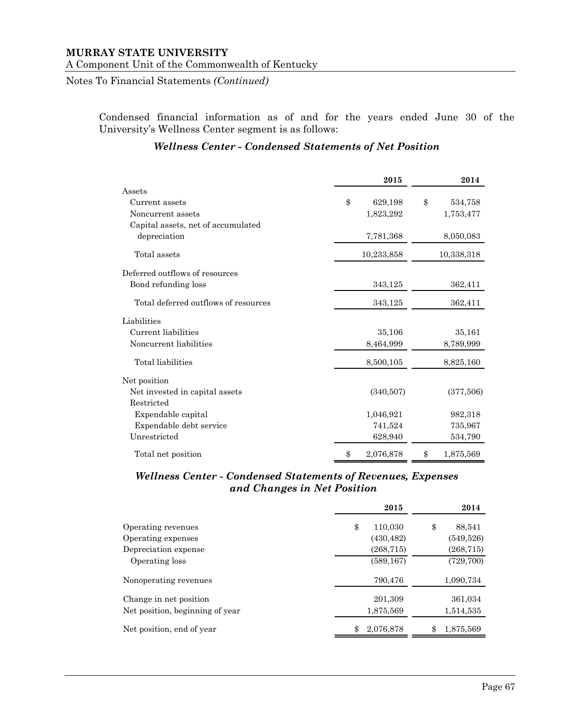A Component Unit of the Commonwealth of Kentucky

Notes To Financial Statements *(Continued)*

Condensed financial information as of and for the years ended June 30 of the University's Wellness Center segment is as follows:

### *Wellness Center - Condensed Statements of Net Position*

|                                      | 2015            | 2014            |
|--------------------------------------|-----------------|-----------------|
| Assets                               |                 |                 |
| Current assets                       | \$<br>629,198   | \$<br>534,758   |
| Noncurrent assets                    | 1,823,292       | 1,753,477       |
| Capital assets, net of accumulated   |                 |                 |
| depreciation                         | 7,781,368       | 8,050,083       |
| Total assets                         | 10,233,858      | 10,338,318      |
| Deferred outflows of resources       |                 |                 |
| Bond refunding loss                  | 343,125         | 362,411         |
| Total deferred outflows of resources | 343,125         | 362,411         |
| Liabilities                          |                 |                 |
| Current liabilities                  | 35,106          | 35,161          |
| Noncurrent liabilities               | 8,464,999       | 8,789,999       |
| Total liabilities                    | 8,500,105       | 8,825,160       |
| Net position                         |                 |                 |
| Net invested in capital assets       | (340,507)       | (377,506)       |
| Restricted                           |                 |                 |
| Expendable capital                   | 1,046,921       | 982,318         |
| Expendable debt service              | 741,524         | 735,967         |
| Unrestricted                         | 628,940         | 534,790         |
| Total net position                   | \$<br>2,076,878 | 1,875,569<br>\$ |

#### *Wellness Center - Condensed Statements of Revenues, Expenses and Changes in Net Position*

|                                 | 2015            | 2014            |
|---------------------------------|-----------------|-----------------|
| Operating revenues              | \$<br>110,030   | \$<br>88,541    |
| Operating expenses              | (430, 482)      | (549, 526)      |
| Depreciation expense            | (268, 715)      | (268, 715)      |
| Operating loss                  | (589, 167)      | (729,700)       |
| Nonoperating revenues           | 790,476         | 1,090,734       |
| Change in net position          | 201,309         | 361,034         |
| Net position, beginning of year | 1,875,569       | 1,514,535       |
| Net position, end of year       | 2,076,878<br>\$ | 1,875,569<br>\$ |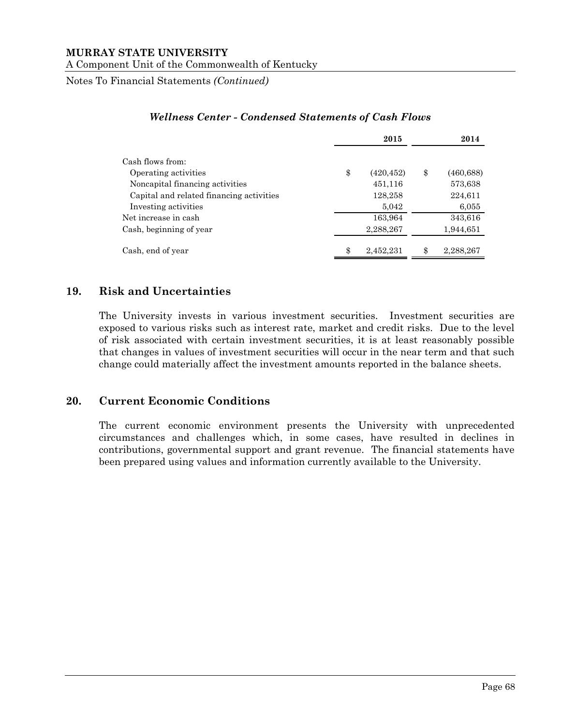A Component Unit of the Commonwealth of Kentucky

Notes To Financial Statements *(Continued)*

|                                          | 2015             | 2014             |
|------------------------------------------|------------------|------------------|
| Cash flows from:                         |                  |                  |
| Operating activities                     | \$<br>(420, 452) | \$<br>(460, 688) |
| Noncapital financing activities          | 451,116          | 573,638          |
| Capital and related financing activities | 128,258          | 224,611          |
| Investing activities                     | 5,042            | 6,055            |
| Net increase in cash                     | 163,964          | 343,616          |
| Cash, beginning of year                  | 2,288,267        | 1,944,651        |
| Cash, end of year                        | \$<br>2,452,231  | \$<br>2,288,267  |

### *Wellness Center - Condensed Statements of Cash Flows*

# **19. Risk and Uncertainties**

The University invests in various investment securities. Investment securities are exposed to various risks such as interest rate, market and credit risks. Due to the level of risk associated with certain investment securities, it is at least reasonably possible that changes in values of investment securities will occur in the near term and that such change could materially affect the investment amounts reported in the balance sheets.

### **20. Current Economic Conditions**

The current economic environment presents the University with unprecedented circumstances and challenges which, in some cases, have resulted in declines in contributions, governmental support and grant revenue. The financial statements have been prepared using values and information currently available to the University.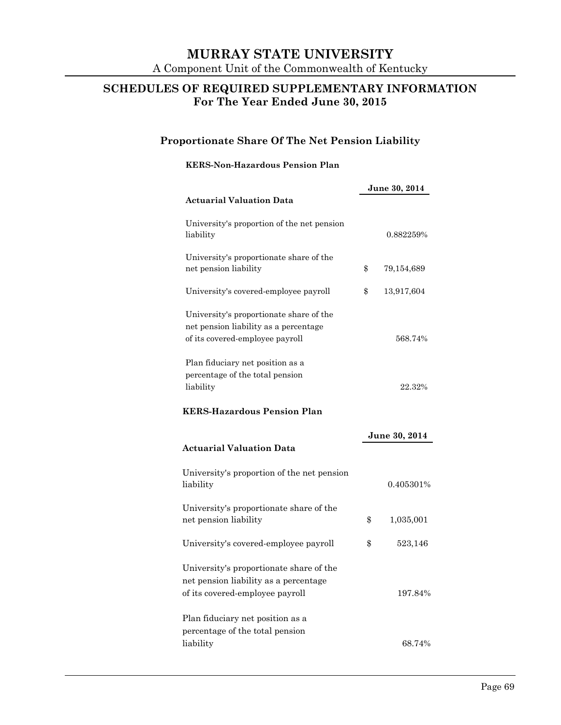# **SCHEDULES OF REQUIRED SUPPLEMENTARY INFORMATION For The Year Ended June 30, 2015**

### **Proportionate Share Of The Net Pension Liability**

#### **KERS-Non-Hazardous Pension Plan**

|                                                                                                                     | <b>June 30, 2014</b> |
|---------------------------------------------------------------------------------------------------------------------|----------------------|
| Actuarial Valuation Data                                                                                            |                      |
| University's proportion of the net pension<br>liability                                                             | 0.882259%            |
| University's proportionate share of the<br>net pension liability                                                    | \$<br>79,154,689     |
| University's covered-employee payroll                                                                               | \$<br>13,917,604     |
| University's proportionate share of the<br>net pension liability as a percentage<br>of its covered-employee payroll | 568.74%              |
| Plan fiduciary net position as a<br>percentage of the total pension<br>liability                                    | 22.32%               |
| <b>KERS-Hazardous Pension Plan</b>                                                                                  |                      |
|                                                                                                                     | June 30, 2014        |
| <b>Actuarial Valuation Data</b>                                                                                     |                      |
|                                                                                                                     |                      |
| University's proportion of the net pension<br>liability                                                             | 0.405301%            |
| University's proportionate share of the<br>net pension liability                                                    | \$<br>1,035,001      |
| University's covered-employee payroll                                                                               | \$<br>523,146        |
| University's proportionate share of the<br>net pension liability as a percentage<br>of its covered-employee payroll | 197.84%              |
| Plan fiduciary net position as a<br>percentage of the total pension<br>liability                                    | 68.74%               |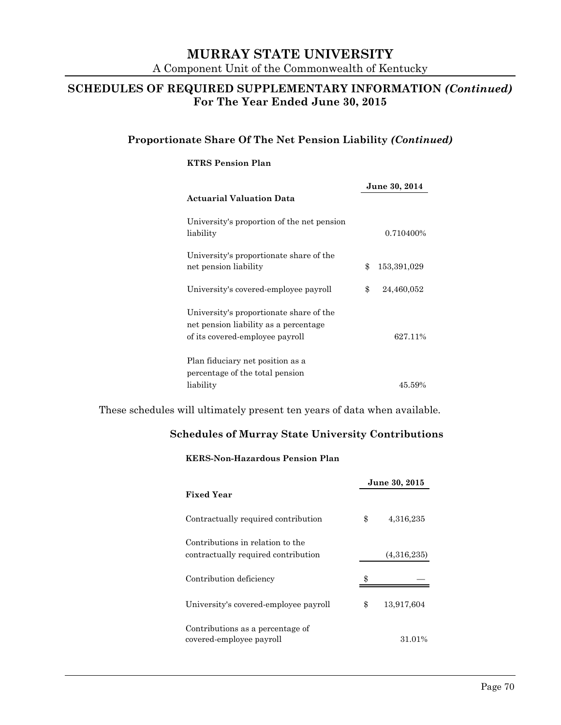# **SCHEDULES OF REQUIRED SUPPLEMENTARY INFORMATION** *(Continued)*  **For The Year Ended June 30, 2015**

### **Proportionate Share Of The Net Pension Liability** *(Continued)*

#### **KTRS Pension Plan**

|                                                                                                                     | June 30, 2014     |
|---------------------------------------------------------------------------------------------------------------------|-------------------|
| <b>Actuarial Valuation Data</b>                                                                                     |                   |
| University's proportion of the net pension<br>liability                                                             | 0.710400\%        |
| University's proportionate share of the<br>net pension liability                                                    | \$<br>153,391,029 |
| University's covered-employee payroll                                                                               | \$<br>24,460,052  |
| University's proportionate share of the<br>net pension liability as a percentage<br>of its covered-employee payroll | 627.11%           |
| Plan fiduciary net position as a<br>percentage of the total pension<br>liability                                    | 45.59%            |

These schedules will ultimately present ten years of data when available.

### **Schedules of Murray State University Contributions**

#### **KERS-Non-Hazardous Pension Plan**

|                                                                         | June 30, 2015    |
|-------------------------------------------------------------------------|------------------|
| <b>Fixed Year</b>                                                       |                  |
| Contractually required contribution                                     | \$<br>4,316,235  |
| Contributions in relation to the<br>contractually required contribution | (4,316,235)      |
| Contribution deficiency                                                 |                  |
| University's covered-employee payroll                                   | \$<br>13,917,604 |
| Contributions as a percentage of<br>covered-employee payroll            | 31.01%           |